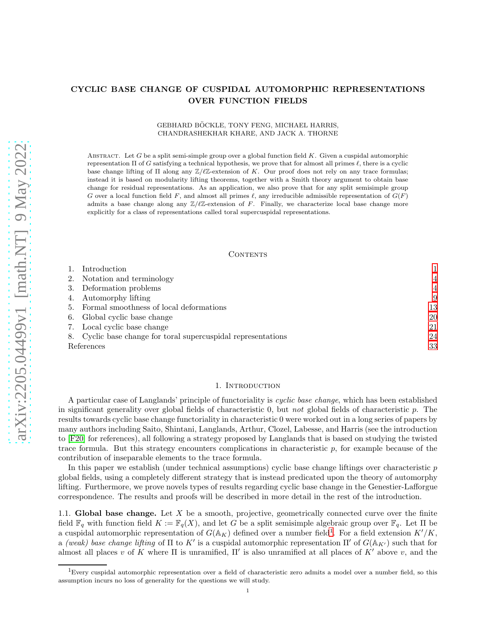# CYCLIC BASE CHANGE OF CUSPIDAL AUTOMORPHIC REPRESENTATIONS OVER FUNCTION FIELDS

## GEBHARD BÖCKLE, TONY FENG, MICHAEL HARRIS, CHANDRASHEKHAR KHARE, AND JACK A. THORNE

ABSTRACT. Let  $G$  be a split semi-simple group over a global function field  $K$ . Given a cuspidal automorphic representation  $\Pi$  of G satisfying a technical hypothesis, we prove that for almost all primes  $\ell$ , there is a cyclic base change lifting of  $\Pi$  along any  $\mathbb{Z}/\ell\mathbb{Z}$ -extension of K. Our proof does not rely on any trace formulas; instead it is based on modularity lifting theorems, together with a Smith theory argument to obtain base change for residual representations. As an application, we also prove that for any split semisimple group G over a local function field F, and almost all primes  $\ell$ , any irreducible admissible representation of  $G(F)$ admits a base change along any  $\mathbb{Z}/\ell\mathbb{Z}$ -extension of F. Finally, we characterize local base change more explicitly for a class of representations called toral supercuspidal representations.

### CONTENTS

|            | Introduction                                                  |                |
|------------|---------------------------------------------------------------|----------------|
|            | 2. Notation and terminology                                   | 4              |
|            | 3. Deformation problems                                       | $\overline{4}$ |
|            | 4. Automorphy lifting                                         | 9              |
|            | 5. Formal smoothness of local deformations                    | 13             |
|            | 6. Global cyclic base change                                  | 20             |
|            | 7. Local cyclic base change                                   | 21             |
|            | 8. Cyclic base change for toral supercuspidal representations | 24             |
| References |                                                               | 33             |

#### 1. INTRODUCTION

<span id="page-0-0"></span>A particular case of Langlands' principle of functoriality is cyclic base change, which has been established in significant generality over global fields of characteristic 0, but not global fields of characteristic  $p$ . The results towards cyclic base change functoriality in characteristic 0 were worked out in a long series of papers by many authors including Saito, Shintani, Langlands, Arthur, Clozel, Labesse, and Harris (see the introduction to [\[F20\]](#page-33-0) for references), all following a strategy proposed by Langlands that is based on studying the twisted trace formula. But this strategy encounters complications in characteristic  $p$ , for example because of the contribution of inseparable elements to the trace formula.

In this paper we establish (under technical assumptions) cyclic base change liftings over characteristic  $p$ global fields, using a completely different strategy that is instead predicated upon the theory of automorphy lifting. Furthermore, we prove novels types of results regarding cyclic base change in the Genestier-Lafforgue correspondence. The results and proofs will be described in more detail in the rest of the introduction.

1.1. Global base change. Let  $X$  be a smooth, projective, geometrically connected curve over the finite field  $\mathbb{F}_q$  with function field  $K := \mathbb{F}_q(X)$ , and let G be a split semisimple algebraic group over  $\mathbb{F}_q$ . Let  $\Pi$  be a cuspidal automorphic representation of  $G(\mathbb{A}_K)$  defined over a number field<sup>[1](#page-0-1)</sup>. For a field extension  $K'/K$ , a (weak) base change lifting of  $\Pi$  to  $K'$  is a cuspidal automorphic representation  $\Pi'$  of  $G(\mathbb{A}_{K'})$  such that for almost all places v of K where  $\Pi$  is unramified,  $\Pi'$  is also unramified at all places of  $K'$  above v, and the

<span id="page-0-1"></span><sup>&</sup>lt;sup>1</sup>Every cuspidal automorphic representation over a field of characteristic zero admits a model over a number field, so this assumption incurs no loss of generality for the questions we will study.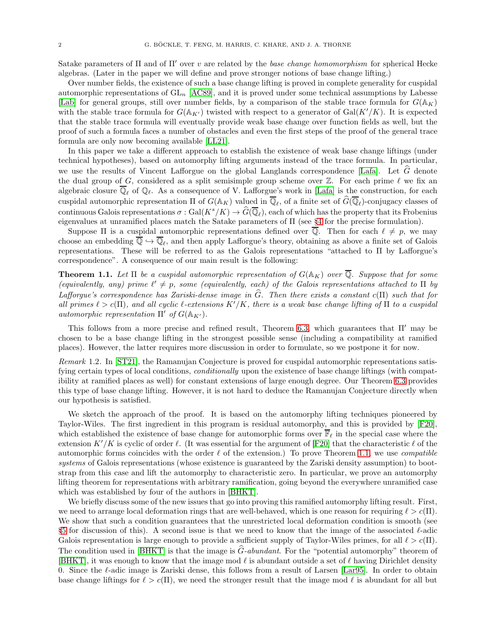Satake parameters of  $\Pi$  and of  $\Pi'$  over v are related by the base change homomorphism for spherical Hecke algebras. (Later in the paper we will define and prove stronger notions of base change lifting.)

Over number fields, the existence of such a base change lifting is proved in complete generality for cuspidal automorphic representations of  $GL_n$  [\[AC89\]](#page-32-1), and it is proved under some technical assumptions by Labesse [\[Lab\]](#page-33-1) for general groups, still over number fields, by a comparison of the stable trace formula for  $G(\mathbb{A}_K)$ with the stable trace formula for  $G(\mathbb{A}_{K'} )$  twisted with respect to a generator of  $Gal(K'/K)$ . It is expected that the stable trace formula will eventually provide weak base change over function fields as well, but the proof of such a formula faces a number of obstacles and even the first steps of the proof of the general trace formula are only now becoming available [\[LL21\]](#page-33-2).

In this paper we take a different approach to establish the existence of weak base change liftings (under technical hypotheses), based on automorphy lifting arguments instead of the trace formula. In particular, we use the results of Vincent Lafforgue on the global Langlands correspondence [\[Lafa\]](#page-33-3). Let  $\tilde{G}$  denote the dual group of G, considered as a split semisimple group scheme over  $\mathbb Z$ . For each prime  $\ell$  we fix an algebraic closure  $\overline{\mathbb{Q}}_{\ell}$  of  $\mathbb{Q}_{\ell}$ . As a consequence of V. Lafforgue's work in [\[Lafa\]](#page-33-3) is the construction, for each cuspidal automorphic representation  $\Pi$  of  $G(\mathbb{A}_K)$  valued in  $\mathbb{Q}_\ell$ , of a finite set of  $G(\mathbb{Q}_\ell)$ -conjugacy classes of continuous Galois representations  $\sigma: Gal(K^s/K) \to \widehat{G}(\overline{\mathbb{Q}}_{\ell}),$  each of which has the property that its Frobenius eigenvalues at unramified places match the Satake parameters of Π (see §[4](#page-8-0) for the precise formulation).

Suppose  $\Pi$  is a cuspidal automorphic representations defined over  $\overline{Q}$ . Then for each  $\ell \neq p$ , we may choose an embedding  $\mathbb{Q} \hookrightarrow \mathbb{Q}_{\ell}$ , and then apply Lafforgue's theory, obtaining as above a finite set of Galois representations. These will be referred to as the Galois representations "attached to Π by Lafforgue's correspondence". A consequence of our main result is the following:

<span id="page-1-0"></span>**Theorem 1.1.** Let  $\Pi$  be a cuspidal automorphic representation of  $G(\mathbb{A}_K)$  over Q. Suppose that for some (equivalently, any) prime  $\ell' \neq p$ , some (equivalently, each) of the Galois representations attached to  $\Pi$  by Lafforque's correspondence has Zariski-dense image in  $\widehat{G}$ . Then there exists a constant c(Π) such that for all primes  $\ell > c(\Pi)$ , and all cyclic  $\ell$ -extensions  $K'/K$ , there is a weak base change lifting of  $\Pi$  to a cuspidal automorphic representation  $\Pi'$  of  $G(\mathbb{A}_{K'})$ .

This follows from a more precise and refined result, Theorem [6.3,](#page-19-1) which guarantees that  $\Pi'$  may be chosen to be a base change lifting in the strongest possible sense (including a compatibility at ramified places). However, the latter requires more discussion in order to formulate, so we postpone it for now.

Remark 1.2. In [\[ST21\]](#page-34-0), the Ramanujan Conjecture is proved for cuspidal automorphic representations satisfying certain types of local conditions, conditionally upon the existence of base change liftings (with compatibility at ramified places as well) for constant extensions of large enough degree. Our Theorem [6.3](#page-19-1) provides this type of base change lifting. However, it is not hard to deduce the Ramanujan Conjecture directly when our hypothesis is satisfied.

We sketch the approach of the proof. It is based on the automorphy lifting techniques pioneered by Taylor-Wiles. The first ingredient in this program is residual automorphy, and this is provided by [\[F20\]](#page-33-0), which established the existence of base change for automorphic forms over  $\bar{\mathbb{F}}_{\ell}$  in the special case where the extension  $K'/K$  is cyclic of order  $\ell$ . (It was essential for the argument of [\[F20\]](#page-33-0) that the characteristic  $\ell$  of the automorphic forms coincides with the order  $\ell$  of the extension.) To prove Theorem [1.1,](#page-1-0) we use *compatible* systems of Galois representations (whose existence is guaranteed by the Zariski density assumption) to bootstrap from this case and lift the automorphy to characteristic zero. In particular, we prove an automorphy lifting theorem for representations with arbitrary ramification, going beyond the everywhere unramified case which was established by four of the authors in [\[BHKT\]](#page-32-2).

We briefly discuss some of the new issues that go into proving this ramified automorphy lifting result. First, we need to arrange local deformation rings that are well-behaved, which is one reason for requiring  $\ell > c(\Pi)$ . We show that such a condition guarantees that the unrestricted local deformation condition is smooth (see §[5](#page-12-0) for discussion of this). A second issue is that we need to know that the image of the associated  $\ell$ -adic Galois representation is large enough to provide a sufficient supply of Taylor-Wiles primes, for all  $\ell > c(\Pi)$ . The condition used in [\[BHKT\]](#page-32-2) is that the image is  $\hat{G}$ -abundant. For the "potential automorphy" theorem of [\[BHKT\]](#page-32-2), it was enough to know that the image mod  $\ell$  is abundant outside a set of  $\ell$  having Dirichlet density 0. Since the  $\ell$ -adic image is Zariski dense, this follows from a result of Larsen [\[Lar95\]](#page-33-4). In order to obtain base change liftings for  $\ell > c(\Pi)$ , we need the stronger result that the image mod  $\ell$  is abundant for all but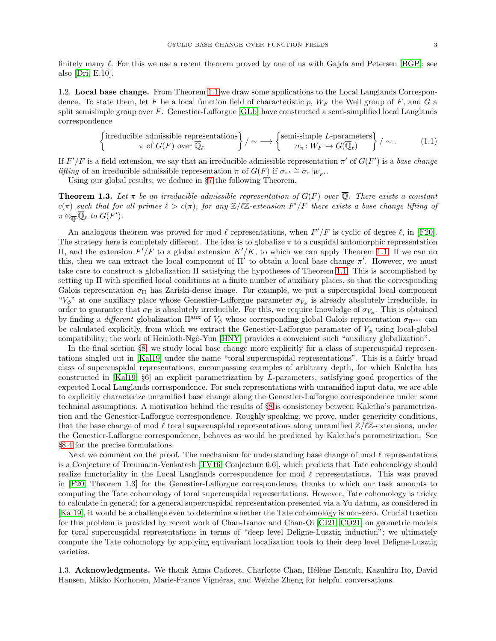finitely many  $\ell$ . For this we use a recent theorem proved by one of us with Gajda and Petersen [\[BGP\]](#page-32-3); see also [\[Dri,](#page-33-5) E.10].

1.2. Local base change. From Theorem [1.1](#page-1-0) we draw some applications to the Local Langlands Correspondence. To state them, let F be a local function field of characteristic p,  $W_F$  the Weil group of F, and G a split semisimple group over F. Genestier-Lafforgue [\[GLb\]](#page-33-6) have constructed a semi-simplified local Langlands correspondence

$$
\left\{\n\begin{array}{c}\n\text{irreducible admissible representations} \\
\tau \text{ of } G(F) \text{ over } \overline{\mathbb{Q}}_{\ell}\n\end{array}\n\right\}\n/ \sim \longrightarrow \left\{\n\begin{array}{c}\n\text{semi-simple } L\text{-parameters} \\
\sigma_{\pi} \colon W_F \to G(\overline{\mathbb{Q}}_{\ell})\n\end{array}\n\right\}\n/ \sim .
$$
\n(1.1)

If  $F'/F$  is a field extension, we say that an irreducible admissible representation  $\pi'$  of  $G(F')$  is a base change lifting of an irreducible admissible representation  $\pi$  of  $G(F)$  if  $\sigma_{\pi'} \cong \sigma_{\pi}|_{W_{F'}}$ .

Using our global results, we deduce in §[7](#page-20-0) the following Theorem.

**Theorem 1.3.** Let  $\pi$  be an irreducible admissible representation of  $G(F)$  over  $\overline{Q}$ . There exists a constant  $c(\pi)$  such that for all primes  $\ell > c(\pi)$ , for any  $\mathbb{Z}/\ell\mathbb{Z}$ -extension  $F'/F$  there exists a base change lifting of  $\pi \otimes_{\overline{\mathbb{Q}}} \overline{\mathbb{Q}}_{\ell}$  to  $G(F^{\prime}).$ 

An analogous theorem was proved for mod  $\ell$  representations, when  $F'/F$  is cyclic of degree  $\ell$ , in [\[F20\]](#page-33-0). The strategy here is completely different. The idea is to globalize  $\pi$  to a cuspidal automorphic representation II, and the extension  $F'/F$  to a global extension  $K'/K$ , to which we can apply Theorem [1.1.](#page-1-0) If we can do this, then we can extract the local component of  $\Pi'$  to obtain a local base change  $\pi'$ . However, we must take care to construct a globalization Π satisfying the hypotheses of Theorem [1.1.](#page-1-0) This is accomplished by setting up Π with specified local conditions at a finite number of auxiliary places, so that the corresponding Galois representation  $\sigma_{\Pi}$  has Zariski-dense image. For example, we put a supercuspidal local component " $V_{\phi}$ " at one auxiliary place whose Genestier-Lafforgue parameter  $\sigma_{V_{\phi}}$  is already absolutely irreducible, in order to guarantee that  $\sigma_{\Pi}$  is absolutely irreducible. For this, we require knowledge of  $\sigma_{V_{\phi}}$ . This is obtained by finding a different globalization  $\Pi^{\text{aux}}$  of  $V_{\phi}$  whose corresponding global Galois representation  $\sigma_{\Pi^{\text{aux}}}$  can be calculated explicitly, from which we extract the Genestier-Lafforgue paramater of  $V_{\phi}$  using local-global compatibility; the work of Heinloth-Ngô-Yun [\[HNY\]](#page-33-7) provides a convenient such "auxiliary globalization".

In the final section  $\S_8$ , we study local base change more explicitly for a class of supercuspidal representations singled out in [\[Kal19\]](#page-33-8) under the name "toral supercuspidal representations". This is a fairly broad class of supercuspidal representations, encompassing examples of arbitrary depth, for which Kaletha has constructed in [\[Kal19,](#page-33-8) §6] an explicit parametrization by L-parameters, satisfying good properties of the expected Local Langlands correspondence. For such representations with unramified input data, we are able to explicitly characterize unramified base change along the Genestier-Lafforgue correspondence under some technical assumptions. A motivation behind the results of §[8](#page-23-0) is consistency between Kaletha's parametrization and the Genestier-Lafforgue correspondence. Roughly speaking, we prove, under genericity conditions, that the base change of mod  $\ell$  toral supercuspidal representations along unramified  $\mathbb{Z}/\ell\mathbb{Z}$ -extensions, under the Genestier-Lafforgue correspondence, behaves as would be predicted by Kaletha's parametrization. See §[8.4](#page-30-0) for the precise formulations.

Next we comment on the proof. The mechanism for understanding base change of mod  $\ell$  representations is a Conjecture of Treumann-Venkatesh [\[TV16,](#page-34-1) Conjecture 6.6], which predicts that Tate cohomology should realize functoriality in the Local Langlands correspondence for mod  $\ell$  representations. This was proved in [\[F20,](#page-33-0) Theorem 1.3] for the Genestier-Lafforgue correspondence, thanks to which our task amounts to computing the Tate cohomology of toral supercuspidal representations. However, Tate cohomology is tricky to calculate in general; for a general supercuspidal representation presented via a Yu datum, as considered in [\[Kal19\]](#page-33-8), it would be a challenge even to determine whether the Tate cohomology is non-zero. Crucial traction for this problem is provided by recent work of Chan-Ivanov and Chan-Oi [\[CI21,](#page-33-9) [CO21\]](#page-33-10) on geometric models for toral supercuspidal representations in terms of "deep level Deligne-Lusztig induction"; we ultimately compute the Tate cohomology by applying equivariant localization tools to their deep level Deligne-Lusztig varieties.

1.3. Acknowledgments. We thank Anna Cadoret, Charlotte Chan, Hélène Esnault, Kazuhiro Ito, David Hansen, Mikko Korhonen, Marie-France Vignéras, and Weizhe Zheng for helpful conversations.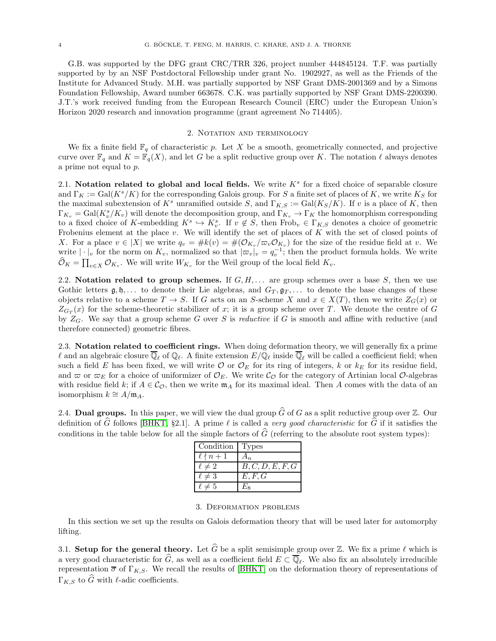G.B. was supported by the DFG grant CRC/TRR 326, project number 444845124. T.F. was partially supported by by an NSF Postdoctoral Fellowship under grant No. 1902927, as well as the Friends of the Institute for Advanced Study. M.H. was partially supported by NSF Grant DMS-2001369 and by a Simons Foundation Fellowship, Award number 663678. C.K. was partially supported by NSF Grant DMS-2200390. J.T.'s work received funding from the European Research Council (ERC) under the European Union's Horizon 2020 research and innovation programme (grant agreement No 714405).

### 2. NOTATION AND TERMINOLOGY

<span id="page-3-0"></span>We fix a finite field  $\mathbb{F}_q$  of characteristic p. Let X be a smooth, geometrically connected, and projective curve over  $\mathbb{F}_q$  and  $K = \mathbb{F}_q(X)$ , and let G be a split reductive group over K. The notation  $\ell$  always denotes a prime not equal to p.

2.1. Notation related to global and local fields. We write  $K<sup>s</sup>$  for a fixed choice of separable closure and  $\Gamma_K := \text{Gal}(K^s/K)$  for the corresponding Galois group. For S a finite set of places of K, we write  $K_S$  for the maximal subextension of  $K^s$  unramified outside S, and  $\Gamma_{K,S} := \text{Gal}(K_S/K)$ . If v is a place of K, then  $\Gamma_{K_v} = \text{Gal}(K_v^s/K_v)$  will denote the decomposition group, and  $\Gamma_{K_v} \to \Gamma_K$  the homomorphism corresponding to a fixed choice of K-embedding  $K^s \hookrightarrow K_v^s$ . If  $v \notin S$ , then  $Frob_v \in \Gamma_{K,S}$  denotes a choice of geometric Frobenius element at the place v. We will identify the set of places of K with the set of closed points of X. For a place  $v \in |X|$  we write  $q_v = \#k(v) = \#(\mathcal{O}_{K_v}/\varpi_v \mathcal{O}_{K_v})$  for the size of the residue field at v. We write  $|\cdot|_v$  for the norm on  $K_v$ , normalized so that  $|\varpi_v|_v = q_v^{-1}$ ; then the product formula holds. We write  $\widehat{\mathcal{O}}_K = \prod_{v \in X} \mathcal{O}_{K_v}$ . We will write  $W_{K_v}$  for the Weil group of the local field  $K_v$ .

2.2. Notation related to group schemes. If  $G, H, \ldots$  are group schemes over a base S, then we use Gothic letters  $\mathfrak{g}, \mathfrak{h}, \ldots$  to denote their Lie algebras, and  $G_T, \mathfrak{g}_T, \ldots$  to denote the base changes of these objects relative to a scheme  $T \to S$ . If G acts on an S-scheme X and  $x \in X(T)$ , then we write  $Z_G(x)$  or  $Z_{G_T}(x)$  for the scheme-theoretic stabilizer of x; it is a group scheme over T. We denote the centre of G by  $Z_G$ . We say that a group scheme G over S is *reductive* if G is smooth and affine with reductive (and therefore connected) geometric fibres.

2.3. Notation related to coefficient rings. When doing deformation theory, we will generally fix a prime  $\ell$  and an algebraic closure  $\overline{\mathbb{Q}}_{\ell}$  of  $\mathbb{Q}_{\ell}$ . A finite extension  $E/\mathbb{Q}_{\ell}$  inside  $\overline{\mathbb{Q}}_{\ell}$  will be called a coefficient field; when such a field E has been fixed, we will write  $\mathcal{O}$  or  $\mathcal{O}_E$  for its ring of integers, k or  $k_E$  for its residue field, and  $\varpi$  or  $\varpi_E$  for a choice of uniformizer of  $\mathcal{O}_E$ . We write  $\mathcal{C}_\mathcal{O}$  for the category of Artinian local  $\mathcal{O}$ -algebras with residue field k; if  $A \in \mathcal{C}_{\mathcal{O}}$ , then we write  $\mathfrak{m}_A$  for its maximal ideal. Then A comes with the data of an isomorphism  $k \cong A/\mathfrak{m}_A$ .

2.4. Dual groups. In this paper, we will view the dual group  $\widehat{G}$  of G as a split reductive group over Z. Our definition of  $\hat{G}$  follows [\[BHKT,](#page-32-2) §2.1]. A prime  $\ell$  is called a very good characteristic for  $\hat{G}$  if it satisfies the conditions in the table below for all the simple factors of  $\widehat{G}$  (referring to the absolute root system types):

| Condition Types  |                  |
|------------------|------------------|
| $\ell \nmid n+1$ | $A_n$            |
| $\ell \neq 2$    | B, C, D, E, F, G |
| $\ell \neq 3$    | E, F, G          |
| $\ell \neq 5$    | $F_{\rm c}$      |

#### 3. Deformation problems

<span id="page-3-1"></span>In this section we set up the results on Galois deformation theory that will be used later for automorphy lifting.

3.1. Setup for the general theory. Let  $\widehat{G}$  be a split semisimple group over Z. We fix a prime  $\ell$  which is a very good characteristic for G, as well as a coefficient field  $E \subset \mathbb{Q}_{\ell}$ . We also fix an absolutely irreducible representation  $\bar{\sigma}$  of  $\Gamma_{K,S}$ . We recall the results of [\[BHKT\]](#page-32-2) on the deformation theory of representations of  $\Gamma_{K,S}$  to  $\widehat{G}$  with  $\ell$ -adic coefficients.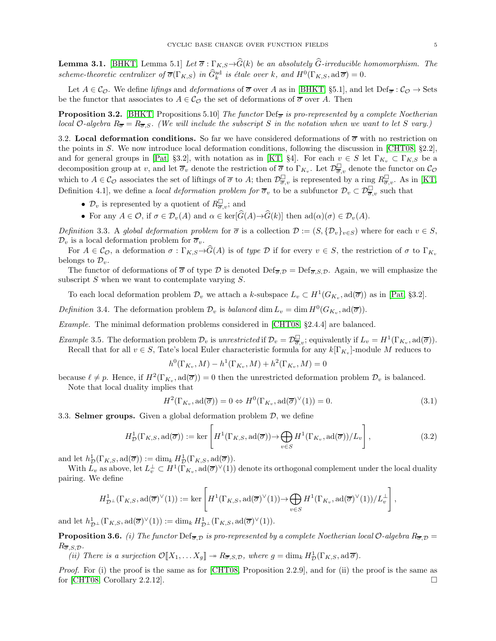**Lemma 3.1.** [\[BHKT,](#page-32-2) Lemma 5.1] Let  $\overline{\sigma}$ :  $\Gamma_{K,S} \rightarrow \widehat{G}(k)$  be an absolutely  $\widehat{G}$ -irreducible homomorphism. The scheme-theoretic centralizer of  $\overline{\sigma}(\Gamma_{K,S})$  in  $\widehat{G}_{k}^{\text{ad}}$  is étale over k, and  $H^{0}(\Gamma_{K,S}, \text{ad}\,\overline{\sigma}) = 0$ .

Let  $A \in \mathcal{C}_{\mathcal{O}}$ . We define lifings and deformations of  $\overline{\sigma}$  over A as in [\[BHKT,](#page-32-2) §5.1], and let  $\text{Def}_{\overline{\sigma}} : \mathcal{C}_{\mathcal{O}} \to \text{Sets}$ be the functor that associates to  $A \in \mathcal{C}_{\mathcal{O}}$  the set of deformations of  $\overline{\sigma}$  over A. Then

**Proposition 3.2.** [\[BHKT,](#page-32-2) Propositions 5.10] The functor Def<sub> $\overline{\sigma}$ </sub> is pro-represented by a complete Noetherian local O-algebra  $R_{\overline{\sigma}} = R_{\overline{\sigma},S}$ . (We will include the subscript S in the notation when we want to let S vary.)

3.2. Local deformation conditions. So far we have considered deformations of  $\overline{\sigma}$  with no restriction on the points in S. We now introduce local deformation conditions, following the discussion in [\[CHT08,](#page-33-11) §2.2], and for general groups in [\[Pat,](#page-34-2) §3.2], with notation as in [\[KT,](#page-33-12) §4]. For each  $v \in S$  let  $\Gamma_{K_v} \subset \Gamma_{K,S}$  be a decomposition group at v, and let  $\overline{\sigma}_v$  denote the restriction of  $\overline{\sigma}$  to  $\Gamma_{K_v}$ . Let  $\mathcal{D}_{\overline{\sigma},v}^{\square}$  denote the functor on  $\mathcal{C}_{\mathcal{O}}$ which to  $A \in \mathcal{C}_{\mathcal{O}}$  associates the set of liftings of  $\overline{\sigma}$  to A; then  $\mathcal{D}^{\square}_{\overline{\sigma},v}$  is represented by a ring  $R^{\square}_{\overline{\sigma},v}$ . As in [\[KT,](#page-33-12) Definition 4.1], we define a *local deformation problem for*  $\overline{\sigma}_v$  to be a subfunctor  $\mathcal{D}_v \subset \mathcal{D}_{\overline{\sigma},v}^{\square}$  such that

- $\mathcal{D}_v$  is represented by a quotient of  $R^{\square}_{\overline{\sigma},v}$ ; and
- For any  $A \in \mathcal{O}$ , if  $\sigma \in \mathcal{D}_v(A)$  and  $\alpha \in \text{ker}[\widehat{G}(A) \rightarrow \widehat{G}(k)]$  then  $ad(\alpha)(\sigma) \in \mathcal{D}_v(A)$ .

Definition 3.3. A global deformation problem for  $\overline{\sigma}$  is a collection  $\mathcal{D} := (S, \{ \mathcal{D}_v \}_{v \in S})$  where for each  $v \in S$ ,  $\mathcal{D}_v$  is a local deformation problem for  $\overline{\sigma}_v$ .

For  $A \in \mathcal{C}_{\mathcal{O}}$ , a deformation  $\sigma : \Gamma_{K,S} \to \widehat{G}(A)$  is of type  $\mathcal D$  if for every  $v \in S$ , the restriction of  $\sigma$  to  $\Gamma_{K,S}$ belongs to  $\mathcal{D}_v$ .

The functor of deformations of  $\overline{\sigma}$  of type D is denoted  $\text{Def}_{\overline{\sigma},\mathcal{D}} = \text{Def}_{\overline{\sigma},\mathcal{S},\mathcal{D}}$ . Again, we will emphasize the subscript  $S$  when we want to contemplate varying  $S$ .

To each local deformation problem  $\mathcal{D}_v$  we attach a k-subspace  $L_v \subset H^1(G_{K_v}, \text{ad}(\overline{\sigma}))$  as in [\[Pat,](#page-34-2) §3.2].

<span id="page-4-1"></span>Definition 3.4. The deformation problem  $\mathcal{D}_v$  is balanced dim  $L_v = \dim H^0(G_{K_v}, \text{ad}(\overline{\sigma}))$ .

Example. The minimal deformation problems considered in [\[CHT08,](#page-33-11) §2.4.4] are balanced.

<span id="page-4-2"></span>*Example* 3.5. The deformation problem  $\mathcal{D}_v$  is unrestricted if  $\mathcal{D}_v = \mathcal{D}_{\overline{\sigma},v}^{\square}$ ; equivalently if  $L_v = H^1(\Gamma_{K_v}, \text{ad}(\overline{\sigma}))$ . Recall that for all  $v \in S$ , Tate's local Euler characteristic formula for any  $k[\Gamma_{K_v}]$ -module M reduces to

$$
h^{0}(\Gamma_{K_v}, M) - h^{1}(\Gamma_{K_v}, M) + h^{2}(\Gamma_{K_v}, M) = 0
$$

because  $\ell \neq p$ . Hence, if  $H^2(\Gamma_{K_v}, \text{ad}(\overline{\sigma})) = 0$  then the unrestricted deformation problem  $\mathcal{D}_v$  is balanced. Note that local duality implies that

$$
H^{2}(\Gamma_{K_v}, \text{ad}(\overline{\sigma})) = 0 \Leftrightarrow H^{0}(\Gamma_{K_v}, \text{ad}(\overline{\sigma})^{\vee}(1)) = 0.
$$
\n(3.1)

3.3. **Selmer groups.** Given a global deformation problem  $\mathcal{D}$ , we define

$$
H^1_{\mathcal{D}}(\Gamma_{K,S}, \text{ad}(\overline{\sigma})) := \ker \left[ H^1(\Gamma_{K,S}, \text{ad}(\overline{\sigma})) \to \bigoplus_{v \in S} H^1(\Gamma_{K_v}, \text{ad}(\overline{\sigma})) / L_v \right],\tag{3.2}
$$

and let  $h^1_{\mathcal{D}}(\Gamma_{K,S}, \text{ad}(\overline{\sigma})) := \dim_k H^1_{\mathcal{D}}(\Gamma_{K,S}, \text{ad}(\overline{\sigma})).$ 

With  $L_v$  as above, let  $L_v^{\perp} \subset H^1(\Gamma_{K_v}, \text{ad}(\overline{\sigma})^{\vee}(1))$  denote its orthogonal complement under the local duality pairing. We define

$$
H^1_{\mathcal{D}^\perp}(\Gamma_{K,S},\mathrm{ad}(\overline{\sigma})^\vee(1)) := \ker \left[ H^1(\Gamma_{K,S},\mathrm{ad}(\overline{\sigma})^\vee(1)) \to \bigoplus_{v \in S} H^1(\Gamma_{K_v},\mathrm{ad}(\overline{\sigma})^\vee(1))/L_v^\perp \right],
$$

and let  $h_{\mathcal{D}^{\perp}}^1(\Gamma_{K,S},\mathrm{ad}(\overline{\sigma})^{\vee}(1)) := \dim_k H_{\mathcal{D}^{\perp}}^1(\Gamma_{K,S},\mathrm{ad}(\overline{\sigma})^{\vee}(1)).$ 

<span id="page-4-0"></span>**Proposition 3.6.** (i) The functor  $\text{Def}_{\overline{\sigma},\mathcal{D}}$  is pro-represented by a complete Noetherian local O-algebra  $R_{\overline{\sigma},\mathcal{D}} =$  $R_{\overline{\sigma},S,\mathcal{D}}$ .

(ii) There is a surjection  $\mathcal{O}[X_1, \ldots X_g] \twoheadrightarrow R_{\overline{\sigma},S,\mathcal{D}}$ , where  $g = \dim_k H^1_{\mathcal{D}}(\Gamma_{K,S}, \mathrm{ad}\,\overline{\sigma})$ .

Proof. For (i) the proof is the same as for [\[CHT08,](#page-33-11) Proposition 2.2.9], and for (ii) the proof is the same as for [\[CHT08,](#page-33-11) Corollary 2.2.12].  $\Box$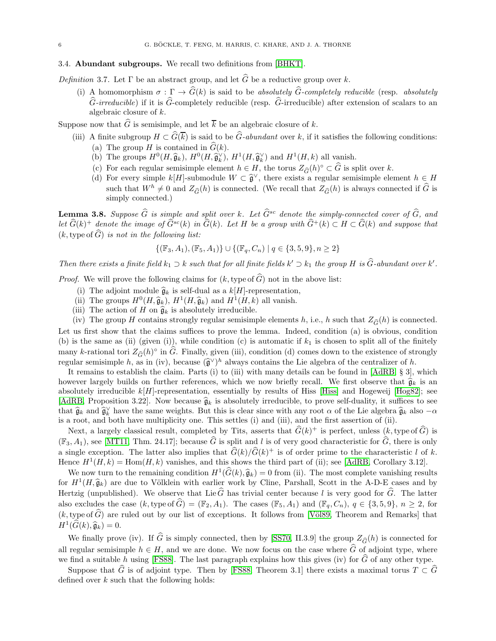### 3.4. Abundant subgroups. We recall two definitions from [\[BHKT\]](#page-32-2).

<span id="page-5-0"></span>Definition 3.7. Let  $\Gamma$  be an abstract group, and let  $\widehat{G}$  be a reductive group over k.

(i) A homomorphism  $\sigma : \Gamma \to \widehat{G}(k)$  is said to be absolutely  $\widehat{G}$ -completely reducible (resp. absolutely  $\hat{G}\text{-}irreducible$  if it is  $\hat{G}\text{-completely reducible}$  (resp.  $\hat{G}\text{-}irreducible$ ) after extension of scalars to an algebraic closure of k.

Suppose now that  $\widehat{G}$  is semisimple, and let  $\overline{k}$  be an algebraic closure of k.

- (iii) A finite subgroup  $H \subset \widehat{G}(\overline{k})$  is said to be  $\widehat{G}$ -abundant over k, if it satisfies the following conditions: (a) The group H is contained in  $\widehat{G}(k)$ .
	- (b) The groups  $H^0(H, \widehat{\mathfrak{g}}_k)$ ,  $H^0(H, \widehat{\mathfrak{g}}_k^{\vee})$ ,  $H^1(H, \widehat{\mathfrak{g}}_k^{\vee})$  and  $H^1(H, k)$  all vanish.
	- (c) For each regular semisimple element  $h \in H$ , the torus  $Z_{\widehat{G}}(h)^\circ \subset \widehat{G}$  is split over k.
	- (d) For every simple k[H]-submodule  $W \subset \hat{\mathfrak{g}}^{\vee}$ , there exists a regular semisimple element  $h \in H$ such that  $W^h \neq 0$  and  $Z_{\widehat{G}}(h)$  is connected. (We recall that  $Z_{\widehat{G}}(h)$  is always connected if  $\widehat{G}$  is simply connected.)

<span id="page-5-1"></span>**Lemma 3.8.** Suppose  $\widehat{G}$  is simple and split over k. Let  $\widehat{G}^{sc}$  denote the simply-connected cover of  $\widehat{G}$ , and let  $\widehat{G}(k)^+$  denote the image of  $\widehat{G}^{sc}(k)$  in  $\widehat{G}(k)$ . Let H be a group with  $\widehat{G}^+(k) \subset H \subset \widehat{G}(k)$  and suppose that  $(k, \text{type of } \widehat{G})$  is not in the following list:

$$
\{(\mathbb{F}_3, A_1), (\mathbb{F}_5, A_1)\} \cup \{(\mathbb{F}_q, C_n) \mid q \in \{3, 5, 9\}, n \ge 2\}
$$

Then there exists a finite field  $k_1 \supset k$  such that for all finite fields  $k' \supset k_1$  the group H is  $\widehat{G}$ -abundant over  $k'$ .

*Proof.* We will prove the following claims for  $(k, type of \hat{G})$  not in the above list:

- (i) The adjoint module  $\hat{g}_k$  is self-dual as a  $k[H]$ -representation,
- (ii) The groups  $H^0(H, \hat{g}_k)$ ,  $H^1(H, \hat{g}_k)$  and  $H^1(H, k)$  all vanish.
- (iii) The action of H on  $\widehat{\mathfrak{g}}_k$  is absolutely irreducible.

(iv) The group H contains strongly regular semisimple elements h, i.e., h such that  $Z_{\widehat{G}}(h)$  is connected. Let us first show that the claims suffices to prove the lemma. Indeed, condition (a) is obvious, condition (b) is the same as (ii) (given (i)), while condition (c) is automatic if  $k_1$  is chosen to split all of the finitely many k-rational tori  $Z_{\widehat{G}}(h)^\circ$  in  $\widehat{G}$ . Finally, given (iii), condition (d) comes down to the existence of strongly regular semisimple h, as in (iv), because  $(\widehat{\mathfrak{g}}^{\vee})^h$  always contains the Lie algebra of the centralizer of h.

It remains to establish the claim. Parts (i) to (iii) with many details can be found in  $[AdRB, § 3]$ , which however largely builds on further references, which we now briefly recall. We first observe that  $\hat{\mathfrak{g}}_k$  is an absolutely irreducible  $k[H]$ -representation, essentially by results of Hiss [\[Hiss\]](#page-33-13) and Hogeweij [\[Hog82\]](#page-33-14); see [\[AdRB,](#page-32-4) Proposition 3.22]. Now because  $\hat{g}_k$  is absolutely irreducible, to prove self-duality, it suffices to see that  $\hat{\mathfrak{g}}_k$  and  $\hat{\mathfrak{g}}_k^{\vee}$  have the same weights. But this is clear since with any root  $\alpha$  of the Lie algebra  $\hat{\mathfrak{g}}_k$  also  $-\alpha$ is a root, and both have multiplicity one. This settles (i) and (iii), and the first assertion of (ii).

Next, a largely classical result, completed by Tits, asserts that  $\widehat{G}(k)^+$  is perfect, unless  $(k, \text{type of } \widehat{G})$  is  $(\mathbb{F}_3, A_1)$ , see [\[MT11,](#page-34-3) Thm. 24.17]; because  $\widehat{G}$  is split and l is of very good characteristic for  $\widehat{G}$ , there is only a single exception. The latter also implies that  $\hat{G}(k)/\hat{G}(k)^+$  is of order prime to the characteristic l of k. Hence  $H^1(H, k) = \text{Hom}(H, k)$  vanishes, and this shows the third part of (ii); see [\[AdRB,](#page-32-4) Corollary 3.12].

We now turn to the remaining condition  $H^1(\widehat{G}(k), \widehat{g}_k) = 0$  from (ii). The most complete vanishing results for  $H^1(H, \hat{g}_k)$  are due to Völklein with earlier work by Cline, Parshall, Scott in the A-D-E cases and by Hertzig (unpublished). We observe that Lie  $\widehat{G}$  has trivial center because l is very good for  $\widehat{G}$ . The latter also excludes the case  $(k, \text{type of }\widehat{G}) = (\mathbb{F}_2, A_1)$ . The cases  $(\mathbb{F}_5, A_1)$  and  $(\mathbb{F}_q, C_n)$ ,  $q \in \{3, 5, 9\}$ ,  $n \geq 2$ , for (k, type of  $\widehat{G}$ ) are ruled out by our list of exceptions. It follows from [Völ89, Theorem and Remarks] that  $H^1(\widehat{G}(k),\widehat{\mathfrak{g}}_k) = 0.$ 

We finally prove (iv). If  $\hat{G}$  is simply connected, then by [\[SS70,](#page-34-5) II.3.9] the group  $Z_{\hat{G}}(h)$  is connected for all regular semisimple  $h \in H$ , and we are done. We now focus on the case where  $\widehat{G}$  of adjoint type, where we find a suitable h using [\[FS88\]](#page-33-15). The last paragraph explains how this gives (iv) for  $\hat{G}$  of any other type.

Suppose that  $\widehat{G}$  is of adjoint type. Then by [\[FS88,](#page-33-15) Theorem 3.1] there exists a maximal torus  $T \subset \widehat{G}$ defined over  $k$  such that the following holds: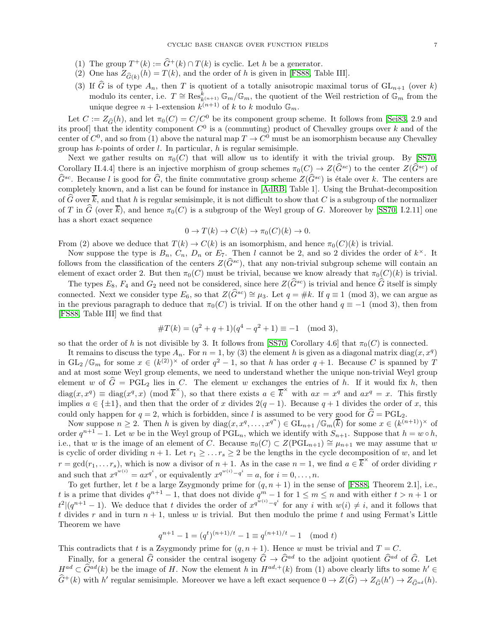- (1) The group  $T^+(k) := \hat{G}^+(k) \cap T(k)$  is cyclic. Let h be a generator.
- (2) One has  $Z_{\widehat{G}(k)}(h) = T(k)$ , and the order of h is given in [\[FS88,](#page-33-15) Table III].
- (3) If  $\widehat{G}$  is of type  $A_n$ , then T is quotient of a totally anisotropic maximal torus of  $GL_{n+1}$  (over k) modulo its center, i.e.  $T \cong \operatorname{Res}_{k(n+1)}^k \mathbb{G}_m / \mathbb{G}_m$ , the quotient of the Weil restriction of  $\mathbb{G}_m$  from the unique degree  $n+1$ -extension  $k^{(n+1)}$  of k to k modulo  $\mathbb{G}_m$ .

Let  $C := Z_{\widehat{G}}(h)$ , and let  $\pi_0(C) = C/C^0$  be its component group scheme. It follows from [\[Sei83,](#page-34-6) 2.9 and its proof] that the identity component  $C^0$  is a (commuting) product of Chevalley groups over k and of the center of  $C^0$ , and so from (1) above the natural map  $T \to C^0$  must be an isomorphism because any Chevalley group has  $k$ -points of order  $l$ . In particular,  $h$  is regular semisimple.

Next we gather results on  $\pi_0(C)$  that will allow us to identify it with the trivial group. By [\[SS70,](#page-34-5) Corollary II.4.4] there is an injective morphism of group schemes  $\pi_0(C) \to Z(\widehat{G}^{sc})$  to the center  $Z(\widehat{G}^{sc})$  of  $\hat{G}^{sc}$ . Because l is good for  $\hat{G}$ , the finite commutative group scheme  $Z(\hat{G}^{sc})$  is étale over k. The centers are completely known, and a list can be found for instance in [\[AdRB,](#page-32-4) Table 1]. Using the Bruhat-decomposition of  $\widehat{G}$  over  $\overline{k}$ , and that h is regular semisimple, it is not difficult to show that C is a subgroup of the normalizer of T in  $\widehat{G}$  (over  $\overline{k}$ ), and hence  $\pi_0(C)$  is a subgroup of the Weyl group of G. Moreover by [\[SS70,](#page-34-5) I.2.11] one has a short exact sequence

$$
0 \to T(k) \to C(k) \to \pi_0(C)(k) \to 0.
$$

From (2) above we deduce that  $T(k) \to C(k)$  is an isomorphism, and hence  $\pi_0(C)(k)$  is trivial.

Now suppose the type is  $B_n$ ,  $C_n$ ,  $D_n$  or  $E_7$ . Then l cannot be 2, and so 2 divides the order of  $k^{\times}$ . It follows from the classification of the centers  $Z(\widehat{G}^{sc})$ , that any non-trivial subgroup scheme will contain an element of exact order 2. But then  $\pi_0(C)$  must be trivial, because we know already that  $\pi_0(C)(k)$  is trivial.

The types  $E_8$ ,  $F_4$  and  $G_2$  need not be considered, since here  $Z(\widehat{G}^{sc})$  is trivial and hence  $\widehat{G}$  itself is simply connected. Next we consider type  $E_6$ , so that  $Z(\widehat{G}^{sc}) \cong \mu_3$ . Let  $q = \#k$ . If  $q \equiv 1 \pmod{3}$ , we can argue as in the previous paragraph to deduce that  $\pi_0(C)$  is trivial. If on the other hand  $q \equiv -1 \pmod{3}$ , then from [\[FS88,](#page-33-15) Table III] we find that

#T (k) = (q <sup>2</sup> + q + 1)(q <sup>4</sup> − q <sup>2</sup> + 1) ≡ −1 (mod 3),

so that the order of h is not divisible by 3. It follows from [\[SS70,](#page-34-5) Corollary 4.6] that  $\pi_0(C)$  is connected.

It remains to discuss the type  $A_n$ . For  $n = 1$ , by (3) the element h is given as a diagonal matrix diag $(x, x^q)$ in  $GL_2/\mathbb{G}_m$  for some  $x \in (k^{(2)})^\times$  of order  $q^2-1$ , so that h has order  $q+1$ . Because C is spanned by T and at most some Weyl group elements, we need to understand whether the unique non-trivial Weyl group element w of  $\hat{G} = \text{PGL}_2$  lies in C. The element w exchanges the entries of h. If it would fix h, then  $diag(x, x^q) \equiv diag(x^q, x) \pmod{\overline{k}^{\times}}$ , so that there exists  $a \in \overline{k}^{\times}$  with  $ax = x^q$  and  $ax^q = x$ . This firstly implies  $a \in \{\pm 1\}$ , and then that the order of x divides  $2(q-1)$ . Because  $q+1$  divides the order of x, this could only happen for  $q = 2$ , which is forbidden, since l is assumed to be very good for  $\hat{G} = \text{PGL}_2$ .

Now suppose  $n \geq 2$ . Then h is given by  $diag(x, x^q, \ldots, x^{q^n}) \in GL_{n+1}/\mathbb{G}_m(\overline{k})$  for some  $x \in (k^{(n+1)})^{\times}$  of order  $q^{n+1}-1$ . Let w be in the Weyl group of  $PGL_n$ , which we identify with  $S_{n+1}$ . Suppose that  $h=w\circ h$ , i.e., that w is the image of an element of C. Because  $\pi_0(C) \subset Z(PGL_{n+1}) \cong \mu_{n+1}$  we may assume that w is cyclic of order dividing  $n + 1$ . Let  $r_1 \geq \ldots r_s \geq 2$  be the lengths in the cycle decomposition of w, and let  $r = \gcd(r_1, \ldots r_s)$ , which is now a divisor of  $n + 1$ . As in the case  $n = 1$ , we find  $a \in \overline{k}^{\times}$  of order dividing r and such that  $x^{q^{w(i)}} = ax^{q^i}$ , or equivalently  $x^{q^{w(i)}-q^i} = a$ , for  $i = 0, ..., n$ .

To get further, let t be a large Zsygmondy prime for  $(q, n + 1)$  in the sense of [\[FS88,](#page-33-15) Theorem 2.1], i.e., t is a prime that divides  $q^{n+1} - 1$ , that does not divide  $q^m - 1$  for  $1 \le m \le n$  and with either  $t > n + 1$  or  $t^2|(q^{n+1}-1)$ . We deduce that t divides the order of  $x^{q^{w(i)}-q^i}$  for any i with  $w(i) \neq i$ , and it follows that t divides r and in turn  $n + 1$ , unless w is trivial. But then modulo the prime t and using Fermat's Little Theorem we have

$$
q^{n+1} - 1 = (q^t)^{(n+1)/t} - 1 \equiv q^{(n+1)/t} - 1 \pmod{t}
$$

This contradicts that t is a Zsygmondy prime for  $(q, n + 1)$ . Hence w must be trivial and  $T = C$ .

Finally, for a general  $\hat{G}$  consider the central isogeny  $\hat{G} \to \hat{G}^{ad}$  to the adjoint quotient  $\hat{G}^{ad}$  of  $\hat{G}$ . Let  $H^{ad} \subset \hat{G}^{ad}(k)$  be the image of H. Now the element h in  $H^{ad,+}(k)$  from (1) above clearly lifts to some  $h' \in \hat{G}^{ad}(k)$  $\hat{G}^+(k)$  with h' regular semisimple. Moreover we have a left exact sequence  $0 \to Z(\hat{G}) \to Z_{\hat{G}}(h') \to Z_{\hat{G}^{ad}}(h)$ .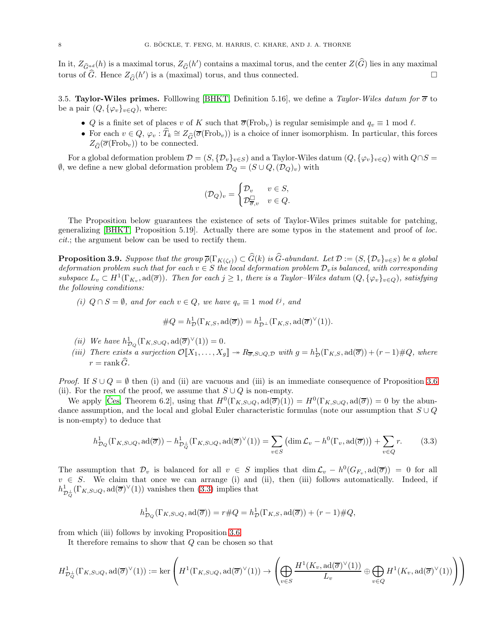In it,  $Z_{\hat{G}^{ad}}(h)$  is a maximal torus,  $Z_{\hat{G}}(h')$  contains a maximal torus, and the center  $Z(\hat{G})$  lies in any maximal torus of  $\widehat{G}$ . Hence  $Z_{\widehat{G}}(h')$  is a (maximal) torus, and thus connected.

<span id="page-7-2"></span>3.5. Taylor-Wiles primes. Folllowing [\[BHKT,](#page-32-2) Definition 5.16], we define a Taylor-Wiles datum for  $\overline{\sigma}$  to be a pair  $(Q, {\varphi_v}_{v \in Q})$ , where:

- Q is a finite set of places v of K such that  $\overline{\sigma}$ (Frob<sub>v</sub>) is regular semisimple and  $q_v \equiv 1 \mod l$ .
- For each  $v \in Q$ ,  $\varphi_v : \widehat{T}_k \cong Z_{\widehat{G}}(\overline{\sigma}(\text{Frob}_v))$  is a choice of inner isomorphism. In particular, this forces  $Z_{\widehat{\sigma}}(\overline{\sigma}(\text{Frob}_v))$  to be connected.

For a global deformation problem  $\mathcal{D} = (S, \{D_v\}_{v \in S})$  and a Taylor-Wiles datum  $(Q, \{\varphi_v\}_{v \in Q})$  with  $Q \cap S =$  $\emptyset$ , we define a new global deformation problem  $\mathcal{D}_Q = (S \cup Q, (\mathcal{D}_Q)_v)$  with

$$
(\mathcal{D}_Q)_v = \begin{cases} \mathcal{D}_v & v \in S, \\ \mathcal{D}_{\overline{\sigma},v}^\square & v \in Q. \end{cases}
$$

The Proposition below guarantees the existence of sets of Taylor-Wiles primes suitable for patching, generalizing [\[BHKT,](#page-32-2) Proposition 5.19]. Actually there are some typos in the statement and proof of loc. cit.; the argument below can be used to rectify them.

<span id="page-7-1"></span>**Proposition 3.9.** Suppose that the group  $\overline{\rho}(\Gamma_{K(\zeta_{\ell})}) \subset G(k)$  is G-abundant. Let  $\mathcal{D} := (S, {\{\mathcal{D}_v\}}_{v \in S})$  be a global deformation problem such that for each  $v \in S$  the local deformation problem  $\mathcal{D}_v$  is balanced, with corresponding subspace  $L_v \subset H^1(\Gamma_{K_v}, \text{ad}(\overline{\sigma}))$ . Then for each  $j \geq 1$ , there is a Taylor–Wiles datum  $(Q, {\{\varphi_v\}}_{v \in Q})$ , satisfying the following conditions:

(i)  $Q \cap S = \emptyset$ , and for each  $v \in Q$ , we have  $q_v \equiv 1 \mod l^j$ , and

$$
#Q = h^1_{\mathcal{D}}(\Gamma_{K,S}, \mathrm{ad}(\overline{\sigma})) = h^1_{\mathcal{D}^\perp}(\Gamma_{K,S}, \mathrm{ad}(\overline{\sigma})^\vee(1)).
$$

- (*ii*) We have  $h_{\mathcal{D}_Q}^1(\Gamma_{K,S\cup Q}, \text{ad}(\overline{\sigma})^{\vee}(1)) = 0.$
- (iii) There exists a surjection  $\mathcal{O}[X_1,\ldots,X_g] \to R_{\overline{\sigma},S\cup Q,\mathcal{D}}$  with  $g = h^1_{\mathcal{D}}(\Gamma_{K,S},\mathrm{ad}(\overline{\sigma})) + (r-1)\#Q$ , where  $r = \text{rank} \,\widehat{G}.$

*Proof.* If  $S \cup Q = \emptyset$  then (i) and (ii) are vacuous and (iii) is an immediate consequence of Proposition [3.6](#page-4-0) (ii). For the rest of the proof, we assume that  $S \cup Q$  is non-empty.

We apply [\[Ces,](#page-33-16) Theorem 6.2], using that  $H^0(\Gamma_{K,S\cup Q}, \text{ad}(\overline{\sigma})(1)) = H^0(\Gamma_{K,S\cup Q}, \text{ad}(\overline{\sigma})) = 0$  by the abundance assumption, and the local and global Euler characteristic formulas (note our assumption that  $S \cup Q$ is non-empty) to deduce that

<span id="page-7-0"></span>
$$
h_{\mathcal{D}_{Q}}^{1}(\Gamma_{K,S\cup Q},\mathrm{ad}(\overline{\sigma})) - h_{\mathcal{D}_{Q}^{\perp}}^{1}(\Gamma_{K,S\cup Q},\mathrm{ad}(\overline{\sigma})^{\vee}(1)) = \sum_{v\in S} \left(\dim \mathcal{L}_{v} - h^{0}(\Gamma_{v},\mathrm{ad}(\overline{\sigma}))\right) + \sum_{v\in Q} r.
$$
 (3.3)

The assumption that  $\mathcal{D}_v$  is balanced for all  $v \in S$  implies that  $\dim \mathcal{L}_v - h^0(G_{F_v}, \text{ad}(\overline{\sigma})) = 0$  for all  $v \in S$ . We claim that once we can arrange (i) and (ii), then (iii) follows automatically. Indeed, if  $h^1_{\mathcal{D}^{\perp}_{Q}}(\Gamma_{K,S\cup Q}, \mathrm{ad}(\overline{\sigma})^{\vee}(1))$  vanishes then  $(3.3)$  implies that

$$
h_{\mathcal{D}_{Q}}^{1}(\Gamma_{K,S\cup Q},\mathrm{ad}(\overline{\sigma}))=r\#Q=h_{\mathcal{D}}^{1}(\Gamma_{K,S},\mathrm{ad}(\overline{\sigma}))+ (r-1)\#Q,
$$

from which (iii) follows by invoking Proposition [3.6.](#page-4-0)

It therefore remains to show that  $Q$  can be chosen so that

$$
H^1_{\mathcal{D}^{\perp}_{Q}}(\Gamma_{K,S\cup Q},\mathrm{ad}(\overline{\sigma})^{\vee}(1)):=\ker\left(H^1(\Gamma_{K,S\cup Q},\mathrm{ad}(\overline{\sigma})^{\vee}(1))\rightarrow \left(\bigoplus_{v\in S}\frac{H^1(K_v,\mathrm{ad}(\overline{\sigma})^{\vee}(1))}{L_v}\oplus\bigoplus_{v\in Q}H^1(K_v,\mathrm{ad}(\overline{\sigma})^{\vee}(1))\right)\right)
$$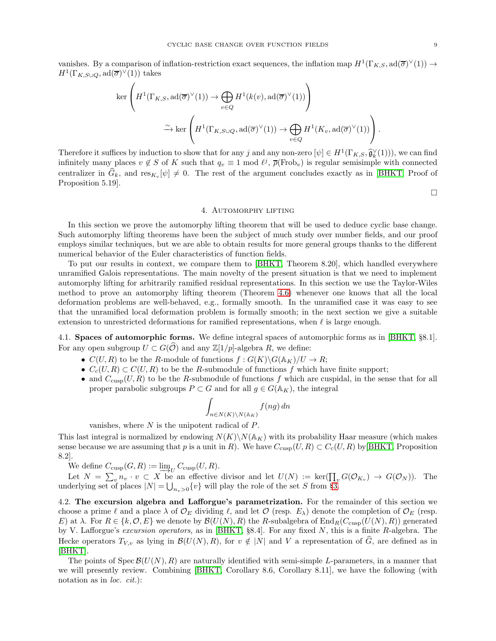vanishes. By a comparison of inflation-restriction exact sequences, the inflation map  $H^1(\Gamma_{K,S}, \text{ad}(\overline{\sigma})^{\vee}(1)) \to$  $H^1(\Gamma_{K,S\cup Q}, \mathrm{ad}(\overline{\sigma})^{\vee}(1))$  takes

$$
\ker\left(H^1(\Gamma_{K,S},\mathrm{ad}(\overline{\sigma})^{\vee}(1))\to\bigoplus_{v\in Q}H^1(k(v),\mathrm{ad}(\overline{\sigma})^{\vee}(1))\right)
$$

$$
\xrightarrow{\sim}\ker\left(H^1(\Gamma_{K,S\cup Q},\mathrm{ad}(\overline{\sigma})^{\vee}(1))\to\bigoplus_{v\in Q}H^1(K_v,\mathrm{ad}(\overline{\sigma})^{\vee}(1))\right).
$$

Therefore it suffices by induction to show that for any j and any non-zero  $[\psi] \in H^1(\Gamma_{K,S}, \widehat{\mathfrak{g}}_k^{\vee}(1))$ , we can find infinitely many places  $v \notin S$  of K such that  $q_v \equiv 1 \mod l^j$ ,  $\overline{\rho}(\text{Frob}_v)$  is regular semisimple with connected centralizer in  $G_k$ , and  $res_{K_v}[\psi] \neq 0$ . The rest of the argument concludes exactly as in [\[BHKT,](#page-32-2) Proof of Proposition 5.19].

 $\Box$ 

#### 4. Automorphy lifting

<span id="page-8-0"></span>In this section we prove the automorphy lifting theorem that will be used to deduce cyclic base change. Such automorphy lifting theorems have been the subject of much study over number fields, and our proof employs similar techniques, but we are able to obtain results for more general groups thanks to the different numerical behavior of the Euler characteristics of function fields.

To put our results in context, we compare them to [\[BHKT,](#page-32-2) Theorem 8.20], which handled everywhere unramified Galois representations. The main novelty of the present situation is that we need to implement automorphy lifting for arbitrarily ramified residual representations. In this section we use the Taylor-Wiles method to prove an automorphy lifting theorem (Theorem [4.6\)](#page-10-0) whenever one knows that all the local deformation problems are well-behaved, e.g., formally smooth. In the unramified case it was easy to see that the unramified local deformation problem is formally smooth; in the next section we give a suitable extension to unrestricted deformations for ramified representations, when  $\ell$  is large enough.

4.1. Spaces of automorphic forms. We define integral spaces of automorphic forms as in [\[BHKT,](#page-32-2) §8.1]. For any open subgroup  $U \subset G(\widehat{\mathcal{O}})$  and any  $\mathbb{Z}[1/p]$ -algebra R, we define:

- $C(U, R)$  to be the R-module of functions  $f : G(K) \backslash G(\mathbb{A}_{K})/U \to R$ ;
- $C_c(U, R) \subset C(U, R)$  to be the R-submodule of functions f which have finite support;
- and  $C_{\text{cusp}}(U, R)$  to be the R-submodule of functions f which are cuspidal, in the sense that for all proper parabolic subgroups  $P \subset G$  and for all  $g \in G(\mathbb{A}_K)$ , the integral

$$
\int_{n\in N(K)\backslash N(\mathbb{A}_K)} f(ng) \, dn
$$

vanishes, where  $N$  is the unipotent radical of  $P$ .

This last integral is normalized by endowing  $N(K)\backslash N(\mathbb{A}_K)$  with its probability Haar measure (which makes sense because we are assuming that p is a unit in R). We have  $C_{\text{cusp}}(U, R) \subset C_c(U, R)$  by [\[BHKT,](#page-32-2) Proposition 8.2].

We define  $C_{\text{cusp}}(G, R) := \varinjlim_U C_{\text{cusp}}(U, R).$ 

Let  $N = \sum_{v} n_v \cdot v \subset X$  be an effective divisor and let  $U(N) := \ker(\prod_{v} G(\mathcal{O}_{K_v}) \to G(\mathcal{O}_N))$ . The underlying set of places  $|N| = \bigcup_{n_v>0} \{v\}$  will play the role of the set S from §[3.](#page-3-1)

<span id="page-8-1"></span>4.2. The excursion algebra and Lafforgue's parametrization. For the remainder of this section we choose a prime  $\ell$  and a place  $\lambda$  of  $\mathcal{O}_E$  dividing  $\ell$ , and let  $\mathcal{O}$  (resp.  $E_\lambda$ ) denote the completion of  $\mathcal{O}_E$  (resp. E) at  $\lambda$ . For  $R \in \{k, \mathcal{O}, E\}$  we denote by  $\mathcal{B}(U(N), R)$  the R-subalgebra of  $\text{End}_R(C_{\text{cusp}}(U(N), R))$  generated by V. Lafforgue's *excursion operators*, as in [\[BHKT,](#page-32-2)  $\S 8.4$ ]. For any fixed N, this is a finite R-algebra. The Hecke operators  $T_{V,v}$  as lying in  $\mathcal{B}(U(N), R)$ , for  $v \notin |N|$  and V a representation of  $\widehat{G}$ , are defined as in [\[BHKT\]](#page-32-2).

The points of  $Spec \mathcal{B}(U(N), R)$  are naturally identified with semi-simple L-parameters, in a manner that we will presently review. Combining [\[BHKT,](#page-32-2) Corollary 8.6, Corollary 8.11], we have the following (with notation as in loc. cit.):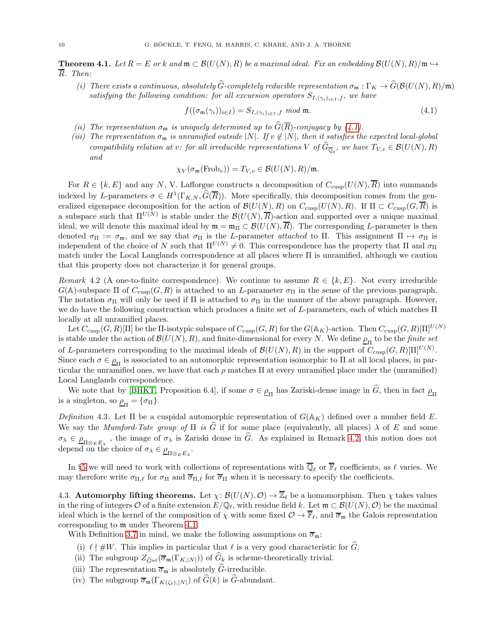<span id="page-9-2"></span>**Theorem 4.1.** Let  $R = E$  or k and  $\mathfrak{m} \subset \mathcal{B}(U(N), R)$  be a maximal ideal. Fix an embedding  $\mathcal{B}(U(N), R)/\mathfrak{m} \rightarrow$ R. Then:

(i) There exists a continuous, absolutely  $\widehat{G}$ -completely reducible representation  $\sigma_{\mathfrak{m}} : \Gamma_K \to \widehat{G}(\mathcal{B}(U(N), R)/\mathfrak{m})$ satisfying the following condition: for all excursion operators  $S_{I,(\gamma_i)_{i\in I},f}$ , we have

<span id="page-9-0"></span>
$$
f((\sigma_{\mathfrak{m}}(\gamma_i))_{i \in I}) = S_{I, (\gamma_i)_{i \in I}, f} \mod \mathfrak{m}.
$$
\n
$$
(4.1)
$$

- (ii) The representation  $\sigma_{\mathfrak{m}}$  is uniquely determined up to  $\widehat{G}(\overline{R})$ -conjugacy by [\(4.1\)](#page-9-0).
- (iii) The representation  $\sigma_{\mathfrak{m}}$  is unramified outside |N|. If  $v \notin |N|$ , then it satisfies the expected local-global compatibility relation at v: for all irreducible representations V of  $G_{\overline{\mathbb{Q}}_\ell}$ , we have  $T_{V,v} \in \mathcal{B}(U(N),R)$ and

$$
\chi_V(\sigma_{\mathfrak{m}}(\mathrm{Frob}_v)) = T_{V,v} \in \mathcal{B}(U(N),R)/\mathfrak{m}.
$$

For  $R \in \{k, E\}$  and any N, V. Lafforgue constructs a decomposition of  $C_{\text{cusp}}(U(N), \overline{R})$  into summands indexed by L-parameters  $\sigma \in H^1(\Gamma_{K,N}, \widehat{G}(\overline{R}))$ . More specifically, this decomposition comes from the generalized eigenspace decomposition for the action of  $\mathcal{B}(U(N), R)$  on  $C_{\text{cusp}}(U(N), R)$ . If  $\Pi \subset C_{\text{cusp}}(G, \overline{R})$  is a subspace such that  $\Pi^{U(N)}$  is stable under the  $\mathcal{B}(U(N), \overline{R})$ -action and supported over a unique maximal ideal, we will denote this maximal ideal by  $\mathfrak{m} = \mathfrak{m}_{\Pi} \subset \mathcal{B}(U(N), \overline{R})$ . The corresponding L-parameter is then denoted  $\sigma_{\Pi} := \sigma_{\mathfrak{m}}$ , and we say that  $\sigma_{\Pi}$  is the L-parameter *attached* to  $\Pi$ . This assignment  $\Pi \mapsto \sigma_{\Pi}$  is independent of the choice of N such that  $\Pi^{U(N)} \neq 0$ . This correspondence has the property that  $\Pi$  and  $\sigma_{\Pi}$ match under the Local Langlands correspondence at all places where Π is unramified, although we caution that this property does not characterize it for general groups.

<span id="page-9-1"></span>Remark 4.2 (A one-to-finite correspondence). We continue to assume  $R \in \{k, E\}$ . Not every irreducible  $G(A)$ -subspace  $\Pi$  of  $C_{\text{cusp}}(G, R)$  is attached to an L-parameter  $\sigma_{\Pi}$  in the sense of the previous paragraph. The notation  $\sigma_{\Pi}$  will only be used if  $\Pi$  is attached to  $\sigma_{\Pi}$  in the manner of the above paragraph. However, we do have the following construction which produces a finite set of L-parameters, each of which matches  $\Pi$ locally at all unramified places.

Let  $C_{\text{cusp}}(G, R)[\Pi]$  be the  $\Pi$ -isotypic subspace of  $C_{\text{cusp}}(G, R)$  for the  $G(\mathbb{A}_K)$ -action. Then  $C_{\text{cusp}}(G, R)[\Pi]^{U(N)}$ is stable under the action of  $\mathcal{B}(U(N),R),$  and finite-dimensional for every N. We define  $\underline{\rho}_{\Pi}$  to be the *finite set* of L-parameters corresponding to the maximal ideals of  $\mathcal{B}(U(N), R)$  in the support of  $C_{\text{cusp}}(G, R)[\Pi]^{U(N)}$ . Since each  $\sigma \in \rho_{\Pi}$  is associated to an automorphic representation isomorphic to  $\Pi$  at all local places, in particular the unramified ones, we have that each  $\rho$  matches  $\Pi$  at every unramified place under the (unramified) Local Langlands correspondence.

We note that by [\[BHKT,](#page-32-2) Proposition 6.4], if some  $\sigma \in \rho_{\Pi}$  has Zariski-dense image in G, then in fact  $\rho_{\Pi}$ is a singleton, so  $\rho_{\Pi} = {\sigma_{\Pi}}.$ 

<span id="page-9-3"></span>Definition 4.3. Let  $\Pi$  be a cuspidal automorphic representation of  $G(\mathbb{A}_K)$  defined over a number field E. We say the *Mumford-Tate group of*  $\Pi$  is  $\widehat{G}$  if for some place (equivalently, all places)  $\lambda$  of E and some  $\sigma_{\lambda} \in \underline{\rho}_{\Pi \otimes_E E_{\lambda}}$ , the image of  $\sigma_{\lambda}$  is Zariski dense in G. As explained in Remark [4.2,](#page-9-1) this notion does not depend on the choice of  $\sigma_{\lambda} \in \underline{\rho}_{\Pi \otimes_E E_{\lambda}}$ .

In §[5](#page-12-0) we will need to work with collections of representations with  $\overline{\mathbb{Q}}_{\ell}$  or  $\overline{\mathbb{F}}_{\ell}$  coefficients, as  $\ell$  varies. We may therefore write  $\sigma_{\Pi,\ell}$  for  $\sigma_{\Pi}$  and  $\overline{\sigma}_{\Pi,\ell}$  for  $\overline{\sigma}_{\Pi}$  when it is necessary to specify the coefficients.

4.3. **Automorphy lifting theorems.** Let  $\chi: \mathcal{B}(U(N), \mathcal{O}) \to \overline{\mathbb{Z}}_{\ell}$  be a homomorphism. Then  $\chi$  takes values in the ring of integers O of a finite extension  $E/\mathbb{Q}_\ell$ , with residue field k. Let  $\mathfrak{m} \subset \mathcal{B}(U(N), \mathcal{O})$  be the maximal ideal which is the kernel of the composition of  $\chi$  with some fixed  $\mathcal{O} \to \overline{\mathbb{F}}_{\ell}$ , and  $\overline{\sigma}_{\mathfrak{m}}$  the Galois representation corresponding to m under Theorem [4.1.](#page-9-2)

With Definition [3.7](#page-5-0) in mind, we make the following assumptions on  $\overline{\sigma}_{\mathfrak{m}}$ :

- (i)  $\ell \nmid \#W$ . This implies in particular that  $\ell$  is a very good characteristic for  $\widehat{G}$ .
- (ii) The subgroup  $Z_{\hat{G}^{ad}}(\overline{\sigma}_{\mathfrak{m}}(\Gamma_{K,|N|}))$  of  $G_k$  is scheme-theoretically trivial.
- (iii) The representation  $\overline{\sigma}_{\mathfrak{m}}$  is absolutely  $\widehat{G}$ -irreducible.
- (iv) The subgroup  $\overline{\sigma}_{\mathfrak{m}}(\Gamma_{K(\zeta_0),|N|})$  of  $\widehat{G}(k)$  is  $\widehat{G}$ -abundant.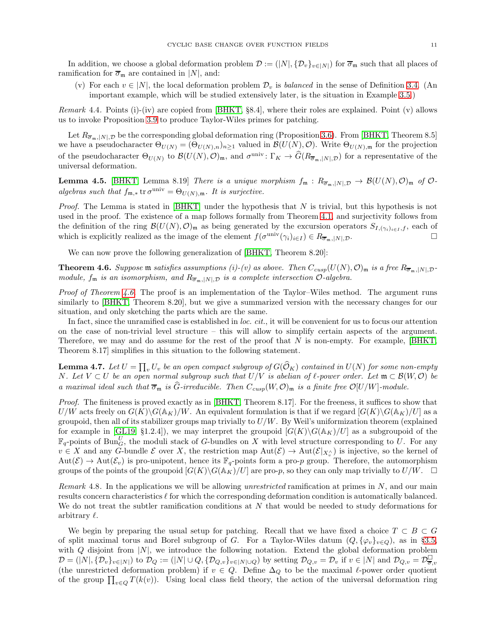In addition, we choose a global deformation problem  $\mathcal{D} := (|N|, {\{\mathcal{D}_v\}}_{v \in |N|})$  for  $\overline{\sigma}_{\mathfrak{m}}$  such that all places of ramification for  $\overline{\sigma}_{\mathfrak{m}}$  are contained in |N|, and:

(v) For each  $v \in |N|$ , the local deformation problem  $\mathcal{D}_v$  is balanced in the sense of Definition [3.4.](#page-4-1) (An important example, which will be studied extensively later, is the situation in Example [3.5.](#page-4-2))

Remark 4.4. Points (i)-(iv) are copied from [\[BHKT,](#page-32-2) §8.4], where their roles are explained. Point (v) allows us to invoke Proposition [3.9](#page-7-1) to produce Taylor-Wiles primes for patching.

Let  $R_{\overline{\sigma}_m,|N|,\mathcal{D}}$  be the corresponding global deformation ring (Proposition [3.6\)](#page-4-0). From [\[BHKT,](#page-32-2) Theorem 8.5] we have a pseudocharacter  $\Theta_{U(N)} = (\Theta_{U(N),n})_{n\geq 1}$  valued in  $\mathcal{B}(U(N),\mathcal{O})$ . Write  $\Theta_{U(N),m}$  for the projection of the pseudocharacter  $\Theta_{U(N)}$  to  $\mathcal{B}(U(N),\mathcal{O})_{\mathfrak{m}}$ , and  $\sigma^{\text{univ}}\colon \Gamma_K \to \widehat{G}(R_{\overline{\sigma}_\mathfrak{m},[N],\mathcal{D}})$  for a representative of the universal deformation.

<span id="page-10-1"></span>**Lemma 4.5.** [\[BHKT,](#page-32-2) Lemma 8.19] There is a unique morphism  $f_m: R_{\overline{\sigma}_m, |N|, \mathcal{D}} \to \mathcal{B}(U(N), \mathcal{O})_m$  of  $\mathcal{O}$ algebras such that  $f_{\mathfrak{m},*}$  tr $\sigma^{\text{univ}} = \Theta_{U(N),\mathfrak{m}}$ . It is surjective.

*Proof.* The Lemma is stated in [\[BHKT\]](#page-32-2) under the hypothesis that  $N$  is trivial, but this hypothesis is not used in the proof. The existence of a map follows formally from Theorem [4.1,](#page-9-2) and surjectivity follows from the definition of the ring  $\mathcal{B}(U(N), \mathcal{O})_{\mathfrak{m}}$  as being generated by the excursion operators  $S_{I,(\gamma_i)_{i\in I},f}$ , each of which is explicitly realized as the image of the element  $f(\sigma^{\text{univ}}(\gamma_i)_{i\in I}) \in R_{\overline{\sigma}_m, |N|, \mathcal{D}}$ .

We can now prove the following generalization of [\[BHKT,](#page-32-2) Theorem 8.20]:

<span id="page-10-0"></span>**Theorem 4.6.** Suppose m satisfies assumptions (i)-(v) as above. Then  $C_{cusp}(U(N), \mathcal{O})_m$  is a free  $R_{\overline{\sigma}_m, |N|, \mathcal{D}}$ module,  $f_m$  is an isomorphism, and  $R_{\overline{\sigma}_m, |N|, \mathcal{D}}$  is a complete intersection  $\mathcal{O}$ -algebra.

*Proof of Theorem [4.6.](#page-10-0)* The proof is an implementation of the Taylor–Wiles method. The argument runs similarly to [\[BHKT,](#page-32-2) Theorem 8.20], but we give a summarized version with the necessary changes for our situation, and only sketching the parts which are the same.

In fact, since the unramified case is established in loc. cit., it will be convenient for us to focus our attention on the case of non-trivial level structure – this will allow to simplify certain aspects of the argument. Therefore, we may and do assume for the rest of the proof that  $N$  is non-empty. For example, [\[BHKT,](#page-32-2) Theorem 8.17] simplifies in this situation to the following statement.

<span id="page-10-2"></span>**Lemma 4.7.** Let  $U = \prod_v U_v$  be an open compact subgroup of  $G(\widehat{\mathcal{O}}_K)$  contained in  $U(N)$  for some non-empty N. Let  $V \subset U$  be an open normal subgroup such that  $U/V$  is abelian of  $\ell$ -power order. Let  $\mathfrak{m} \subset \mathcal{B}(W, \mathcal{O})$  be a maximal ideal such that  $\overline{\sigma}_{\mathfrak{m}}$  is  $\widehat{G}$ -irreducible. Then  $C_{cusp}(W, \mathcal{O})_{\mathfrak{m}}$  is a finite free  $\mathcal{O}[U/W]$ -module.

Proof. The finiteness is proved exactly as in [\[BHKT,](#page-32-2) Theorem 8.17]. For the freeness, it suffices to show that  $U/W$  acts freely on  $G(K)\backslash G(\mathbb{A}_K)/W$ . An equivalent formulation is that if we regard  $[G(K)\backslash G(\mathbb{A}_K)/U]$  as a groupoid, then all of its stabilizer groups map trivially to  $U/W$ . By Weil's uniformization theorem (explained for example in [\[GL19,](#page-33-17) §1.2.4]), we may interpret the groupoid  $[G(K)\backslash G(\mathbb{A}_K)/U]$  as a subgroupoid of the  $\mathbb{F}_q$ -points of Bun $_G^U$ , the moduli stack of G-bundles on X with level structure corresponding to U. For any  $v \in X$  and any G-bundle E over X, the restriction map  $\text{Aut}(\mathcal{E}) \to \text{Aut}(\mathcal{E}|_{X_v^{\wedge}})$  is injective, so the kernel of  $Aut(\mathcal{E}) \to Aut(\mathcal{E}_v)$  is pro-unipotent, hence its  $\mathbb{F}_q$ -points form a pro-p group. Therefore, the automorphism groups of the points of the groupoid  $[G(K)\backslash G(\mathbb{A}_K)/U]$  are pro-p, so they can only map trivially to  $U/W$ .

Remark 4.8. In the applications we will be allowing unrestricted ramification at primes in  $N$ , and our main results concern characteristics ℓ for which the corresponding deformation condition is automatically balanced. We do not treat the subtler ramification conditions at  $N$  that would be needed to study deformations for arbitrary  $\ell$ .

We begin by preparing the usual setup for patching. Recall that we have fixed a choice  $T \subset B \subset G$ of split maximal torus and Borel subgroup of G. For a Taylor-Wiles datum  $(Q, {\{\varphi_v\}}_{v\in Q})$ , as in §[3.5,](#page-7-2) with  $Q$  disjoint from  $|N|$ , we introduce the following notation. Extend the global deformation problem  $\mathcal{D} = (N | \mathcal{N}, {\{\mathcal{D}_v\}}_{v \in N})$  to  $\mathcal{D}_Q := (N | \cup Q, {\{\mathcal{D}_{Q,v}\}}_{v \in N | \cup Q})$  by setting  $\mathcal{D}_{Q,v} = \mathcal{D}_v$  if  $v \in N |$  and  $\mathcal{D}_{Q,v} = \mathcal{D}_{\overline{\sigma},v}^{\square}$ (the unrestricted deformation problem) if  $v \in Q$ . Define  $\Delta_Q$  to be the maximal  $\ell$ -power order quotient of the group  $\prod_{v\in Q} T(k(v))$ . Using local class field theory, the action of the universal deformation ring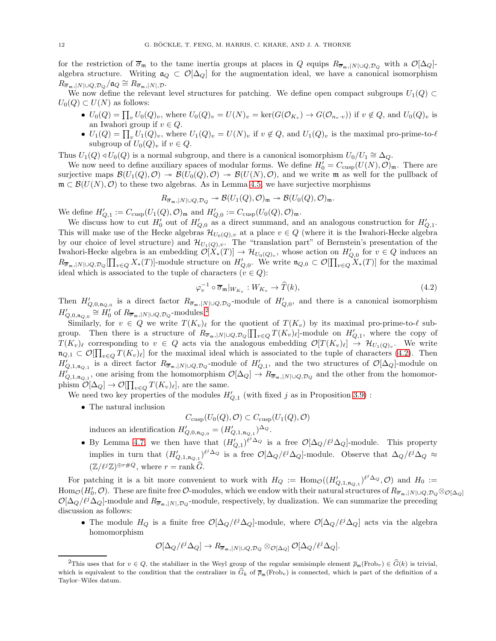for the restriction of  $\overline{\sigma}_{\mathfrak{m}}$  to the tame inertia groups at places in Q equips  $R_{\overline{\sigma}_{\mathfrak{m}},|N|\cup Q,\mathcal{D}_Q}$  with a  $\mathcal{O}[\Delta_Q]$ algebra structure. Writing  $\mathfrak{a}_Q \subset \mathcal{O}[\Delta_Q]$  for the augmentation ideal, we have a canonical isomorphism  $R^{\text{L}}_{\overline{\sigma}_{\mathfrak{m}},|N|\cup Q, \mathcal{D}_{Q}}/\mathfrak{a}_{Q} \cong R_{\overline{\sigma}_{\mathfrak{m}},|N|, \mathcal{D}}.$ 

We now define the relevant level structures for patching. We define open compact subgroups  $U_1(Q) \subset$  $U_0(Q) \subset U(N)$  as follows:

- $U_0(Q) = \prod_v U_0(Q)_v$ , where  $U_0(Q)_v = U(N)_v = \ker(G(\mathcal{O}_{K_v}) \to G(\mathcal{O}_{n_v \cdot v}))$  if  $v \notin Q$ , and  $U_0(Q)_v$  is an Iwahori group if  $v \in Q$ .
- $U_1(Q) = \prod_v U_1(Q)_v$ , where  $U_1(Q)_v = U(N)_v$  if  $v \notin Q$ , and  $U_1(Q)_v$  is the maximal pro-prime-to- $\ell$ subgroup of  $U_0(Q)_v$  if  $v \in Q$ .

Thus  $U_1(Q) \triangleleft U_0(Q)$  is a normal subgroup, and there is a canonical isomorphism  $U_0/U_1 \cong \Delta_Q$ .

We now need to define auxiliary spaces of modular forms. We define  $H'_0 = C_{\text{cusp}}(U(N), \mathcal{O})_{\mathfrak{m}}$ . There are surjective maps  $\mathcal{B}(U_1(Q), \mathcal{O}) \to \mathcal{B}(U_0(Q), \mathcal{O}) \to \mathcal{B}(U(N), \mathcal{O})$ , and we write m as well for the pullback of  $\mathfrak{m} \subset \mathcal{B}(U(N), \mathcal{O})$  to these two algebras. As in Lemma [4.5,](#page-10-1) we have surjective morphisms

$$
R_{\overline{\sigma}_{\mathfrak{m}},|N|\cup Q,\mathcal{D}_{Q}} \twoheadrightarrow \mathcal{B}(U_1(Q),\mathcal{O})_{\mathfrak{m}} \twoheadrightarrow \mathcal{B}(U_0(Q),\mathcal{O})_{\mathfrak{m}}.
$$

We define  $H'_{Q,1} := C_{\text{cusp}}(U_1(Q), \mathcal{O})_{\mathfrak{m}}$  and  $H'_{Q,0} := C_{\text{cusp}}(U_0(Q), \mathcal{O})_{\mathfrak{m}}$ .

We discuss how to cut  $H'_0$  out of  $H'_{Q,0}$  as a direct summand, and an analogous construction for  $H'_{Q,1}$ . This will make use of the Hecke algebras  $\mathcal{H}_{U_0(Q),v}$  at a place  $v \in Q$  (where it is the Iwahori-Hecke algebra by our choice of level structure) and  $\mathcal{H}_{U_1(Q),v}$ . The "translation part" of Bernstein's presentation of the Iwahori-Hecke algebra is an embedding  $\mathcal{O}[X_*(T)] \to \mathcal{H}_{U_0(Q)_v}$ , whose action on  $H'_{Q,0}$  for  $v \in Q$  induces an  $R_{\overline{\sigma}_{\mathfrak{m}},N|\cup Q,\mathcal{D}_Q}[\prod_{v\in Q}X_*(T)]$ -module structure on  $H'_{Q,0}$ . We write  $\mathfrak{n}_{Q,0}\subset \mathcal{O}[\prod_{v\in Q}X_*(T)]$  for the maximal ideal which is associated to the tuple of characters  $(v \in Q)$ :

<span id="page-11-1"></span>
$$
\varphi_v^{-1} \circ \overline{\sigma}_{\mathfrak{m}}|_{W_{K_v}} : W_{K_v} \to \widehat{T}(k), \tag{4.2}
$$

Then  $H'_{Q,0,n_{Q,0}}$  is a direct factor  $R_{\overline{\sigma}_{m},|N|\cup Q,\mathcal{D}_{Q}}$ -module of  $H'_{Q,0}$ , and there is a canonical isomorphism  $H'_{Q,0,\mathfrak{n}_{Q,0}} \cong H'_0$  of  $R_{\overline{\sigma}_{\mathfrak{m}},|N|\cup Q,\mathcal{D}_Q}$ -modules.<sup>[2](#page-11-0)</sup>

Similarly, for  $v \in Q$  we write  $T(K_v)_{\ell}$  for the quotient of  $T(K_v)$  by its maximal pro-prime-to- $\ell$  subgroup. Then there is a structure of  $R_{\overline{\sigma}_m,|N|\cup Q,\mathcal{D}_Q}[\prod_{v\in Q}T(K_v)_\ell]$ -module on  $H'_{Q,1}$ , where the copy of  $T(K_v)_\ell$  corresponding to  $v \in Q$  acts via the analogous embedding  $\mathcal{O}[T(K_v)_\ell] \to \mathcal{H}_{U_1(Q)_v}$ . We write  $\mathfrak{n}_{Q,1} \subset \mathcal{O}[\prod_{v\in Q} T(K_v)_{\ell}]$  for the maximal ideal which is associated to the tuple of characters [\(4.2\)](#page-11-1). Then  $H'_{Q,1,n_{Q,1}}$  is a direct factor  $R_{\overline{\sigma}_m,|N|\cup Q,\mathcal{D}_Q}$ -module of  $H'_{Q,1}$ , and the two structures of  $\mathcal{O}[\Delta_Q]$ -module on  $H'_{Q,1,n_{Q,1}}$ , one arising from the homomorphism  $\mathcal{O}[\Delta_Q] \to R_{\overline{\sigma}_m,|N| \cup Q,\mathcal{D}_Q}$  and the other from the homomorphism  $\mathcal{O}[\Delta_Q] \to \mathcal{O}[\prod_{v \in Q} T(K_v)_\ell],$  are the same.

We need two key properties of the modules  $H'_{Q,1}$  (with fixed j as in Proposition [3.9\)](#page-7-1):

• The natural inclusion

$$
C_{\text{cusp}}(U_0(Q), \mathcal{O}) \subset C_{\text{cusp}}(U_1(Q), \mathcal{O})
$$

induces an identification  $H'_{Q,0,n_{Q,0}} = (H'_{Q,1,n_{Q,1}})^{\Delta_Q}$ .

• By Lemma [4.7,](#page-10-2) we then have that  $(H'_{Q,1})^{\ell^j \Delta_Q}$  is a free  $\mathcal{O}[\Delta_Q/\ell^j \Delta_Q]$ -module. This property implies in turn that  $(H'_{Q,1,n_{Q,1}})^{\ell^j \Delta_Q}$  is a free  $\mathcal{O}[\Delta_Q/\ell^j \Delta_Q]$ -module. Observe that  $\Delta_Q/\ell^j \Delta_Q \approx$  $(\mathbb{Z}/\ell^{j}\mathbb{Z})^{\oplus r \neq Q}$ , where  $r = \text{rank}\,\widehat{G}$ .

For patching it is a bit more convenient to work with  $H_Q := \text{Hom}_{\mathcal{O}}((H'_{Q,1,n_{Q,1}})^{\ell^j \Delta_Q}, \mathcal{O})$  and  $H_0 :=$  $\text{Hom}_{\mathcal{O}}(H_0',\mathcal{O})$ . These are finite free  $\mathcal{O}\text{-modules}$ , which we endow with their natural structures of  $R_{\overline{\sigma}_m,|N|\cup Q,D_Q}\otimes_{\mathcal{O}[\Delta_Q]}$  $\mathcal{O}[\Delta_Q/\ell^j\Delta_Q]$ -module and  $R_{\overline{\sigma}_m,|N|, \mathcal{D}_Q}$ -module, respectively, by dualization. We can summarize the preceding discussion as follows:

• The module  $H_Q$  is a finite free  $\mathcal{O}[\Delta_Q/\ell^j\Delta_Q]$ -module, where  $\mathcal{O}[\Delta_Q/\ell^j\Delta_Q]$  acts via the algebra homomorphism

$$
\mathcal{O}[\Delta_Q/\ell^j \Delta_Q] \to R_{\overline{\sigma}_m,|N| \cup Q,\mathcal{D}_Q} \otimes_{\mathcal{O}[\Delta_Q]} \mathcal{O}[\Delta_Q/\ell^j \Delta_Q].
$$

<span id="page-11-0"></span><sup>&</sup>lt;sup>2</sup>This uses that for  $v \in Q$ , the stabilizer in the Weyl group of the regular semisimple element  $\overline{\rho}_m(\text{Frob}_v) \in \widehat{G}(k)$  is trivial, which is equivalent to the condition that the centralizer in  $\hat{G}_k$  of  $\overline{\rho}_{\mathfrak{m}}(\text{Frob}_v)$  is connected, which is part of the definition of a Taylor–Wiles datum.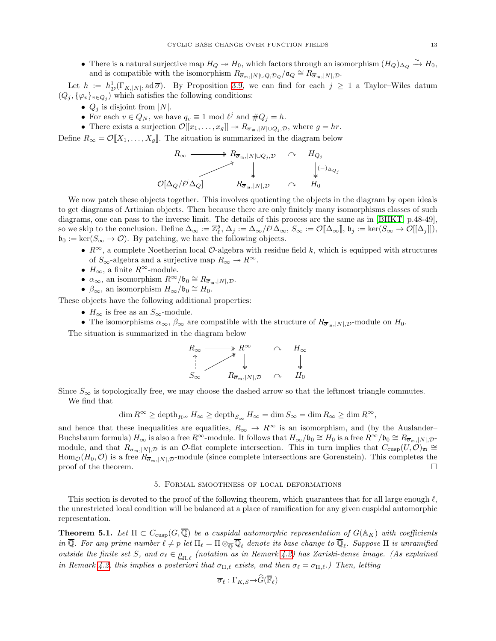• There is a natural surjective map  $H_Q \twoheadrightarrow H_0$ , which factors through an isomorphism  $(H_Q)_{\Delta_Q} \xrightarrow{\sim} H_0$ , and is compatible with the isomorphism  $R_{\overline{\sigma}_{m}}$ ,  $|N| \cup Q$ ,  $\mathcal{D}_{Q}/\mathfrak{a}_{Q} \cong R_{\overline{\sigma}_{m}}$ ,  $|N|$ ,  $\mathcal{D}$ .

Let  $h := h^1_{\mathcal{D}}(\Gamma_{K,|N|}, \mathrm{ad}\,\overline{\sigma})$ . By Proposition [3.9,](#page-7-1) we can find for each  $j \geq 1$  a Taylor–Wiles datum  $(Q_j, {\{\varphi_v\}}_{v \in Q_j})$  which satisfies the following conditions:

- $Q_j$  is disjoint from |N|.
- For each  $v \in Q_N$ , we have  $q_v \equiv 1 \mod l^j$  and  $\#Q_j = h$ .
- There exists a surjection  $\mathcal{O}[[x_1,\ldots,x_g]] \to R_{\overline{\sigma}_m,|N| \cup Q_j,\mathcal{D}}$ , where  $g = hr$ .

Define  $R_{\infty} = \mathcal{O}[X_1, \ldots, X_q]$ . The situation is summarized in the diagram below

$$
R_{\infty} \longrightarrow R_{\overline{\sigma}_{\mathfrak{m}},|N|\cup Q_j,\mathcal{D}} \sim H_{Q_j}
$$
  
\n
$$
\downarrow \qquad \qquad \downarrow
$$
  
\n
$$
\mathcal{O}[\Delta_Q/\ell^j \Delta_Q] \qquad R_{\overline{\sigma}_{\mathfrak{m}},|N|,\mathcal{D}} \qquad \sim \qquad H_0
$$

We now patch these objects together. This involves quotienting the objects in the diagram by open ideals to get diagrams of Artinian objects. Then because there are only finitely many isomorphisms classes of such diagrams, one can pass to the inverse limit. The details of this process are the same as in [\[BHKT,](#page-32-2) p.48-49], so we skip to the conclusion. Define  $\Delta_{\infty} := \mathbb{Z}_{\ell}^g$ ,  $\Delta_j := \Delta_{\infty}/\ell^j \Delta_{\infty}$ ,  $S_{\infty} := \mathcal{O}[\![\Delta_{\infty}]\!]$ ,  $\mathfrak{b}_j := \ker(S_{\infty} \to \mathcal{O}[[\Delta_j]])$ ,  $\mathfrak{b}_0 := \ker(S_\infty \to \mathcal{O})$ . By patching, we have the following objects.

- $R^{\infty}$ , a complete Noetherian local  $\mathcal{O}$ -algebra with residue field k, which is equipped with structures of  $S_{\infty}$ -algebra and a surjective map  $R_{\infty} \to R^{\infty}$ .
- $H_{\infty}$ , a finite  $R^{\infty}$ -module.
- $\alpha_{\infty}$ , an isomorphism  $R^{\infty}/\mathfrak{b}_0 \cong R_{\overline{\sigma}_{\mathfrak{m}},|N|,\mathcal{D}}$ .
- $\beta_{\infty}$ , an isomorphism  $H_{\infty}/\mathfrak{b}_0 \cong H_0$ .

These objects have the following additional properties:

- $H_{\infty}$  is free as an  $S_{\infty}$ -module.
- The isomorphisms  $\alpha_{\infty}, \beta_{\infty}$  are compatible with the structure of  $R_{\overline{\sigma}_{m},|N|,D}$ -module on  $H_0$ .

The situation is summarized in the diagram below

$$
R_{\infty} \longrightarrow R^{\infty} \qquad \sim \qquad H_{\infty}
$$
  
\n
$$
S_{\infty} \qquad \qquad R_{\overline{\sigma}_{\mathfrak{m}}, |N|, \mathcal{D}} \qquad \sim \qquad H_0
$$

Since  $S_{\infty}$  is topologically free, we may choose the dashed arrow so that the leftmost triangle commutes. We find that

$$
\dim R^\infty \geq \operatorname{depth}_{R^\infty} H_\infty \geq \operatorname{depth}_{S_\infty} H_\infty = \dim S_\infty = \dim R_\infty \geq \dim R^\infty,
$$

and hence that these inequalities are equalities,  $R_{\infty} \to R^{\infty}$  is an isomorphism, and (by the Auslander– Buchsbaum formula)  $H_{\infty}$  is also a free  $R^{\infty}$ -module. It follows that  $H_{\infty}/\mathfrak{b}_0 \cong H_0$  is a free  $R^{\infty}/\mathfrak{b}_0 \cong R_{\overline{\sigma}_{\mathfrak{m}}, |N|, \mathcal{D}}$ module, and that  $R_{\overline{\sigma}_{m},|N|,\mathcal{D}}$  is an  $\mathcal{O}\text{-flat}$  complete intersection. This in turn implies that  $C_{\text{cusp}}(U,\mathcal{O})_{m} \cong$  $\text{Hom}_{\mathcal{O}}(H_0,\mathcal{O})$  is a free  $R_{\overline{\sigma}_{\mathfrak{m}},|N|,\mathcal{D}}$ -module (since complete intersections are Gorenstein). This completes the proof of the theorem.

# 5. Formal smoothness of local deformations

<span id="page-12-0"></span>This section is devoted to the proof of the following theorem, which guarantees that for all large enough  $\ell$ , the unrestricted local condition will be balanced at a place of ramification for any given cuspidal automorphic representation.

<span id="page-12-1"></span>**Theorem 5.1.** Let  $\Pi \subset C_{\text{cusp}}(G,\overline{\mathbb{Q}})$  be a cuspidal automorphic representation of  $G(\mathbb{A}_K)$  with coefficients in Q. For any prime number  $\ell\neq p$  let  $\Pi_\ell=\Pi\otimes_{\overline{\mathbb Q}}\mathbb Q_\ell$  denote its base change to  $\mathbb Q_\ell$ . Suppose  $\Pi$  is unramified outside the finite set S, and  $\sigma_\ell \in \rho_{\Pi,\ell}$  (notation as in Remark [4.2\)](#page-9-1) has Zariski-dense image. (As explained in Remark [4.2,](#page-9-1) this implies a posteriori that  $\sigma_{\Pi,\ell}$  exists, and then  $\sigma_\ell = \sigma_{\Pi,\ell}$ .) Then, letting

$$
\overline{\sigma}_{\ell} : \Gamma_{K,S} \to G(\overline{\mathbb{F}}_{\ell})
$$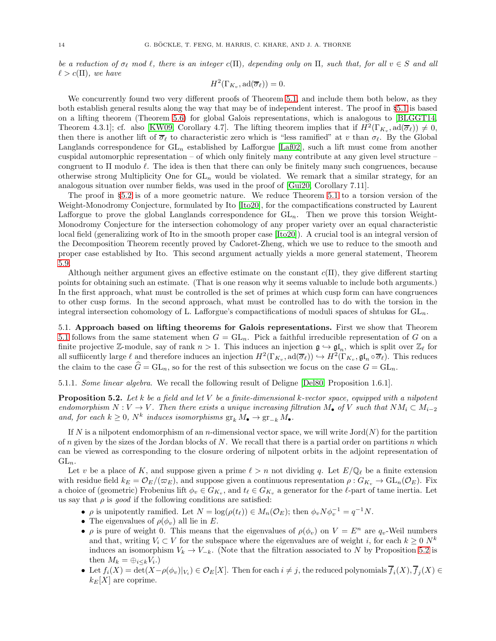be a reduction of  $\sigma_\ell$  mod  $\ell$ , there is an integer c(Π), depending only on  $\Pi$ , such that, for all  $v \in S$  and all  $\ell > c(\Pi)$ , we have

$$
H^2(\Gamma_{K_v}, \mathrm{ad}(\overline{\sigma}_{\ell})) = 0.
$$

We concurrently found two very different proofs of Theorem [5.1,](#page-12-1) and include them both below, as they both establish general results along the way that may be of independent interest. The proof in §[5.1](#page-13-0) is based on a lifting theorem (Theorem [5.6\)](#page-15-0) for global Galois representations, which is analogous to [\[BLGGT14,](#page-33-18) Theorem 4.3.1]; cf. also [\[KW09,](#page-33-19) Corollary 4.7]. The lifting theorem implies that if  $H^2(\Gamma_{K_v}, \text{ad}(\overline{\sigma}_{\ell})) \neq 0$ , then there is another lift of  $\overline{\sigma}_{\ell}$  to characteristic zero which is "less ramified" at v than  $\sigma_{\ell}$ . By the Global Langlands correspondence for  $GL_n$  established by Lafforgue [\[Laf02\]](#page-33-20), such a lift must come from another cuspidal automorphic representation – of which only finitely many contribute at any given level structure – congruent to  $\Pi$  modulo  $\ell$ . The idea is then that there can only be finitely many such congruences, because otherwise strong Multiplicity One for  $GL_n$  would be violated. We remark that a similar strategy, for an analogous situation over number fields, was used in the proof of [\[Gui20,](#page-33-21) Corollary 7.11].

The proof in §[5.2](#page-16-0) is of a more geometric nature. We reduce Theorem [5.1](#page-12-1) to a torsion version of the Weight-Monodromy Conjecture, formulated by Ito [\[Ito20\]](#page-33-22), for the compactifications constructed by Laurent Lafforgue to prove the global Langlands correspondence for  $GL_n$ . Then we prove this torsion Weight-Monodromy Conjecture for the intersection cohomology of any proper variety over an equal characteristic local field (generalizing work of Ito in the smooth proper case [\[Ito20\]](#page-33-22)). A crucial tool is an integral version of the Decomposition Theorem recently proved by Cadoret-Zheng, which we use to reduce to the smooth and proper case established by Ito. This second argument actually yields a more general statement, Theorem [5.9.](#page-16-1)

Although neither argument gives an effective estimate on the constant  $c(\Pi)$ , they give different starting points for obtaining such an estimate. (That is one reason why it seems valuable to include both arguments.) In the first approach, what must be controlled is the set of primes at which cusp form can have congruences to other cusp forms. In the second approach, what must be controlled has to do with the torsion in the integral intersection cohomology of L. Lafforgue's compactifications of moduli spaces of shtukas for  $GL_n$ .

<span id="page-13-0"></span>5.1. Approach based on lifting theorems for Galois representations. First we show that Theorem [5.1](#page-12-1) follows from the same statement when  $G = GL_n$ . Pick a faithful irreducible representation of G on a finite projective Z-module, say of rank  $n > 1$ . This induces an injection  $\mathfrak{g} \hookrightarrow \mathfrak{gl}_n$ , which is split over  $\mathbb{Z}_{\ell}$  for all sufficently large  $\ell$  and therefore induces an injection  $H^2(\Gamma_{K_v}, \text{ad}(\overline{\sigma}_{\ell})) \hookrightarrow H^2(\Gamma_{K_v}, \mathfrak{gl}_n \circ \overline{\sigma}_{\ell})$ . This reduces the claim to the case  $\hat{G} = GL_n$ , so for the rest of this subsection we focus on the case  $G = GL_n$ .

<span id="page-13-2"></span>5.1.1. Some linear algebra. We recall the following result of Deligne [\[Del80,](#page-33-23) Proposition 1.6.1].

<span id="page-13-1"></span>**Proposition 5.2.** Let k be a field and let V be a finite-dimensional k-vector space, equipped with a nilpotent endomorphism  $N: V \to V$ . Then there exists a unique increasing filtration  $M_{\bullet}$  of V such that  $NM_i \subset M_{i-2}$ and, for each  $k \geq 0$ ,  $N^k$  induces isomorphisms  $\operatorname{gr}_k M_{\bullet} \to \operatorname{gr}_{-k} M_{\bullet}$ .

If N is a nilpotent endomorphism of an n-dimensional vector space, we will write  $Jord(N)$  for the partition of n given by the sizes of the Jordan blocks of N. We recall that there is a partial order on partitions n which can be viewed as corresponding to the closure ordering of nilpotent orbits in the adjoint representation of  $GL_n$ .

Let v be a place of K, and suppose given a prime  $\ell > n$  not dividing q. Let  $E/\mathbb{Q}_{\ell}$  be a finite extension with residue field  $k_E = \mathcal{O}_E/(\varpi_E)$ , and suppose given a continuous representation  $\rho : G_{K_v} \to GL_n(\mathcal{O}_E)$ . Fix a choice of (geometric) Frobenius lift  $\phi_v \in G_{K_v}$ , and  $t_\ell \in G_{K_v}$  a generator for the  $\ell$ -part of tame inertia. Let us say that  $\rho$  is good if the following conditions are satisfied:

- $\rho$  is unipotently ramified. Let  $N = \log(\rho(t_\ell)) \in M_n(\mathcal{O}_E)$ ; then  $\phi_v N \phi_v^{-1} = q^{-1} N$ .
- The eigenvalues of  $\rho(\phi_v)$  all lie in E.
- $\rho$  is pure of weight 0. This means that the eigenvalues of  $\rho(\phi_v)$  on  $V = E^n$  are  $q_v$ -Weil numbers and that, writing  $V_i \subset V$  for the subspace where the eigenvalues are of weight i, for each  $k \geq 0$  N<sup>k</sup> induces an isomorphism  $V_k \to V_{-k}$ . (Note that the filtration associated to N by Proposition [5.2](#page-13-1) is then  $M_k = \bigoplus_{i \leq k} V_i$ .
- Let  $f_i(X) = \det(X \rho(\phi_v)|_{V_i}) \in \mathcal{O}_E[X]$ . Then for each  $i \neq j$ , the reduced polynomials  $f_i(X), f_j(X) \in$  $k_E[X]$  are coprime.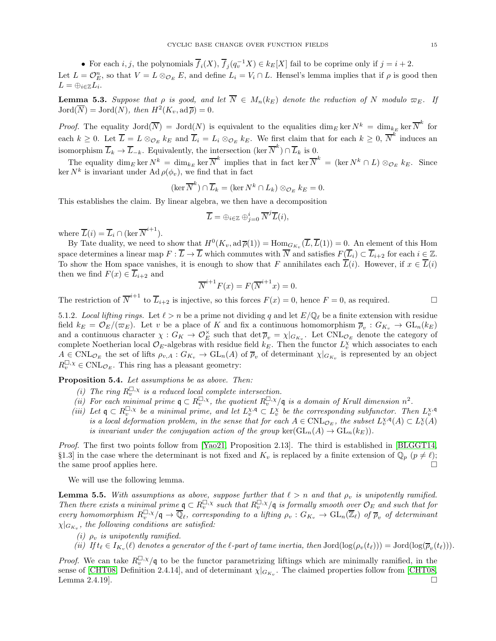• For each i, j, the polynomials  $\overline{f}_i(X)$ ,  $\overline{f}_j(q_i^{-1}X) \in k_E[X]$  fail to be coprime only if  $j = i + 2$ .

Let  $L = \mathcal{O}_E^n$ , so that  $V = L \otimes_{\mathcal{O}_E} E$ , and define  $L_i = V_i \cap L$ . Hensel's lemma implies that if  $\rho$  is good then  $L = \bigoplus_{i \in \mathbb{Z}} L_i$ .

<span id="page-14-2"></span>**Lemma 5.3.** Suppose that  $\rho$  is good, and let  $\overline{N} \in M_n(k_E)$  denote the reduction of N modulo  $\overline{\omega}_E$ . If  $Jord(\overline{N}) = Jord(N)$ , then  $H^2(K_v, \operatorname{ad} \overline{\rho}) = 0$ .

*Proof.* The equality  $Jord(\overline{N}) = Jord(N)$  is equivalent to the equalities  $\dim_E \ker N^k = \dim_{k_E} \ker \overline{N}^k$  for each  $k \geq 0$ . Let  $\overline{L} = L \otimes_{\mathcal{O}_E} k_E$  and  $\overline{L}_i = L_i \otimes_{\mathcal{O}_E} k_E$ . We first claim that for each  $k \geq 0$ ,  $\overline{N}^k$  induces an isomorphism  $\overline{L}_k \to \overline{L}_{-k}$ . Equivalently, the intersection  $(\ker \overline{N}^k) \cap \overline{L}_k$  is 0.

The equality  $\dim_E \ker N^k = \dim_{k_E} \ker \overline{N}^k$  implies that in fact  $\ker \overline{N}^k = (\ker N^k \cap L) \otimes_{\mathcal{O}_E} k_E$ . Since ker  $N^k$  is invariant under Ad  $\rho(\phi_v)$ , we find that in fact

$$
(\ker \overline{N}^k) \cap \overline{L}_k = (\ker N^k \cap L_k) \otimes_{\mathcal{O}_E} k_E = 0.
$$

This establishes the claim. By linear algebra, we then have a decomposition

$$
\overline{L} = \bigoplus_{i \in \mathbb{Z}} \bigoplus_{j=0}^{i} \overline{N}^{j} \overline{L}(i),
$$

where  $\overline{L}(i) = \overline{L}_i \cap (\ker \overline{N}^{i+1}).$ 

By Tate duality, we need to show that  $H^0(K_v, \operatorname{ad}\overline{\rho}(1)) = \operatorname{Hom}_{G_{K_v}}(\overline{L}, \overline{L}(1)) = 0$ . An element of this Hom space determines a linear map  $F : \overline{L} \to \overline{L}$  which commutes with  $\overline{N}$  and satisfies  $F(\overline{L}_i) \subset \overline{L}_{i+2}$  for each  $i \in \mathbb{Z}$ . To show the Hom space vanishes, it is enough to show that F annihilates each  $\overline{L}(i)$ . However, if  $x \in \overline{L}(i)$ then we find  $F(x) \in L_{i+2}$  and

$$
\overline{N}^{i+1}F(x) = F(\overline{N}^{i+1}x) = 0.
$$

The restriction of  $\overline{N}^{i+1}$  to  $\overline{L}_{i+2}$  is injective, so this forces  $F(x) = 0$ , hence  $F = 0$ , as required.

5.1.2. Local lifting rings. Let  $\ell > n$  be a prime not dividing q and let  $E/\mathbb{Q}_{\ell}$  be a finite extension with residue field  $k_E = \mathcal{O}_E/(\varpi_E)$ . Let v be a place of K and fix a continuous homomorphism  $\overline{\rho}_v : G_{K_v} \to GL_n(k_E)$ and a continuous character  $\chi: G_K \to \mathcal{O}_E^{\times}$  such that  $\det \overline{\rho}_v = \chi|_{G_{K_v}}$ . Let  $\text{CNL}_{\mathcal{O}_E}$  denote the category of complete Noetherian local  $\mathcal{O}_E$ -algebras with residue field  $k_E$ . Then the functor  $L_v^{\chi}$  which associates to each  $A \in \text{CNL}_{\mathcal{O}_E}$  the set of lifts  $\rho_{v,A}: G_{K_v} \to \text{GL}_n(A)$  of  $\overline{\rho}_v$  of determinant  $\chi|_{G_{K_v}}$  is represented by an object  $R_v^{\square, \chi} \in \text{CNL}_{\mathcal{O}_E}$ . This ring has a pleasant geometry:

<span id="page-14-0"></span>Proposition 5.4. Let assumptions be as above. Then:

- (i) The ring  $R_v^{\Box,\chi}$  is a reduced local complete intersection.
- (*i*) The ring  $\Lambda_v^m$  is a readed todat complete intersection.<br>(ii) For each minimal prime  $\mathfrak{q} \subset R_v^{\square, \chi}$ , the quotient  $R_v^{\square, \chi}/\mathfrak{q}$  is a domain of Krull dimension  $n^2$ .
- (iii) Let  $\mathfrak{q} \subset R_v^{\square, \chi}$  be a minimal prime, and let  $L_v^{\chi, \mathfrak{q}} \subset L_v^{\chi}$  be the corresponding subfunctor. Then  $L_v^{\chi, \mathfrak{q}}$ is a local deformation problem, in the sense that for each  $A \in \text{CNL}_{\mathcal{O}_E}$ , the subset  $L_v^{\chi,\mathfrak{q}}(A) \subset L_v^{\chi}(A)$ is invariant under the conjugation action of the group  $\ker(\operatorname{GL}_n(A) \to \operatorname{GL}_n(k_E)).$

Proof. The first two points follow from [\[Yao21,](#page-34-7) Proposition 2.13]. The third is established in [\[BLGGT14,](#page-33-18) §1.3] in the case where the determinant is not fixed and  $K_v$  is replaced by a finite extension of  $\mathbb{Q}_p$   $(p \neq \ell);$ <br>the same proof applies here. the same proof applies here.

We will use the following lemma.

<span id="page-14-1"></span>**Lemma 5.5.** With assumptions as above, suppose further that  $\ell > n$  and that  $\rho_n$  is unipotently ramified. Then there exists a minimal prime  $q \text{ } \text{ } \text{ } \in R_v^{\square,\chi}$  such that  $R_v^{\square,\chi}/q$  is formally smooth over  $\mathcal{O}_E$  and such that for every homomorphism  $R_v^{\Box,\chi}/\mathfrak{q} \to \overline{\mathbb{Q}}_\ell$ , corresponding to a lifting  $\rho_v : G_{K_v} \to \mathrm{GL}_n(\overline{\mathbb{Z}}_\ell)$  of  $\overline{\rho}_v$  of determinant  $\chi|_{G_{K_v}},$  the following conditions are satisfied:

- (i)  $\rho_v$  is unipotently ramified.
- (ii) If  $t_\ell \in I_{K_v}(\ell)$  denotes a generator of the  $\ell$ -part of tame inertia, then  $\text{Jord}(\log(\rho_v(t_\ell))) = \text{Jord}(\log(\overline{\rho}_v(t_\ell)))$ .

*Proof.* We can take  $R_v^{\square, \chi}/\mathfrak{q}$  to be the functor parametrizing liftings which are minimally ramified, in the sense of [\[CHT08,](#page-33-11) Definition 2.4.14], and of determinant  $\chi|_{G_{K_v}}$ . The claimed properties follow from [CHT08, Lemma 2.4.19].  $\square$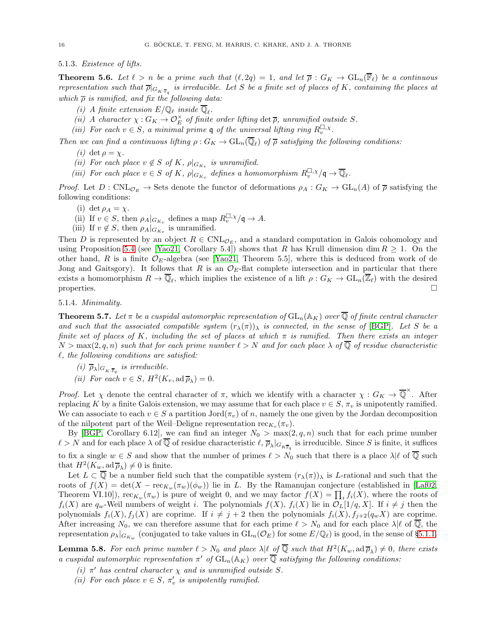5.1.3. Existence of lifts.

<span id="page-15-0"></span>**Theorem 5.6.** Let  $\ell > n$  be a prime such that  $(\ell, 2q) = 1$ , and let  $\overline{\rho}: G_K \to \text{GL}_n(\overline{\mathbb{F}}_{\ell})$  be a continuous representation such that  $\overline{\rho}|_{G_{K:\overline{\mathbb{F}}_q}}$  is irreducible. Let S be a finite set of places of K, containing the places at which  $\bar{\rho}$  is ramified, and fix the following data:

- (i) A finite extension  $E/\mathbb{Q}_\ell$  inside  $\mathbb{Q}_\ell$ .
- (ii) A character  $\chi: G_K \to \mathcal{O}_E^{\times}$  of finite order lifting det  $\overline{\rho}$ , unramified outside S.
- (iii) For each  $v \in S$ , a minimal prime q of the universal lifting ring  $R_v^{\square, \chi}$ .

Then we can find a continuous lifting  $\rho: G_K \to GL_n(\mathbb{Q}_\ell)$  of  $\overline{\rho}$  satisfying the following conditions:

- (*i*) det  $\rho = \chi$ .
- (*ii*) For each place  $v \notin S$  of K,  $\rho|_{G_{K_v}}$  is unramified.
- (iii) For each place  $v \in S$  of K,  $\rho|_{G_{K_v}}$  defines a homomorphism  $R_v^{\Box, \chi}/\mathfrak{q} \to \overline{\mathbb{Q}}_{\ell}$ .

Proof. Let  $D: \text{CNL}_{\mathcal{O}_E} \to \text{Sets}$  denote the functor of deformations  $\rho_A: G_K \to \text{GL}_n(A)$  of  $\overline{\rho}$  satisfying the following conditions:

- (i) det  $\rho_A = \chi$ .
- (ii) If  $v \in S$ , then  $\rho_A|_{G_{K_v}}$  defines a map  $R_v^{\square, \chi}/\mathfrak{q} \to A$ .
- (iii) If  $v \notin S$ , then  $\rho_A|_{G_{K_v}}$  is unramified.

Then D is represented by an object  $R \in \text{CNL}_{\mathcal{O}_E}$ , and a standard computation in Galois cohomology and using Proposition [5.4](#page-14-0) (see [\[Yao21,](#page-34-7) Corollary 5.4]) shows that R has Krull dimension dim  $R \geq 1$ . On the other hand, R is a finite  $\mathcal{O}_E$ -algebra (see [\[Yao21,](#page-34-7) Theorem 5.5], where this is deduced from work of de Jong and Gaitsgory). It follows that R is an  $\mathcal{O}_E$ -flat complete intersection and in particular that there exists a homomorphism  $R \to \mathbb{Q}_\ell$ , which implies the existence of a lift  $\rho: G_K \to \text{GL}_n(\mathbb{Z}_\ell)$  with the desired properties.  $\Box$ 

5.1.4. Minimality.

**Theorem 5.7.** Let  $\pi$  be a cuspidal automorphic representation of  $GL_n(\mathbb{A}_K)$  over  $\overline{\mathbb{Q}}$  of finite central character and such that the associated compatible system  $(r_{\lambda}(\pi))_{\lambda}$  is connected, in the sense of [\[BGP\]](#page-32-3). Let S be a finite set of places of K, including the set of places at which  $\pi$  is ramified. Then there exists an integer  $N > \max(2, q, n)$  such that for each prime number  $\ell > N$  and for each place  $\lambda$  of  $\mathbb Q$  of residue characteristic  $\ell$ , the following conditions are satisfied:

- (i)  $\overline{\rho}_{\lambda}|_{G_{K\cdot\overline{\mathbb{F}}_q}}$  is irreducible.
- (*ii*) For each  $v \in S$ ,  $H^2(K_v, \operatorname{ad} \overline{\rho}_{\lambda}) = 0$ .

Proof. Let  $\chi$  denote the central character of  $\pi$ , which we identify with a character  $\chi: G_K \to \overline{\mathbb{Q}}^{\times}$ . After replacing K by a finite Galois extension, we may assume that for each place  $v \in S$ ,  $\pi_v$  is unipotently ramified. We can associate to each  $v \in S$  a partition Jord( $\pi_v$ ) of n, namely the one given by the Jordan decomposition of the nilpotent part of the Weil–Deligne representation  $\operatorname{rec}_{K_v}(\pi_v)$ .

By [\[BGP,](#page-32-3) Corollary 6.12], we can find an integer  $N_0 > \max(2, q, n)$  such that for each prime number  $\ell > N$  and for each place  $\lambda$  of Q of residue characteristic  $\ell, \overline{\rho}_{\lambda}|_{G_{K\overline{\mathbb{F}}_q}}$  is irreducible. Since S is finite, it suffices to fix a single  $w \in S$  and show that the number of primes  $\ell > N_0$  such that there is a place  $\lambda | \ell$  of  $\overline{Q}$  such that  $H^2(K_w, \operatorname{ad} \overline{\rho}_\lambda) \neq 0$  is finite.

Let  $L \subset \overline{Q}$  be a number field such that the compatible system  $(r_{\lambda}(\pi))_{\lambda}$  is L-rational and such that the roots of  $f(X) = \det(X - \text{rec}_{K_w}(\pi_w)(\phi_w))$  lie in L. By the Ramanujan conjecture (established in [\[Laf02,](#page-33-20) Theorem VI.10]),  $\operatorname{rec}_{K_w}(\pi_w)$  is pure of weight 0, and we may factor  $f(X) = \prod_i f_i(X)$ , where the roots of  $f_i(X)$  are  $q_w$ -Weil numbers of weight i. The polynomials  $f(X)$ ,  $f_i(X)$  lie in  $\mathcal{O}_L(1/q, X)$ . If  $i \neq j$  then the polynomials  $f_i(X)$ ,  $f_j(X)$  are coprime. If  $i \neq j + 2$  then the polynomials  $f_i(X)$ ,  $f_{j+2}(q_wX)$  are coprime. After increasing  $N_0$ , we can therefore assume that for each prime  $\ell > N_0$  and for each place  $\lambda | \ell$  of  $\overline{Q}$ , the representation  $\rho_\lambda|_{G_{K_w}}$  (conjugated to take values in  $GL_n(\mathcal{O}_E)$  for some  $E/\mathbb{Q}_\ell$ ) is good, in the sense of §[5.1.1.](#page-13-2)

**Lemma 5.8.** For each prime number  $\ell > N_0$  and place  $\lambda | \ell \text{ of } \overline{\mathbb{Q}}$  such that  $H^2(K_w, \text{ad } \overline{\rho}_{\lambda}) \neq 0$ , there exists a cuspidal automorphic representation  $\pi'$  of  $GL_n(\mathbb{A}_K)$  over  $\overline{\mathbb{Q}}$  satisfying the following conditions:

- (i)  $\pi'$  has central character  $\chi$  and is unramified outside S.
- (ii) For each place  $v \in S$ ,  $\pi'_v$  is unipotently ramified.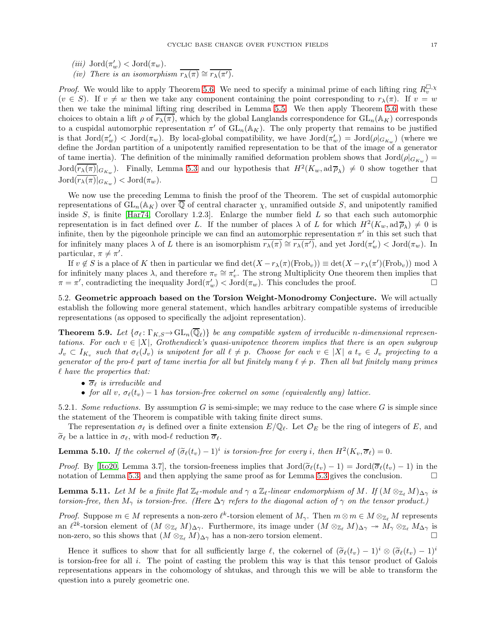- (*iii*)  $Jord(\pi_w') < Jord(\pi_w)$ .
- (iv) There is an isomorphism  $\overline{r_{\lambda}(\pi)} \cong \overline{r_{\lambda}(\pi')}$ .

*Proof.* We would like to apply Theorem [5.6.](#page-15-0) We need to specify a minimal prime of each lifting ring  $R_v^{\Box, \chi}$  $(v \in S)$ . If  $v \neq w$  then we take any component containing the point corresponding to  $r_{\lambda}(\pi)$ . If  $v = w$ then we take the minimal lifting ring described in Lemma [5.5.](#page-14-1) We then apply Theorem [5.6](#page-15-0) with these choices to obtain a lift  $\rho$  of  $r_{\lambda}(\pi)$ , which by the global Langlands correspondence for  $GL_n(\mathbb{A}_K)$  corresponds to a cuspidal automorphic representation  $\pi'$  of  $GL_n(\mathbb{A}_K)$ . The only property that remains to be justified is that  $Jord(\pi'_w) < Jord(\pi_w)$ . By local-global compatibility, we have  $Jord(\pi'_w) = Jord(\rho|_{G_{K_w}})$  (where we define the Jordan partition of a unipotently ramified representation to be that of the image of a generator of tame inertia). The definition of the minimally ramified deformation problem shows that  $Jord(\rho|_{G_{K_w}})$  =  $Jord(\overline{r_{\lambda}(\pi)}|_{G_{K_w}})$ . Finally, Lemma [5.3](#page-14-2) and our hypothesis that  $H^2(K_w, \text{ad}\,\overline{\rho}_{\lambda}) \neq 0$  show together that  $\operatorname{Jord}(\overline{r_{\lambda}(\pi)}|_{G_{K_w}}) < \operatorname{Jord}(\pi_w).$ 

We now use the preceding Lemma to finish the proof of the Theorem. The set of cuspidal automorphic representations of  $GL_n(\mathbb{A}_K)$  over  $\overline{\mathbb{Q}}$  of central character  $\chi$ , unramified outside S, and unipotently ramified inside  $S$ , is finite [\[Har74,](#page-33-24) Corollary 1.2.3]. Enlarge the number field  $L$  so that each such automorphic representation is in fact defined over L. If the number of places  $\lambda$  of L for which  $H^2(K_w, \mathrm{ad}\overline{\rho}_\lambda) \neq 0$  is infinite, then by the pigeonhole principle we can find an automorphic representation  $\pi'$  in this set such that for infinitely many places  $\lambda$  of L there is an isomorphism  $\overline{r_{\lambda}(\pi)} \cong \overline{r_{\lambda}(\pi')}$ , and yet  $\text{Jord}(\pi_w) < \text{Jord}(\pi_w)$ . In particular,  $\pi \neq \pi'$ .

If  $v \notin S$  is a place of K then in particular we find  $\det(X - r_{\lambda}(\pi)(\text{Frob}_v)) \equiv \det(X - r_{\lambda}(\pi')(\text{Frob}_v)) \mod \lambda$ for infinitely many places  $\lambda$ , and therefore  $\pi_v \cong \pi'_v$ . The strong Multiplicity One theorem then implies that  $\pi = \pi'$ , contradicting the inequality  $Jord(\pi_w') < Jord(\pi_w)$ . This concludes the proof.

<span id="page-16-0"></span>5.2. Geometric approach based on the Torsion Weight-Monodromy Conjecture. We will actually establish the following more general statement, which handles arbitrary compatible systems of irreducible representations (as opposed to specifically the adjoint representation).

<span id="page-16-1"></span>**Theorem 5.9.** Let  $\{\sigma_\ell : \Gamma_{K,S} \to GL_n(\mathbb{Q}_\ell)\}\$ be any compatible system of irreducible n-dimensional representations. For each  $v \in |X|$ , Grothendieck's quasi-unipotence theorem implies that there is an open subgroup  $J_v \subset I_{K_v}$  such that  $\sigma_{\ell}(J_v)$  is unipotent for all  $\ell \neq p$ . Choose for each  $v \in |X|$  a  $t_v \in J_v$  projecting to a generator of the pro-ℓ part of tame inertia for all but finitely many  $\ell \neq p$ . Then all but finitely many primes  $\ell$  have the properties that:

- $\overline{\sigma}_{\ell}$  is irreducible and
- for all v,  $\sigma_{\ell}(t_v) 1$  has torsion-free cokernel on some (equivalently any) lattice.

5.2.1. Some reductions. By assumption G is semi-simple; we may reduce to the case where G is simple since the statement of the Theorem is compatible with taking finite direct sums.

The representation  $\sigma_{\ell}$  is defined over a finite extension  $E/\mathbb{Q}_{\ell}$ . Let  $\mathcal{O}_E$  be the ring of integers of E, and  $\widetilde{\sigma}_{\ell}$  be a lattice in  $\sigma_{\ell}$ , with mod- $\ell$  reduction  $\overline{\sigma}_{\ell}$ .

**Lemma 5.10.** If the cokernel of  $(\tilde{\sigma}_{\ell}(t_v) - 1)^i$  is torsion-free for every i, then  $H^2(K_v, \overline{\sigma}_{\ell}) = 0$ .

*Proof.* By [\[Ito20,](#page-33-22) Lemma 3.7], the torsion-freeness implies that  $Jord(\tilde{\sigma}_{\ell}(t_v) - 1) = Jord(\overline{\sigma}_{\ell}(t_v) - 1)$  in the notation of Lemma 5.3 and then applying the same proof as for Lemma 5.3 gives the conclusion notation of Lemma [5.3,](#page-14-2) and then applying the same proof as for Lemma [5.3](#page-14-2) gives the conclusion.

**Lemma 5.11.** Let M be a finite flat  $\mathbb{Z}_{\ell}$ -module and  $\gamma$  a  $\mathbb{Z}_{\ell}$ -linear endomorphism of M. If  $(M \otimes_{\mathbb{Z}_{\ell}} M)_{\Delta \gamma}$  is torsion-free, then  $M_{\gamma}$  is torsion-free. (Here  $\Delta \gamma$  refers to the diagonal action of  $\gamma$  on the tensor product.)

*Proof.* Suppose  $m \in M$  represents a non-zero  $\ell^k$ -torsion element of  $M_\gamma$ . Then  $m \otimes m \in M \otimes_{\mathbb{Z}_{\ell}} M$  represents an  $\ell^{2k}$ -torsion element of  $(M \otimes_{\mathbb{Z}_{\ell}} M)_{\Delta \gamma}$ . Furthermore, its image under  $(M \otimes_{\mathbb{Z}_{\ell}} M)_{\Delta \gamma} \to M_{\gamma} \otimes_{\mathbb{Z}_{\ell}} M_{\Delta \gamma}$  is non-zero, so this shows that  $(M \otimes_{\mathbb{Z}_{\ell}} M)_{\Delta \gamma}$  has a non-zero torsion element.

Hence it suffices to show that for all sufficiently large  $\ell$ , the cokernel of  $(\tilde{\sigma}_{\ell}(t_v) - 1)^i \otimes (\tilde{\sigma}_{\ell}(t_v) - 1)^i$ is torsion-free for all  $i$ . The point of casting the problem this way is that this tensor product of Galois representations appears in the cohomology of shtukas, and through this we will be able to transform the question into a purely geometric one.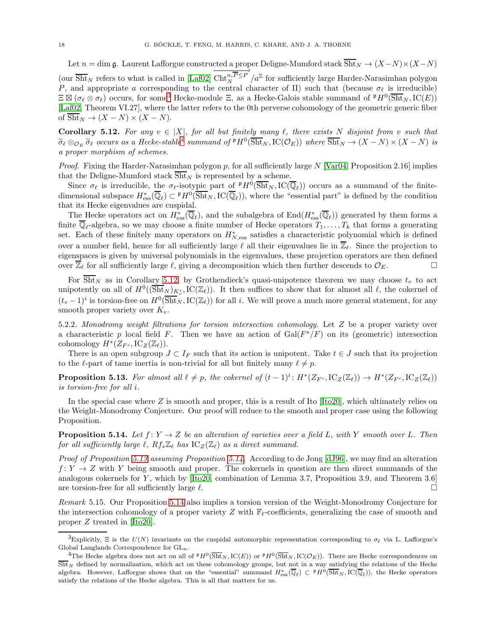Let  $n = \dim \mathfrak{g}$ . Laurent Lafforgue constructed a proper Deligne-Mumford stack  $\overline{\text{Sht}}_N \to (X - N) \times (X - N)$ (our  $\overline{\text{Sht}}_N$  refers to what is called in [\[Laf02\]](#page-33-20)  $\text{Cht}_N^{n,P \leq P}$  $\sqrt{a^{\mathbb{Z}}}$  for sufficiently large Harder-Narasimhan polygon P, and appropriate a corresponding to the central character of  $\Pi$ ) such that (because  $\sigma_{\ell}$  is irreducible)  $\Xi \boxtimes (\sigma_\ell \otimes \sigma_\ell)$  occurs, for some<sup>[3](#page-17-0)</sup> Hecke-module  $\Xi$ , as a Hecke-Galois stable summand of  ${}^{\mathfrak{p}}H^0(\overline{\text{Sht}}_N,\text{IC}(E))$ [\[Laf02,](#page-33-20) Theorem VI.27], where the latter refers to the 0th perverse cohomology of the geometric generic fiber of  $\overline{Sht}_N \to (X - N) \times (X - N)$ .

<span id="page-17-2"></span>**Corollary 5.12.** For any  $v \in |X|$ , for all but finitely many  $\ell$ , there exists N disjoint from v such that  $\widetilde{\sigma}_{\ell} \otimes_{\mathcal{O}_E} \widetilde{\sigma}_{\ell}$  occurs as a Hecke-stable<sup>[4](#page-17-1)</sup> summand of  ${}^{\mathfrak{p}}H^0(\overline{\text{Sht}}_N, \text{IC}(\mathcal{O}_E))$  where  $\overline{\text{Sht}}_N \to (X - N) \times (X - N)$  is a proper morphism of schemes.

*Proof.* Fixing the Harder-Narasimhan polygon p, for all sufficiently large  $N$  [\[Var04,](#page-34-8) Proposition 2.16] implies that the Deligne-Mumford stack  $\overline{Sht}_N$  is represented by a scheme.

Since  $\sigma_{\ell}$  is irreducible, the  $\sigma_{\ell}$ -isotypic part of  ${}^{\mathfrak{p}}H^0(\overline{\text{Sht}}_N,\text{IC}(\overline{\mathbb{Q}}_{\ell}))$  occurs as a summand of the finitedimensional subspace  $H^*_{\text{ess}}(\overline{\mathbb{Q}}_{\ell}) \subset {}^{\mathfrak{p}}H^0(\overline{\text{Sht}}_N, \text{IC}(\overline{\mathbb{Q}}_{\ell}))$ , where the "essential part" is defined by the condition that its Hecke eigenvalues are cuspidal.

The Hecke operators act on  $H^*_{\text{ess}}(\overline{\mathbb{Q}}_{\ell})$ , and the subalgebra of  $\text{End}(H^*_{\text{ess}}(\overline{\mathbb{Q}}_{\ell}))$  generated by them forms a finite  $\mathbb{Q}_\ell$ -algebra, so we may choose a finite number of Hecke operators  $T_1, \ldots, T_k$  that forms a generating set. Each of these finitely many operators on  $H_{N,\mathrm{ess}}^*$  satisfies a characteristic polynomial which is defined over a number field, hence for all sufficiently large  $\ell$  all their eigenvalues lie in  $\overline{\mathbb{Z}}_{\ell}$ . Since the projection to eigenspaces is given by universal polynomials in the eigenvalues, these projection operators are then defined over  $\overline{\mathbb{Z}}_{\ell}$  for all sufficiently large  $\ell$ , giving a decomposition which then further descends to  $\mathcal{O}_E$ .

For  $\overline{\text{Sht}}_N$  as in Corollary [5.12,](#page-17-2) by Grothendieck's quasi-unipotence theorem we may choose  $t_v$  to act unipotently on all of  $H^0((\overline{\text{Sht}}_N)_{K_v^s}, \text{IC}(\mathbb{Z}_\ell))$ . It then suffices to show that for almost all  $\ell$ , the cokernel of  $(t_v-1)^i$  is torsion-free on  $H^0(\overline{Sht}_N, IC(\mathbb{Z}_\ell))$  for all i. We will prove a much more general statement, for any smooth proper variety over  $K_v$ .

5.2.2. Monodromy weight filtrations for torsion intersection cohomology. Let Z be a proper variety over a characteristic p local field F. Then we have an action of  $Gal(F^s/F)$  on its (geometric) intersection cohomology  $H^*(Z_{F^s},\mathrm{IC}_Z(\mathbb{Z}_\ell)).$ 

There is an open subgroup  $J \subset I_F$  such that its action is unipotent. Take  $t \in J$  such that its projection to the  $\ell$ -part of tame inertia is non-trivial for all but finitely many  $\ell \neq p$ .

<span id="page-17-3"></span>**Proposition 5.13.** For almost all  $\ell \neq p$ , the cokernel of  $(t-1)^i : H^*(Z_{F^s},\mathrm{IC}_Z(\mathbb{Z}_\ell)) \to H^*(Z_{F^s},\mathrm{IC}_Z(\mathbb{Z}_\ell))$ is torsion-free for all i.

In the special case where  $Z$  is smooth and proper, this is a result of Ito  $[Ito20]$ , which ultimately relies on the Weight-Monodromy Conjecture. Our proof will reduce to the smooth and proper case using the following Proposition.

<span id="page-17-4"></span>**Proposition 5.14.** Let  $f: Y \to Z$  be an alteration of varieties over a field L, with Y smooth over L. Then for all sufficiently large  $\ell$ ,  $Rf_*\mathbb{Z}_{\ell}$  has  $\mathrm{IC}_{Z}(\mathbb{Z}_{\ell})$  as a direct summand.

Proof of Proposition [5.13](#page-17-3) assuming Proposition [5.14.](#page-17-4) According to de Jong [\[dJ96\]](#page-33-25), we may find an alteration  $f: Y \to Z$  with Y being smooth and proper. The cokernels in question are then direct summands of the analogous cokernels for Y, which by  $[Ito20, combination of Lemma 3.7, Proposition 3.9, and Theorem 3.6]$ are torsion-free for all sufficiently large  $\ell$ .

Remark 5.15. Our Proposition [5.14](#page-17-4) also implies a torsion version of the Weight-Monodromy Conjecture for the intersection cohomology of a proper variety Z with  $\mathbb{F}_{\ell}$ -coefficients, generalizing the case of smooth and proper Z treated in [\[Ito20\]](#page-33-22).

<span id="page-17-0"></span><sup>&</sup>lt;sup>3</sup>Explicitly,  $\Xi$  is the  $U(N)$  invariants on the cuspidal automorphic representation corresponding to  $\sigma_{\ell}$  via L. Lafforgue's Global Langlands Correspondence for  $GL_n$ .

<span id="page-17-1"></span><sup>&</sup>lt;sup>4</sup>The Hecke algebra does not act on all of  $P H^0(\overline{Sht}_N, IC(E))$  or  $P H^0(\overline{Sht}_N, IC(\mathcal{O}_E))$ . There are Hecke correspondences on  $\overline{Sht}_N$  defined by normalization, which act on these cohomology groups, but not in a way satisfying the relations of the Hecke algebra. However, Lafforgue shows that on the "essential" summand  $H^*_{\text{ess}}(\overline{\mathbb{Q}}_\ell) \subset {}^{\mathfrak{p}}H^0(\overline{\text{Sht}}_N, \text{IC}(\overline{\mathbb{Q}}_\ell))$ , the Hecke operators satisfy the relations of the Hecke algebra. This is all that matters for us.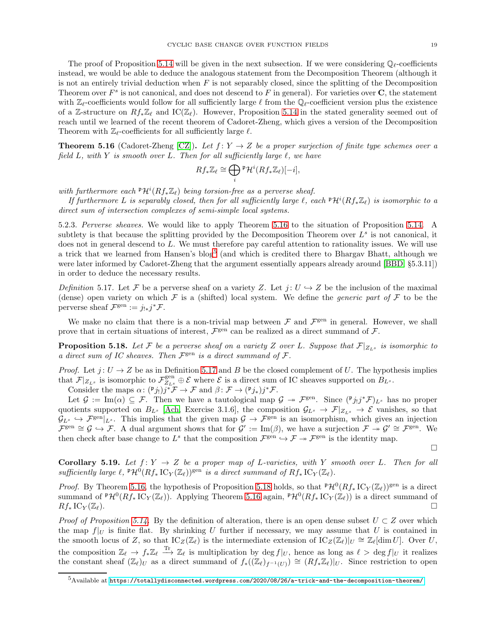The proof of Proposition [5.14](#page-17-4) will be given in the next subsection. If we were considering  $\mathbb{Q}_\ell$ -coefficients instead, we would be able to deduce the analogous statement from the Decomposition Theorem (although it is not an entirely trivial deduction when  $F$  is not separably closed, since the splitting of the Decomposition Theorem over  $F^s$  is not canonical, and does not descend to F in general). For varieties over  $C$ , the statement with  $\mathbb{Z}_{\ell}$ -coefficients would follow for all sufficiently large  $\ell$  from the  $\mathbb{Q}_{\ell}$ -coefficient version plus the existence of a Z-structure on  $Rf_*\mathbb{Z}_\ell$  and IC( $\mathbb{Z}_\ell$ ). However, Proposition [5.14](#page-17-4) in the stated generality seemed out of reach until we learned of the recent theorem of Cadoret-Zheng, which gives a version of the Decomposition Theorem with  $\mathbb{Z}_{\ell}$ -coefficients for all sufficiently large  $\ell$ .

<span id="page-18-0"></span>**Theorem 5.16** (Cadoret-Zheng [\[CZ\]](#page-33-26)). Let  $f: Y \to Z$  be a proper surjection of finite type schemes over a field L, with Y is smooth over L. Then for all sufficiently large  $\ell$ , we have

$$
Rf_*\mathbb{Z}_{\ell} \cong \bigoplus_i \mathbb{P}\mathcal{H}^i(Rf_*\mathbb{Z}_{\ell})[-i],
$$

with furthermore each  $\mathbb{P}\mathcal{H}^i(Rf_*\mathbb{Z}_\ell)$  being torsion-free as a perverse sheaf.

If furthermore L is separably closed, then for all sufficiently large  $\ell$ , each  $\mathbb{P}\mathcal{H}^i(Rf_*\mathbb{Z}_\ell)$  is isomorphic to a direct sum of intersection complexes of semi-simple local systems.

5.2.3. Perverse sheaves. We would like to apply Theorem [5.16](#page-18-0) to the situation of Proposition [5.14.](#page-17-4) A subtlety is that because the splitting provided by the Decomposition Theorem over  $L^s$  is not canonical, it does not in general descend to L. We must therefore pay careful attention to rationality issues. We will use a trick that we learned from Hansen's blog<sup>[5](#page-18-1)</sup> (and which is credited there to Bhargav Bhatt, although we were later informed by Cadoret-Zheng that the argument essentially appears already around [\[BBD,](#page-32-5) §5.3.11]) in order to deduce the necessary results.

<span id="page-18-2"></span>Definition 5.17. Let F be a perverse sheaf on a variety Z. Let  $j: U \hookrightarrow Z$  be the inclusion of the maximal (dense) open variety on which F is a (shifted) local system. We define the *generic part of* F to be the perverse sheaf  $\mathcal{F}^{\text{gen}} := j_{!*} j^* \mathcal{F}.$ 

We make no claim that there is a non-trivial map between  $\mathcal F$  and  $\mathcal F^{\text{gen}}$  in general. However, we shall prove that in certain situations of interest,  $\mathcal{F}^{\text{gen}}$  can be realized as a direct summand of  $\mathcal{F}$ .

<span id="page-18-3"></span>**Proposition 5.18.** Let F be a perverse sheaf on a variety Z over L. Suppose that  $\mathcal{F}|_{Z_{L^s}}$  is isomorphic to a direct sum of IC sheaves. Then  $\mathcal{F}^{\text{gen}}$  is a direct summand of  $\mathcal{F}$ .

*Proof.* Let  $j: U \to Z$  be as in Definition [5.17](#page-18-2) and B be the closed complement of U. The hypothesis implies that  $\mathcal{F}|_{Z_{L^s}}$  is isomorphic to  $\mathcal{F}_{Z_{L^s}}^{\text{gen}} \oplus \mathcal{E}$  where  $\mathcal{E}$  is a direct sum of IC sheaves supported on  $B_{L^s}$ .

Consider the maps  $\alpha: (\n\mathfrak{p}_{j})j^*\mathcal{F} \to \mathcal{F}$  and  $\beta: \mathcal{F} \to (\n\mathfrak{p}_{j*})j^*\mathcal{F}$ .

Let  $\mathcal{G} := \text{Im}(\alpha) \subseteq \mathcal{F}$ . Then we have a tautological map  $\mathcal{G} \to \mathcal{F}^{\text{gen}}$ . Since  $({}^{\mathfrak{p}}j_!j^*\mathcal{F})_{L^s}$  has no proper quotients supported on  $B_{L^s}$  [\[Ach,](#page-32-6) Exercise 3.1.6], the composition  $\mathcal{G}_{L^s} \to \mathcal{F}|_{Z_{L^s}} \to \mathcal{E}$  vanishes, so that  $\mathcal{G}_{L^s} \hookrightarrow \mathcal{F}^{\text{gen}}|_{L^s}$ . This implies that the given map  $\mathcal{G} \to \mathcal{F}^{\text{gen}}$  is an isomorphism, which gives an injection  $\mathcal{F}^{\text{gen}} \cong \mathcal{G} \hookrightarrow \mathcal{F}$ . A dual argument shows that for  $\mathcal{G}' := \text{Im}(\beta)$ , we have a surjection  $\mathcal{F} \to \mathcal{G}' \cong \mathcal{F}^{\text{gen}}$ . We then check after base change to  $L^s$  that the composition  $\mathcal{F}^{\text{gen}} \hookrightarrow \mathcal{F} \twoheadrightarrow \mathcal{F}^{\text{gen}}$  is the identity map.

 $\Box$ 

<span id="page-18-4"></span>Corollary 5.19. Let  $f: Y \to Z$  be a proper map of L-varieties, with Y smooth over L. Then for all sufficiently large  $\ell$ ,  $^{\mathfrak{p}}\mathcal{H}^0(Rf_*\mathrm{IC}_Y(\mathbb{Z}_\ell))^{\mathrm{gen}}$  is a direct summand of  $Rf_*\mathrm{IC}_Y(\mathbb{Z}_\ell)$ .

*Proof.* By Theorem [5.16,](#page-18-0) the hypothesis of Proposition [5.18](#page-18-3) holds, so that  $^p\mathcal{H}^0(Rf_*\mathrm{IC}_Y(\mathbb{Z}_\ell))^\mathrm{gen}$  is a direct summand of  ${}^{\mathfrak{p}}\mathcal{H}^0(Rf_*\mathrm{IC}_Y(\mathbb{Z}_\ell))$ . Applying Theorem [5.16](#page-18-0) again,  ${}^{\mathfrak{p}}\mathcal{H}^0(Rf_*\mathrm{IC}_Y(\mathbb{Z}_\ell))$  is a direct summand of  $Rf_* \operatorname{IC}_Y(\mathbb{Z}_\ell).$ 

*Proof of Proposition [5.14.](#page-17-4)* By the definition of alteration, there is an open dense subset  $U \subset Z$  over which the map  $f|_U$  is finite flat. By shrinking U further if necessary, we may assume that U is contained in the smooth locus of Z, so that  $IC_Z(\mathbb{Z}_\ell)$  is the intermediate extension of  $IC_Z(\mathbb{Z}_\ell)|_U \cong \mathbb{Z}_\ell[\dim U]$ . Over U, the composition  $\mathbb{Z}_{\ell} \to f_*\mathbb{Z}_{\ell} \to \mathbb{Z}_{\ell}$  is multiplication by deg  $f|_U$ , hence as long as  $\ell > \deg f|_U$  it realizes the constant sheaf  $(\mathbb{Z}_\ell)_U$  as a direct summand of  $f_*( (\mathbb{Z}_\ell)_{f^{-1}(U)}) \cong (Rf_*\mathbb{Z}_\ell)|_U$ . Since restriction to open

<span id="page-18-1"></span><sup>5</sup>Available at <https://totallydisconnected.wordpress.com/2020/08/26/a-trick-and-the-decomposition-theorem/>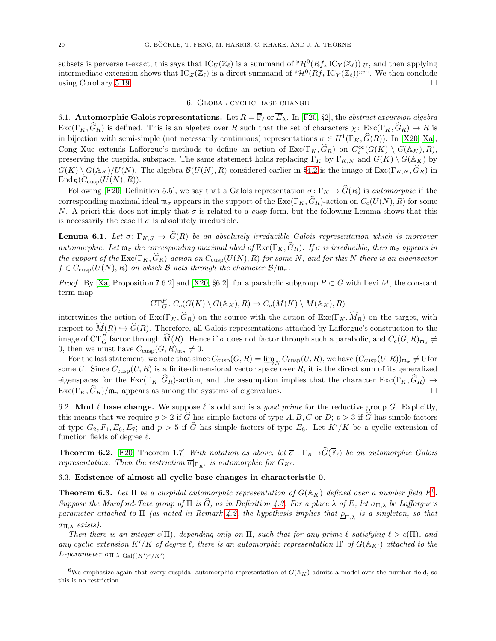subsets is perverse t-exact, this says that  $\mathrm{IC}_U(\mathbb{Z}_\ell)$  is a summand of  $^{\mathfrak{p}}\mathcal{H}^0(Rf_*\mathrm{IC}_Y(\mathbb{Z}_\ell))|_U$ , and then applying intermediate extension shows that  $\mathrm{IC}_{Z}(\mathbb{Z}_{\ell})$  is a direct summand of  ${}^{\mathfrak{p}}\mathcal{H}^0(Rf_*\mathrm{IC}_{Y}(\mathbb{Z}_{\ell}))^{\mathrm{gen}}$ . We then conclude using Corollary [5.19.](#page-18-4)

# 6. Global cyclic base change

<span id="page-19-0"></span>6.1. Automorphic Galois representations. Let  $R = \overline{\mathbb{F}}_{\ell}$  or  $\overline{E}_{\lambda}$ . In [\[F20,](#page-33-0) §2], the abstract excursion algebra  $\text{Exc}(\Gamma_K, \widehat{G}_R)$  is defined. This is an algebra over R such that the set of characters  $\chi: \text{Exc}(\Gamma_K, \widehat{G}_R) \to R$  is in bijection with semi-simple (not necessarily continuous) representations  $\sigma \in H^1(\Gamma_K, \widehat{G}(R))$ . In [\[X20,](#page-34-9) [Xa\]](#page-34-10), Cong Xue extends Lafforgue's methods to define an action of  $\text{Exc}(\Gamma_K, \hat{G}_R)$  on  $C_c^{\infty}(G(K) \setminus G(\mathbb{A}_K), R)$ , preserving the cuspidal subspace. The same statement holds replacing  $\Gamma_K$  by  $\Gamma_{K,N}$  and  $G(K) \setminus G(\mathbb{A}_K)$  by  $G(K) \setminus G(\mathbb{A}_K)/U(N)$ . The algebra  $\mathcal{B}(U(N), R)$  considered earlier in §[4.2](#page-8-1) is the image of  $\text{Exc}(\Gamma_{K,N}, \hat{G}_R)$  in  $\text{End}_R(C_{\text{cusp}}(U(N), R)).$ 

Following [\[F20,](#page-33-0) Definition 5.5], we say that a Galois representation  $\sigma \colon \Gamma_K \to \widehat{G}(R)$  is *automorphic* if the corresponding maximal ideal  $\mathfrak{m}_{\sigma}$  appears in the support of the  $\text{Exc}(\Gamma_K,\widehat{G}_R)$ -action on  $C_c(U(N),R)$  for some N. A priori this does not imply that  $\sigma$  is related to a *cusp* form, but the following Lemma shows that this is necessarily the case if  $\sigma$  is absolutely irreducible.

<span id="page-19-4"></span>**Lemma 6.1.** Let  $\sigma: \Gamma_{K,S} \to \widehat{G}(R)$  be an absolutely irreducible Galois representation which is moreover automorphic. Let  $\mathfrak{m}_{\sigma}$  the corresponding maximal ideal of  $\text{Exc}(\Gamma_K, \widehat{G}_R)$ . If  $\sigma$  is irreducible, then  $\mathfrak{m}_{\sigma}$  appears in the support of the  $\text{Exc}(\Gamma_K, \widehat{G}_R)$ -action on  $C_{\text{cusp}}(U(N), R)$  for some N, and for this N there is an eigenvector  $f \in C_{\text{cusp}}(U(N), R)$  on which  $\beta$  acts through the character  $\beta/\mathfrak{m}_{\sigma}$ .

*Proof.* By [\[Xa,](#page-34-10) Proposition 7.6.2] and [\[X20,](#page-34-9) §6.2], for a parabolic subgroup  $P \subset G$  with Levi M, the constant term map

$$
CT_G^P: C_c(G(K) \setminus G(\mathbb{A}_K), R) \to C_c(M(K) \setminus M(\mathbb{A}_K), R)
$$

intertwines the action of  $\text{Exc}(\Gamma_K, \hat{G}_R)$  on the source with the action of  $\text{Exc}(\Gamma_K, \widehat{M}_R)$  on the target, with respect to  $\widehat{M}(R) \hookrightarrow \widehat{G}(R)$ . Therefore, all Galois representations attached by Lafforgue's construction to the image of  $CT_G^P$  factor through  $\widehat{M}(R)$ . Hence if  $\sigma$  does not factor through such a parabolic, and  $C_c(G, R)_{\mathfrak{m}_{\sigma}} \neq$ 0, then we must have  $C_{\text{cusp}}(G, R)_{\mathfrak{m}_{\sigma}} \neq 0$ .

For the last statement, we note that since  $C_{\text{cusp}}(G, R) = \varinjlim_{N} C_{\text{cusp}}(U, R)$ , we have  $(C_{\text{cusp}}(U, R))_{\mathfrak{m}_{\sigma}} \neq 0$  for some U. Since  $C_{\text{cusp}}(U, R)$  is a finite-dimensional vector space over R, it is the direct sum of its generalized eigenspaces for the  $\text{Exc}(\Gamma_K, \widehat{G}_R)$ -action, and the assumption implies that the character  $\text{Exc}(\Gamma_K, \widehat{G}_R) \to \text{Exc}(\Gamma_K, \widehat{G}_R)/\mathfrak{m}_{\sigma}$  appears as among the systems of eigenvalues.  $\text{Exc}(\Gamma_K, G_R)/\mathfrak{m}_{\sigma}$  appears as among the systems of eigenvalues.

6.2. Mod  $\ell$  base change. We suppose  $\ell$  is odd and is a *good prime* for the reductive group G. Explicitly, this means that we require  $p > 2$  if G has simple factors of type A, B, C or D;  $p > 3$  if G has simple factors of type  $G_2, F_4, E_6, E_7$ ; and  $p > 5$  if  $\widehat{G}$  has simple factors of type  $E_8$ . Let  $K'/K$  be a cyclic extension of function fields of degree  $\ell$ .

<span id="page-19-3"></span>**Theorem 6.2.** [\[F20,](#page-33-0) Theorem 1.7] With notation as above, let  $\overline{\sigma} : \Gamma_K \to \widehat{G}(\overline{\mathbb{F}}_{\ell})$  be an automorphic Galois representation. Then the restriction  $\overline{\sigma}|_{\Gamma_{K'}}$  is automorphic for  $G_{K'}$ .

## 6.3. Existence of almost all cyclic base changes in characteristic 0.

<span id="page-19-1"></span>**Theorem [6](#page-19-2).3.** Let  $\Pi$  be a cuspidal automorphic representation of  $G(\mathbb{A}_K)$  defined over a number field  $E^6$ . Suppose the Mumford-Tate group of  $\Pi$  is  $\widehat{G}$ , as in Definition [4.3.](#page-9-3) For a place  $\lambda$  of E, let  $\sigma_{\Pi,\lambda}$  be Lafforgue's parameter attached to  $\Pi$  (as noted in Remark [4.2,](#page-9-1) the hypothesis implies that  $\underline{\rho}_{\Pi,\lambda}$  is a singleton, so that σΠ,λ exists).

Then there is an integer c(Π), depending only on  $\Pi$ , such that for any prime  $\ell$  satisfying  $\ell > c(\Pi)$ , and any cyclic extension K'/K of degree  $\ell$ , there is an automorphic representation  $\Pi'$  of  $G(\mathbb{A}_{K'})$  attached to the L-parameter  $\sigma_{\Pi,\lambda}|_{Gal((K')^s/K')}$ .

<span id="page-19-2"></span><sup>&</sup>lt;sup>6</sup>We emphasize again that every cuspidal automorphic representation of  $G(\mathbb{A}_K)$  admits a model over the number field, so this is no restriction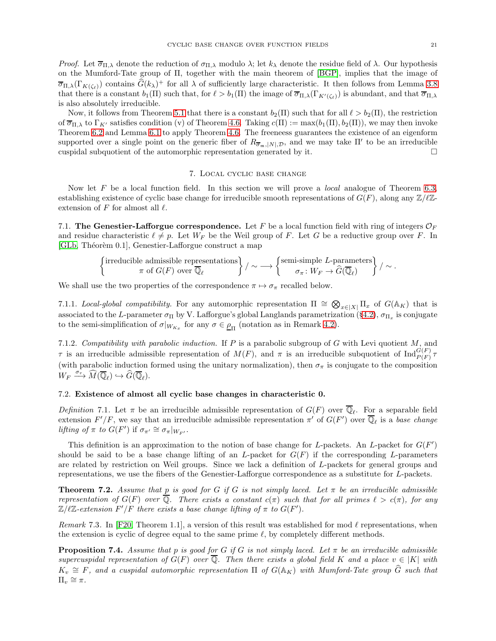*Proof.* Let  $\overline{\sigma}_{\Pi,\lambda}$  denote the reduction of  $\sigma_{\Pi,\lambda}$  modulo  $\lambda$ ; let  $k_{\lambda}$  denote the residue field of  $\lambda$ . Our hypothesis on the Mumford-Tate group of Π, together with the main theorem of [\[BGP\]](#page-32-3), implies that the image of  $\overline{\sigma}_{\Pi,\lambda}(\Gamma_{K(\zeta_{\ell})})$  contains  $\widehat{G}(k_{\lambda})^+$  for all  $\lambda$  of sufficiently large characteristic. It then follows from Lemma [3.8](#page-5-1) that there is a constant  $b_1(\Pi)$  such that, for  $\ell > b_1(\Pi)$  the image of  $\overline{\sigma}_{\Pi,\lambda}(\Gamma_{K'(\zeta_{\ell})})$  is abundant, and that  $\overline{\sigma}_{\Pi,\lambda}$ is also absolutely irreducible.

Now, it follows from Theorem [5.1](#page-12-1) that there is a constant  $b_2(\Pi)$  such that for all  $\ell > b_2(\Pi)$ , the restriction of  $\overline{\sigma}_{\Pi,\lambda}$  to  $\Gamma_{K'}$  satisfies condition (v) of Theorem [4.6.](#page-10-0) Taking  $c(\Pi) := \max(b_1(\Pi), b_2(\Pi))$ , we may then invoke Theorem [6.2](#page-19-3) and Lemma [6.1](#page-19-4) to apply Theorem [4.6.](#page-10-0) The freeneess guarantees the existence of an eigenform supported over a single point on the generic fiber of  $R_{\overline{\sigma}_{m}}$ ,  $|N|, \mathcal{D}$ , and we may take  $\Pi'$  to be an irreducible cuspidal subquotient of the automorphic representation generated by it.  $\square$ 

# 7. Local cyclic base change

<span id="page-20-0"></span>Now let F be a local function field. In this section we will prove a *local* analogue of Theorem [6.3,](#page-19-1) establishing existence of cyclic base change for irreducible smooth representations of  $G(F)$ , along any  $\mathbb{Z}/\ell\mathbb{Z}$ extension of  $F$  for almost all  $\ell$ .

7.1. The Genestier-Lafforgue correspondence. Let F be a local function field with ring of integers  $\mathcal{O}_F$ and residue characteristic  $\ell \neq p$ . Let  $W_F$  be the Weil group of F. Let G be a reductive group over F. In [\[GLb,](#page-33-6) Théorèm 0.1], Genestier-Lafforgue construct a map

$$
\left\{\begin{matrix} \text{irreducible admissible representations} \\ \pi \text{ of } G(F) \text{ over } \overline{\mathbb{Q}}_{\ell} \end{matrix}\right\}/\sim \longrightarrow \left\{\begin{matrix} \text{semi-simple $L$-parameters} \\ \sigma_{\pi} \colon W_F \to \widehat{G}(\overline{\mathbb{Q}}_{\ell}) \end{matrix}\right\}/\sim.
$$

We shall use the two properties of the correspondence  $\pi \mapsto \sigma_{\pi}$  recalled below.

<span id="page-20-4"></span>7.1.1. Local-global compatibility. For any automorphic representation  $\Pi \cong \bigotimes_{x \in [X]} \Pi_x$  of  $G(\mathbb{A}_K)$  that is associated to the L-parameter  $\sigma_\Pi$  by V. Lafforgue's global Langlands parametrization (§[4.2\)](#page-8-1),  $\sigma_{\Pi_x}$  is conjugate to the semi-simplification of  $\sigma|_{W_{K_x}}$  for any  $\sigma \in \underline{\rho}_{\Pi}$  (notation as in Remark [4.2\)](#page-9-1).

<span id="page-20-3"></span>7.1.2. Compatibility with parabolic induction. If  $P$  is a parabolic subgroup of  $G$  with Levi quotient  $M$ , and  $\tau$  is an irreducible admissible representation of  $M(F)$ , and  $\pi$  is an irreducible subquotient of  $\text{Ind}_{P(F)}^{G(F)} \tau$ (with parabolic induction formed using the unitary normalization), then  $\sigma_{\pi}$  is conjugate to the composition  $W_F \xrightarrow{\sigma_{\tau}} \widehat{M}(\overline{\mathbb{Q}}_{\ell}) \hookrightarrow \widehat{G}(\overline{\mathbb{Q}}_{\ell}).$ 

### 7.2. Existence of almost all cyclic base changes in characteristic 0.

<span id="page-20-5"></span>Definition 7.1. Let  $\pi$  be an irreducible admissible representation of  $G(F)$  over  $\mathbb{Q}_{\ell}$ . For a separable field extension  $F'/F$ , we say that an irreducible admissible representation  $\pi'$  of  $G(F')$  over  $\overline{\mathbb{Q}}_{\ell}$  is a base change lifting of  $\pi$  to  $G(F')$  if  $\sigma_{\pi'} \cong \sigma_{\pi}|_{W_{F'}}$ .

This definition is an approximation to the notion of base change for L-packets. An L-packet for  $G(F')$ should be said to be a base change lifting of an L-packet for  $G(F)$  if the corresponding L-parameters are related by restriction on Weil groups. Since we lack a definition of L-packets for general groups and representations, we use the fibers of the Genestier-Lafforgue correspondence as a substitute for L-packets.

<span id="page-20-1"></span>**Theorem 7.2.** Assume that p is good for G if G is not simply laced. Let  $\pi$  be an irreducible admissible representation of  $G(F)$  over  $\overline{Q}$ . There exists a constant  $c(\pi)$  such that for all primes  $\ell > c(\pi)$ , for any  $\mathbb{Z}/\ell\mathbb{Z}$ -extension  $F'/F$  there exists a base change lifting of  $\pi$  to  $G(F')$ .

Remark 7.3. In [\[F20,](#page-33-0) Theorem 1.1], a version of this result was established for mod  $\ell$  representations, when the extension is cyclic of degree equal to the same prime  $\ell$ , by completely different methods.

<span id="page-20-2"></span>**Proposition 7.4.** Assume that p is good for G if G is not simply laced. Let  $\pi$  be an irreducible admissible supercuspidal representation of  $G(F)$  over  $\overline{Q}$ . Then there exists a global field K and a place  $v \in |K|$  with  $K_v \cong F$ , and a cuspidal automorphic representation  $\Pi$  of  $G(\mathbb{A}_K)$  with Mumford-Tate group  $\widehat{G}$  such that  $\Pi_v \cong \pi$ .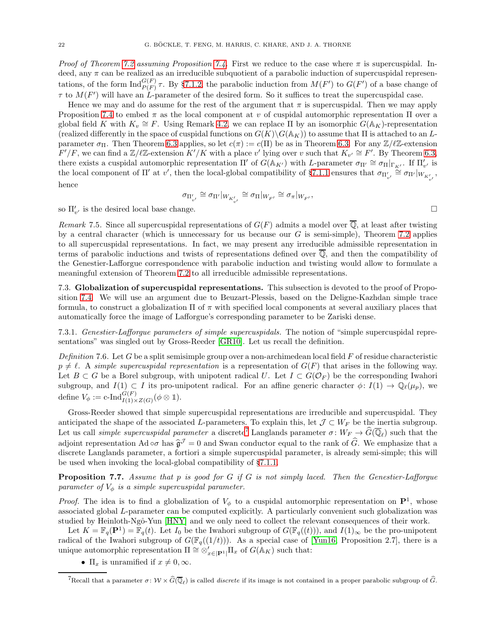*Proof of Theorem [7.2](#page-20-1) assuming Proposition [7.4.](#page-20-2)* First we reduce to the case where  $\pi$  is supercuspidal. Indeed, any  $\pi$  can be realized as an irreducible subquotient of a parabolic induction of supercuspidal representations, of the form  $\text{Ind}_{P(F)}^{G(F)}\tau$ . By §[7.1.2,](#page-20-3) the parabolic induction from  $M(F')$  to  $G(F')$  of a base change of  $\tau$  to  $M(F')$  will have an L-parameter of the desired form. So it suffices to treat the supercuspidal case.

Hence we may and do assume for the rest of the argument that  $\pi$  is supercuspidal. Then we may apply Proposition [7.4](#page-20-2) to embed  $\pi$  as the local component at v of cuspidal automorphic representation  $\Pi$  over a global field K with  $K_v \cong F$ . Using Remark [4.2,](#page-9-1) we can replace  $\Pi$  by an isomorphic  $G(\mathbb{A}_K)$ -representation (realized differently in the space of cuspidal functions on  $G(K)\G(\mathbb{A}_K)$ ) to assume that  $\Pi$  is attached to an Lparameter  $\sigma_{\Pi}$ . Then Theorem [6.3](#page-19-1) applies, so let  $c(\pi) := c(\Pi)$  be as in Theorem [6.3.](#page-19-1) For any  $\mathbb{Z}/\ell\mathbb{Z}$ -extension  $F'/F$ , we can find a  $\mathbb{Z}/\ell\mathbb{Z}$ -extension  $K'/K$  with a place v' lying over v such that  $K_{v'} \cong F'$ . By Theorem [6.3,](#page-19-1) there exists a cuspidal automorphic representation  $\Pi'$  of  $G(\mathbb{A}_{K'})$  with L-parameter  $\sigma_{\Pi'} \cong \sigma_{\Pi}|_{\Gamma_{K'}}$ . If  $\Pi'_{v'}$  is the local component of  $\Pi'$  at  $v'$ , then the local-global compatibility of §[7.1.1](#page-20-4) ensures that  $\sigma_{\Pi'_{v'}} \stackrel{\sim}{=} \sigma_{\Pi'}|_{W_{K'_{v'}}}$ , hence

$$
\sigma_{\Pi'_{v'}} \cong \sigma_{\Pi'}|_{W_{K'_{v'}}} \cong \sigma_{\Pi}|_{W_{F'}} \cong \sigma_{\pi}|_{W_{F'}},
$$

so  $\Pi'_{v'}$  is the desired local base change.

Remark 7.5. Since all supercuspidal representations of  $G(F)$  admits a model over  $\overline{Q}$ , at least after twisting by a central character (which is unnecessary for us because our  $G$  is semi-simple), Theorem [7.2](#page-20-1) applies to all supercuspidal representations. In fact, we may present any irreducible admissible representation in terms of parabolic inductions and twists of representations defined over Q, and then the compatibility of the Genestier-Lafforgue correspondence with parabolic induction and twisting would allow to formulate a meaningful extension of Theorem [7.2](#page-20-1) to all irreducible admissible representations.

7.3. Globalization of supercuspidal representations. This subsection is devoted to the proof of Proposition [7.4.](#page-20-2) We will use an argument due to Beuzart-Plessis, based on the Deligne-Kazhdan simple trace formula, to construct a globalization  $\Pi$  of  $\pi$  with specified local components at several auxiliary places that automatically force the image of Lafforgue's corresponding parameter to be Zariski dense.

7.3.1. Genestier-Lafforgue parameters of simple supercuspidals. The notion of "simple supercuspidal representations" was singled out by Gross-Reeder [\[GR10\]](#page-33-27). Let us recall the definition.

Definition 7.6. Let G be a split semisimple group over a non-archimedean local field  $F$  of residue characteristic  $p \neq \ell$ . A simple supercuspidal representation is a representation of  $G(F)$  that arises in the following way. Let  $B \subset G$  be a Borel subgroup, with unipotent radical U. Let  $I \subset G(\mathcal{O}_F)$  be the corresponding Iwahori subgroup, and  $I(1) \subset I$  its pro-unipotent radical. For an affine generic character  $\phi: I(1) \to \mathbb{Q}_{\ell}(\mu_p)$ , we define  $V_{\phi} := \mathrm{c}\text{-}\mathrm{Ind}_{I(1)\times Z(G)}^{G(F)}(\phi\otimes 1).$ 

Gross-Reeder showed that simple supercuspidal representations are irreducible and supercuspidal. They anticipated the shape of the associated L-parameters. To explain this, let  $\mathcal{J} \subset W_F$  be the inertia subgroup. Let us call *simple supercuspidal parameter* a discrete<sup>[7](#page-21-0)</sup> Langlands parameter  $\sigma: W_F \to \widehat{G}(\overline{\mathbb{Q}}_{\ell})$  such that the adjoint representation Ad  $\circ \sigma$  has  $\hat{\mathfrak{g}}^{\mathcal{J}} = 0$  and Swan conductor equal to the rank of  $\hat{G}$ . We emphasize that a discrete Langlands parameter, a fortiori a simple supercuspidal parameter, is already semi-simple; this will be used when invoking the local-global compatibility of §[7.1.1.](#page-20-4)

<span id="page-21-1"></span>**Proposition 7.7.** Assume that p is good for  $G$  if  $G$  is not simply laced. Then the Genestier-Lafforgue parameter of  $V_{\phi}$  is a simple supercuspidal parameter.

*Proof.* The idea is to find a globalization of  $V_{\phi}$  to a cuspidal automorphic representation on  $\mathbf{P}^1$ , whose associated global L-parameter can be computed explicitly. A particularly convenient such globalization was studied by Heinloth-Ngô-Yun [\[HNY\]](#page-33-7) and we only need to collect the relevant consequences of their work.

Let  $K = \mathbb{F}_q(\mathbf{P}^1) = \mathbb{F}_q(t)$ . Let  $I_0$  be the Iwahori subgroup of  $G(\mathbb{F}_q((t)))$ , and  $I(1)_{\infty}$  be the pro-unipotent radical of the Iwahori subgroup of  $G(\mathbb{F}_q((1/t)))$ . As a special case of [\[Yun16,](#page-34-11) Proposition 2.7], there is a unique automorphic representation  $\Pi \cong \otimes'_{x \in [\mathbf{P}^1]} \Pi_x$  of  $G(\mathbb{A}_K)$  such that:

•  $\Pi_x$  is unramified if  $x \neq 0, \infty$ .

<span id="page-21-0"></span><sup>&</sup>lt;sup>7</sup>Recall that a parameter  $\sigma: W \times \widehat{G}(\overline{\mathbb{Q}}_{\ell})$  is called *discrete* if its image is not contained in a proper parabolic subgroup of  $\widehat{G}$ .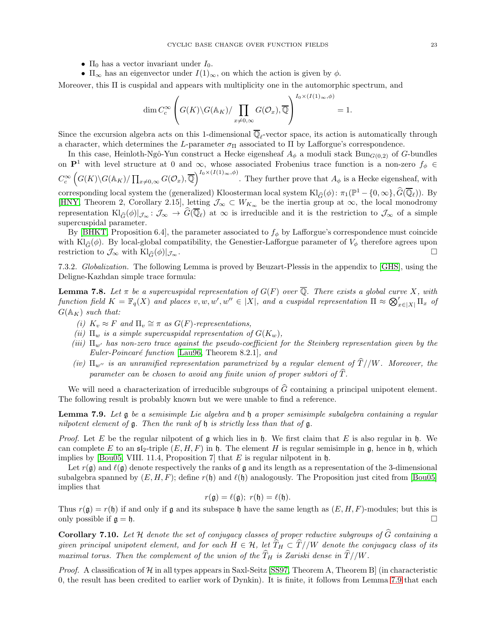- $\Pi_0$  has a vector invariant under  $I_0$ .
- $\Pi_{\infty}$  has an eigenvector under  $I(1)_{\infty}$ , on which the action is given by  $\phi$ .

Moreover, this Π is cuspidal and appears with multiplicity one in the automorphic spectrum, and

$$
\dim C_c^{\infty} \left( G(K) \backslash G(\mathbb{A}_K) / \prod_{x \neq 0, \infty} G(\mathcal{O}_x), \overline{\mathbb{Q}} \right)^{I_0 \times (I(1)_{\infty}, \phi)} = 1.
$$

Since the excursion algebra acts on this 1-dimensional  $\mathbb{Q}_{\ell}$ -vector space, its action is automatically through a character, which determines the L-parameter  $\sigma_{\Pi}$  associated to  $\Pi$  by Lafforgue's correspondence.

In this case, Heinloth-Ngô-Yun construct a Hecke eigensheaf  $A_{\phi}$  a moduli stack Bun $_{G(0,2)}$  of G-bundles on  $\mathbf{P}^1$  with level structure at 0 and  $\infty$ , whose associated Frobenius trace function is a non-zero  $f_{\phi} \in$  $C_c^{\infty} \left( G(K) \backslash G(\mathbb{A}_K) / \prod_{x \neq 0,\infty} G(\mathcal{O}_x), \overline{\mathbb{Q}} \right)^{I_0 \times (I(1)_\infty, \phi)}$ . They further prove that  $A_\phi$  is a Hecke eigensheaf, with corresponding local system the (generalized) Kloosterman local system  $\text{Kl}_{\widehat{G}}(\phi)$ :  $\pi_1(\mathbb{P}^1 - \{0, \infty\}, \widehat{G}(\overline{\mathbb{Q}}_{\ell}))$ . By [\[HNY,](#page-33-7) Theorem 2, Corollary 2.15], letting  $\mathcal{J}_{\infty} \subset W_{K_{\infty}}$  be the inertia group at  $\infty$ , the local monodromy representation  $\text{Kl}_{\widehat{G}}(\phi)|_{\mathcal{J}_{\infty}} \colon \mathcal{J}_{\infty} \to G(\mathbb{Q}_{\ell})$  at  $\infty$  is irreducible and it is the restriction to  $\mathcal{J}_{\infty}$  of a simple supercuspidal parameter.

By [\[BHKT,](#page-32-2) Proposition 6.4], the parameter associated to  $f_{\phi}$  by Lafforgue's correspondence must coincide with Kl $_{\widehat{G}}(\phi)$ . By local-global compatibility, the Genestier-Lafforgue parameter of  $V_{\phi}$  therefore agrees upon restriction to  $\mathcal{J}_{\infty}$  with  $\text{Kl}_{\widehat{G}}(\phi)|_{\mathcal{J}_{\infty}}$ .

7.3.2. Globalization. The following Lemma is proved by Beuzart-Plessis in the appendix to [\[GHS\]](#page-33-28), using the Deligne-Kazhdan simple trace formula:

<span id="page-22-1"></span>**Lemma 7.8.** Let  $\pi$  be a supercuspidal representation of  $G(F)$  over  $\overline{\mathbb{Q}}$ . There exists a global curve X, with function field  $K = \mathbb{F}_q(X)$  and places  $v, w, w', w'' \in |X|$ , and a cuspidal representation  $\Pi \approx \bigotimes_{x \in |X|}' \Pi_x$  of  $G(\mathbb{A}_K)$  such that:

- (i)  $K_v \approx F$  and  $\Pi_v \cong \pi$  as  $G(F)$ -representations,
- (ii)  $\Pi_w$  is a simple supercuspidal representation of  $G(K_w)$ ,
- (iii)  $\Pi_{w'}$  has non-zero trace against the pseudo-coefficient for the Steinberg representation given by the Euler-Poincaré function [\[Lau96,](#page-33-29) Theorem 8.2.1], and
- (iv)  $\Pi_{w''}$  is an unramified representation parametrized by a regular element of  $\widehat{T}$  //W. Moreover, the parameter can be chosen to avoid any finite union of proper subtori of  $\hat{T}$ .

We will need a characterization of irreducible subgroups of  $\hat{G}$  containing a principal unipotent element. The following result is probably known but we were unable to find a reference.

<span id="page-22-0"></span>Lemma 7.9. Let g be a semisimple Lie algebra and  $\mathfrak h$  a proper semisimple subalgebra containing a regular nilpotent element of  $\mathfrak g$ . Then the rank of  $\mathfrak h$  is strictly less than that of  $\mathfrak g$ .

*Proof.* Let E be the regular nilpotent of  $\mathfrak g$  which lies in  $\mathfrak h$ . We first claim that E is also regular in  $\mathfrak h$ . We can complete E to an  $\mathfrak{sl}_2$ -triple  $(E, H, F)$  in h. The element H is regular semisimple in g, hence in h, which implies by [\[Bou05,](#page-33-30) VIII. 11.4, Proposition 7] that  $E$  is regular nilpotent in  $\mathfrak{h}$ .

Let  $r(\mathfrak{g})$  and  $\ell(\mathfrak{g})$  denote respectively the ranks of  $\mathfrak{g}$  and its length as a representation of the 3-dimensional subalgebra spanned by  $(E, H, F)$ ; define  $r(\mathfrak{h})$  and  $\ell(\mathfrak{h})$  analogously. The Proposition just cited from [\[Bou05\]](#page-33-30) implies that

$$
r(\mathfrak{g})=\ell(\mathfrak{g});\ r(\mathfrak{h})=\ell(\mathfrak{h}).
$$

Thus  $r(\mathfrak{g}) = r(\mathfrak{h})$  if and only if  $\mathfrak{g}$  and its subspace  $\mathfrak{h}$  have the same length as  $(E, H, F)$ -modules; but this is only possible if  $\mathfrak{g} = \mathfrak{h}$ .

<span id="page-22-2"></span>**Corollary 7.10.** Let H denote the set of conjugacy classes of proper reductive subgroups of  $\widehat{G}$  containing a given principal unipotent element, and for each  $H \in \mathcal{H}$ , let  $\widehat{T}_H \subset \widehat{T} / /W$  denote the conjugacy class of its maximal torus. Then the complement of the union of the  $\widehat{T}_H$  is Zariski dense in  $\widehat{T}$  //W.

*Proof.* A classification of  $H$  in all types appears in Saxl-Seitz [\[SS97,](#page-34-12) Theorem A, Theorem B] (in characteristic 0, the result has been credited to earlier work of Dynkin). It is finite, it follows from Lemma [7.9](#page-22-0) that each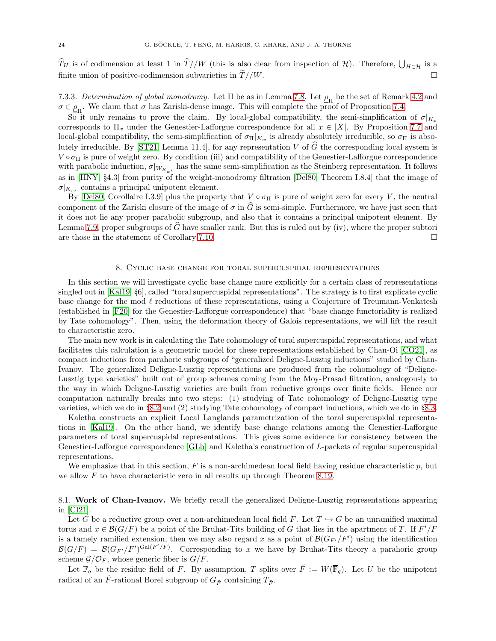$\widehat{T}_H$  is of codimension at least 1 in  $\widehat{T}$  //W (this is also clear from inspection of H). Therefore,  $\bigcup_{H \in \mathcal{H}}$  is a finite union of positive-codimension subvarieties in  $\widetilde{T}/W$ .

7.3.3. Determination of global monodromy. Let  $\Pi$  be as in Lemma [7.8.](#page-22-1) Let  $\rho_{\Pi}$  be the set of Remark [4.2](#page-9-1) and  $\sigma \in \underline{\rho}_{\Pi}$ . We claim that  $\sigma$  has Zariski-dense image. This will complete the proof of Proposition [7.4.](#page-20-2)

So it only remains to prove the claim. By local-global compatibility, the semi-simplification of  $\sigma|_{K_x}$ corresponds to  $\Pi_x$  under the Genestier-Lafforgue correspondence for all  $x \in |X|$ . By Proposition [7.7](#page-21-1) and local-global compatibility, the semi-simplification of  $\sigma_{\Pi}|_{K_w}$  is already absolutely irreducible, so  $\sigma_{\Pi}$  is abso-lutely irreducible. By [\[ST21,](#page-34-0) Lemma 11.4], for any representation V of  $\hat{G}$  the corresponding local system is  $V \circ \sigma_{\Pi}$  is pure of weight zero. By condition (iii) and compatibility of the Genestier-Lafforgue correspondence with parabolic induction,  $\sigma|_{W_{K_{w'}}}$  has the same semi-simplification as the Steinberg representation. It follows as in [\[HNY,](#page-33-7) §4.3] from purity of the weight-monodromy filtration [\[Del80,](#page-33-23) Theorem I.8.4] that the image of  $\sigma|_{K_{w'}}$  contains a principal unipotent element.

By [\[Del80,](#page-33-23) Corollaire I.3.9] plus the property that  $V \circ \sigma_{\Pi}$  is pure of weight zero for every V, the neutral component of the Zariski closure of the image of  $\sigma$  in  $\tilde{G}$  is semi-simple. Furthermore, we have just seen that it does not lie any proper parabolic subgroup, and also that it contains a principal unipotent element. By Lemma [7.9,](#page-22-0) proper subgroups of  $\widehat{G}$  have smaller rank. But this is ruled out by (iv), where the proper subtori<br>are those in the statement of Corollary 7.10. are those in the statement of Corollary [7.10.](#page-22-2)

# 8. Cyclic base change for toral supercuspidal representations

<span id="page-23-0"></span>In this section we will investigate cyclic base change more explicitly for a certain class of representations singled out in [\[Kal19,](#page-33-8) §6], called "toral supercuspidal representations". The strategy is to first explicate cyclic base change for the mod  $\ell$  reductions of these representations, using a Conjecture of Treumann-Venkatesh (established in [\[F20\]](#page-33-0) for the Genestier-Lafforgue correspondence) that "base change functoriality is realized by Tate cohomology". Then, using the deformation theory of Galois representations, we will lift the result to characteristic zero.

The main new work is in calculating the Tate cohomology of toral supercuspidal representations, and what facilitates this calculation is a geometric model for these representations established by Chan-Oi [\[CO21\]](#page-33-10), as compact inductions from parahoric subgroups of "generalized Deligne-Lusztig inductions" studied by Chan-Ivanov. The generalized Deligne-Lusztig representations are produced from the cohomology of "Deligne-Lusztig type varieties" built out of group schemes coming from the Moy-Prasad filtration, analogously to the way in which Deligne-Lusztig varieties are built from reductive groups over finite fields. Hence our computation naturally breaks into two steps: (1) studying of Tate cohomology of Deligne-Lusztig type varieties, which we do in §[8.2](#page-25-0) and (2) studying Tate cohomology of compact inductions, which we do in §[8.3.](#page-29-0)

Kaletha constructs an explicit Local Langlands parametrization of the toral supercuspidal representations in [\[Kal19\]](#page-33-8). On the other hand, we identify base change relations among the Genestier-Lafforgue parameters of toral supercuspidal representations. This gives some evidence for consistency between the Genestier-Lafforgue correspondence [\[GLb\]](#page-33-6) and Kaletha's construction of L-packets of regular supercuspidal representations.

We emphasize that in this section,  $F$  is a non-archimedean local field having residue characteristic  $p$ , but we allow  $F$  to have characteristic zero in all results up through Theorem [8.19.](#page-31-0)

8.1. Work of Chan-Ivanov. We briefly recall the generalized Deligne-Lusztig representations appearing in [\[CI21\]](#page-33-9).

Let G be a reductive group over a non-archimedean local field F. Let  $T \hookrightarrow G$  be an unramified maximal torus and  $x \in \mathcal{B}(G/F)$  be a point of the Bruhat-Tits building of G that lies in the apartment of T. If  $F'/F$ is a tamely ramified extension, then we may also regard x as a point of  $\mathcal{B}(G_{F'}/F')$  using the identification  $\mathcal{B}(G/F) = \mathcal{B}(G_{F'}/F')^{\text{Gal}(F'/F)}$ . Corresponding to x we have by Bruhat-Tits theory a parahoric group scheme  $\mathcal{G}/\mathcal{O}_F$ , whose generic fiber is  $G/F$ .

Let  $\mathbb{F}_q$  be the residue field of F. By assumption, T splits over  $\check{F} := W(\overline{\mathbb{F}}_q)$ . Let U be the unipotent radical of an  $\check{F}$ -rational Borel subgroup of  $G_{\check{F}}$  containing  $T_{\check{F}}$ .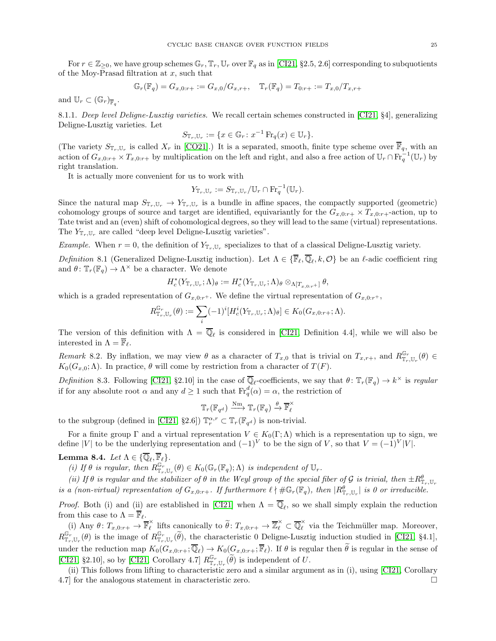For  $r \in \mathbb{Z}_{\geq 0}$ , we have group schemes  $\mathbb{G}_r$ ,  $\mathbb{T}_r$ ,  $\mathbb{U}_r$  over  $\mathbb{F}_q$  as in [\[CI21,](#page-33-9) §2.5, 2.6] corresponding to subquotients of the Moy-Prasad filtration at  $x$ , such that

$$
\mathbb{G}_r(\mathbb{F}_q) = G_{x,0:r+} := G_{x,0}/G_{x,r+}, \quad \mathbb{T}_r(\mathbb{F}_q) = T_{0:r+} := T_{x,0}/T_{x,r+}
$$

and  $\mathbb{U}_r \subset (\mathbb{G}_r)_{\overline{\mathbb{F}}_q}$ .

8.1.1. Deep level Deligne-Lusztig varieties. We recall certain schemes constructed in [\[CI21,](#page-33-9) §4], generalizing Deligne-Lusztig varieties. Let

$$
S_{\mathbb{T}_r,\mathbb{U}_r} := \{ x \in \mathbb{G}_r \colon x^{-1} \operatorname{Fr}_q(x) \in \mathbb{U}_r \}.
$$

(The variety  $S_{\mathbb{T}_r,\mathbb{U}_r}$  is called  $X_r$  in [\[CO21\]](#page-33-10).) It is a separated, smooth, finite type scheme over  $\mathbb{F}_q$ , with an action of  $G_{x,0:r+} \times T_{x,0:r+}$  by multiplication on the left and right, and also a free action of  $\mathbb{U}_r \cap \mathrm{Fr}_q^{-1}(\mathbb{U}_r)$  by right translation.

It is actually more convenient for us to work with

$$
Y_{\mathbb{T}_r,\mathbb{U}_r} := S_{\mathbb{T}_r,\mathbb{U}_r}/\mathbb{U}_r \cap \mathrm{Fr}_q^{-1}(\mathbb{U}_r).
$$

Since the natural map  $S_{\mathbb{T}_r,\mathbb{U}_r} \to Y_{\mathbb{T}_r,\mathbb{U}_r}$  is a bundle in affine spaces, the compactly supported (geometric) cohomology groups of source and target are identified, equivariantly for the  $G_{x,0:r+} \times T_{x,0:r+}$ -action, up to Tate twist and an (even) shift of cohomological degrees, so they will lead to the same (virtual) representations. The  $Y_{\mathbb{T}_r,\mathbb{U}_r}$  are called "deep level Deligne-Lusztig varieties".

*Example.* When  $r = 0$ , the definition of  $Y_{\mathbb{T}_r, \mathbb{U}_r}$  specializes to that of a classical Deligne-Lusztig variety.

Definition 8.1 (Generalized Deligne-Lusztig induction). Let  $\Lambda \in \{\mathbb{F}_{\ell}, \mathbb{Q}_{\ell}, k, \mathcal{O}\}\$ be an  $\ell$ -adic coefficient ring and  $\theta \colon \mathbb{T}_r(\mathbb{F}_q) \to \Lambda^\times$  be a character. We denote

$$
H^*_c(Y_{\mathbb{T}_r,\mathbb{U}_r};\Lambda)_\theta:=H^*_c(Y_{\mathbb{T}_r,\mathbb{U}_r};\Lambda)_\theta\otimes_{\Lambda[T_{x,0:r}+]} \theta,
$$

which is a graded representation of  $G_{x,0:r}$ . We define the virtual representation of  $G_{x,0:r}$ +,

$$
R_{\mathbb{T}_r,\mathbb{U}_r}^{\mathbb{G}_r}(\theta) := \sum_i (-1)^i [H_c^i(Y_{\mathbb{T}_r,\mathbb{U}_r};\Lambda)_{\theta}] \in K_0(G_{x,0:r+};\Lambda).
$$

The version of this definition with  $\Lambda = \mathbb{Q}_\ell$  is considered in [\[CI21,](#page-33-9) Definition 4.4], while we will also be interested in  $\Lambda = \overline{\mathbb{F}}_{\ell}$ .

Remark 8.2. By inflation, we may view  $\theta$  as a character of  $T_{x,0}$  that is trivial on  $T_{x,r+}$ , and  $R_{\mathbb{T}_r,\mathbb{U}_r}^{\mathbb{G}_r}(\theta) \in$  $K_0(G_{x,0}; \Lambda)$ . In practice,  $\theta$  will come by restriction from a character of  $T(F)$ .

Definition 8.3. Following [\[CI21,](#page-33-9) §2.10] in the case of  $\overline{\mathbb{Q}}_{\ell}$ -coefficients, we say that  $\theta \colon \mathbb{T}_{r}(\mathbb{F}_{q}) \to k^{\times}$  is regular if for any absolute root  $\alpha$  and any  $d \geq 1$  such that  $\text{Fr}_q^d(\alpha) = \alpha$ , the restriction of

$$
\mathbb{T}_r(\mathbb{F}_{q^d}) \xrightarrow{\mathrm{Nm}} \mathbb{T}_r(\mathbb{F}_q) \xrightarrow{\theta} \overline{\mathbb{F}}_{\ell}^{\times}
$$

to the subgroup (defined in [\[CI21,](#page-33-9) §2.6])  $\mathbb{T}_r^{\alpha,r} \subset \mathbb{T}_r(\mathbb{F}_{q^d})$  is non-trivial.

For a finite group  $\Gamma$  and a virtual representation  $V \in K_0(\Gamma;\Lambda)$  which is a representation up to sign, we define |V| to be the underlying representation and  $(-1)^V$  to be the sign of V, so that  $V = (-1)^V |V|$ .

Lemma 8.4. Let  $\Lambda \in \{ \mathbb{Q}_\ell, \mathbb{F}_\ell \}.$ 

(i) If  $\theta$  is regular, then  $R_{\mathbb{T}_r,\mathbb{U}_r}^{\mathbb{G}_r}(\theta) \in K_0(\mathbb{G}_r(\mathbb{F}_q); \Lambda)$  is independent of  $\mathbb{U}_r$ .

(ii) If  $\theta$  is regular and the stabilizer of  $\theta$  in the Weyl group of the special fiber of  $\mathcal G$  is trivial, then  $\pm R_{\mathbb T_r,\mathbb U_r}^{\theta}$ is a (non-virtual) representation of  $G_{x,0:r+}$ . If furthermore  $\ell \nmid \#\mathbb{G}_r(\mathbb{F}_q)$ , then  $|R_{\mathbb{T}_r,\mathbb{U}_r}^{\theta}|$  is 0 or irreducible.

*Proof.* Both (i) and (ii) are established in [\[CI21\]](#page-33-9) when  $\Lambda = \mathbb{Q}_{\ell}$ , so we shall simply explain the reduction from this case to  $\Lambda = \overline{\mathbb{F}}_{\ell}$ .

(i) Any  $\theta\colon T_{x,0:r+}\to \overline{\mathbb{F}}_{\ell}^{\times}$  $\ell$  lifts canonically to  $\widetilde{\theta}$ :  $T_{x,0:r+} \to \overline{\mathbb{Z}}_{\ell}^{\times} \subset \overline{\mathbb{Q}}_{\ell}^{\times}$  via the Teichmüller map. Moreover,  $R_{\mathbb{T}_r,\mathbb{U}_r}^{\mathbb{G}_r}(\theta)$  is the image of  $R_{\mathbb{T}_r,\mathbb{U}_r}^{\mathbb{G}_r}(\widetilde{\theta})$ , the characteristic 0 Deligne-Lusztig induction studied in [\[CI21,](#page-33-9) §4.1], under the reduction map  $K_0(G_{x,0:r+};\mathbb{Q}_\ell) \to K_0(G_{x,0:r+};\mathbb{F}_\ell)$ . If  $\theta$  is regular then  $\theta$  is regular in the sense of [\[CI21,](#page-33-9) §2.10], so by [\[CI21,](#page-33-9) Corollary 4.7]  $R_{\mathbb{T}_r,\mathbb{U}_r}^{\mathbb{G}_r}(\widetilde{\theta})$  is independent of U.

(ii) This follows from lifting to characteristic zero and a similar argument as in (i), using [\[CI21,](#page-33-9) Corollary 4.7] for the analogous statement in characteristic zero.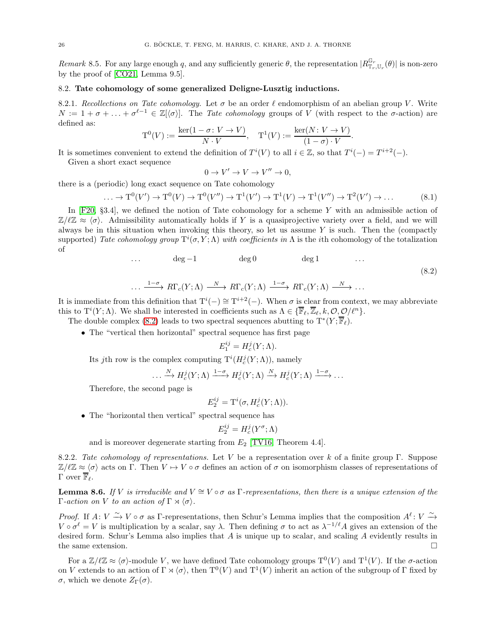<span id="page-25-3"></span>Remark 8.5. For any large enough q, and any sufficiently generic  $\theta$ , the representation  $|R_{\mathbb{T}_r,\mathbb{U}_r}^{\mathbb{G}_r}(\theta)|$  is non-zero by the proof of [\[CO21,](#page-33-10) Lemma 9.5].

# <span id="page-25-0"></span>8.2. Tate cohomology of some generalized Deligne-Lusztig inductions.

8.2.1. Recollections on Tate cohomology. Let  $\sigma$  be an order  $\ell$  endomorphism of an abelian group V. Write  $N := 1 + \sigma + \ldots + \sigma^{\ell-1} \in \mathbb{Z}[\langle \sigma \rangle].$  The Tate cohomology groups of V (with respect to the  $\sigma$ -action) are defined as:

$$
\mathcal{T}^0(V) := \frac{\ker(1 - \sigma \colon V \to V)}{N \cdot V}, \quad \mathcal{T}^1(V) := \frac{\ker(N \colon V \to V)}{(1 - \sigma) \cdot V}
$$

It is sometimes convenient to extend the definition of  $T^i(V)$  to all  $i \in \mathbb{Z}$ , so that  $T^i(-) = T^{i+2}(-)$ .

Given a short exact sequence

$$
0 \to V' \to V \to V'' \to 0,
$$

there is a (periodic) long exact sequence on Tate cohomology

$$
\dots \to \mathcal{T}^0(V') \to \mathcal{T}^0(V) \to \mathcal{T}^0(V'') \to \mathcal{T}^1(V') \to \mathcal{T}^1(V) \to \mathcal{T}^1(V'') \to \mathcal{T}^2(V') \to \dots
$$
 (8.1)

.

In  $[F20, §3.4]$ , we defined the notion of Tate cohomology for a scheme Y with an admissible action of  $\mathbb{Z}/\ell\mathbb{Z} \approx \langle \sigma \rangle$ . Admissibility automatically holds if Y is a quasiprojective variety over a field, and we will always be in this situation when invoking this theory, so let us assume  $Y$  is such. Then the (compactly supported) Tate cohomology group  $T^i(\sigma, Y; \Lambda)$  with coefficients in  $\Lambda$  is the ith cohomology of the totalization of

<span id="page-25-1"></span>
$$
\deg -1 \qquad \deg 0 \qquad \deg 1 \qquad \dots
$$
  

$$
\dots \xrightarrow{1-\sigma} R\Gamma_c(Y;\Lambda) \xrightarrow{N} R\Gamma_c(Y;\Lambda) \xrightarrow{1-\sigma} R\Gamma_c(Y;\Lambda) \xrightarrow{N} \dots
$$
  
(8.2)

It is immediate from this definition that  $T^{i}(-) \cong T^{i+2}(-)$ . When  $\sigma$  is clear from context, we may abbreviate this to  $T^{i}(Y; \Lambda)$ . We shall be interested in coefficients such as  $\Lambda \in {\{\overline{\mathbb{F}}_{\ell}, \overline{\mathbb{Z}}_{\ell}, k, \mathcal{O}, \mathcal{O}/\ell^{n}\}}$ .

The double complex [\(8.2\)](#page-25-1) leads to two spectral sequences abutting to  $T^*(Y;\overline{\mathbb{F}}_{\ell})$ .

• The "vertical then horizontal" spectral sequence has first page

$$
E_1^{ij} = H_c^j(Y; \Lambda).
$$

Its *j*th row is the complex computing  $T^{i}(H_c^j(Y; \Lambda))$ , namely

$$
\ldots \xrightarrow{N} H_c^j(Y;\Lambda) \xrightarrow{1-\sigma} H_c^j(Y;\Lambda) \xrightarrow{N} H_c^j(Y;\Lambda) \xrightarrow{1-\sigma} \ldots
$$

Therefore, the second page is

 $E_2^{ij} = \mathrm{T}^i(\sigma, H_c^j(Y; \Lambda)).$ 

• The "horizontal then vertical" spectral sequence has

$$
E_2^{ij} = H_c^j(Y^\sigma; \Lambda)
$$

and is moreover degenerate starting from  $E_2$  [\[TV16,](#page-34-1) Theorem 4.4].

<span id="page-25-2"></span>8.2.2. Tate cohomology of representations. Let V be a representation over k of a finite group Γ. Suppose  $\mathbb{Z}/\ell\mathbb{Z} \approx \langle \sigma \rangle$  acts on Γ. Then  $V \mapsto V \circ \sigma$  defines an action of  $\sigma$  on isomorphism classes of representations of Γ over  $\overline{\mathbb{F}}_{\ell}$ .

**Lemma 8.6.** If V is irreducible and  $V \cong V \circ \sigma$  as Γ-representations, then there is a unique extension of the Γ-action on V to an action of Γ  $\rtimes \langle \sigma \rangle$ .

Proof. If  $A: V \xrightarrow{\sim} V \circ \sigma$  as  $\Gamma$ -representations, then Schur's Lemma implies that the composition  $A^{\ell}: V \xrightarrow{\sim} V$  $V \circ \sigma^{\ell} = V$  is multiplication by a scalar, say  $\lambda$ . Then defining  $\sigma$  to act as  $\lambda^{-1/\ell}A$  gives an extension of the desired form. Schur's Lemma also implies that  $A$  is unique up to scalar, and scaling  $A$  evidently results in the same extension.  $\square$ 

For a  $\mathbb{Z}/\ell\mathbb{Z} \approx \langle \sigma \rangle$ -module V, we have defined Tate cohomology groups  $T^0(V)$  and  $T^1(V)$ . If the  $\sigma$ -action on V extends to an action of  $\Gamma \rtimes \langle \sigma \rangle$ , then  $T^0(V)$  and  $T^1(V)$  inherit an action of the subgroup of  $\Gamma$  fixed by σ, which we denote  $Z_{\Gamma}(\sigma)$ .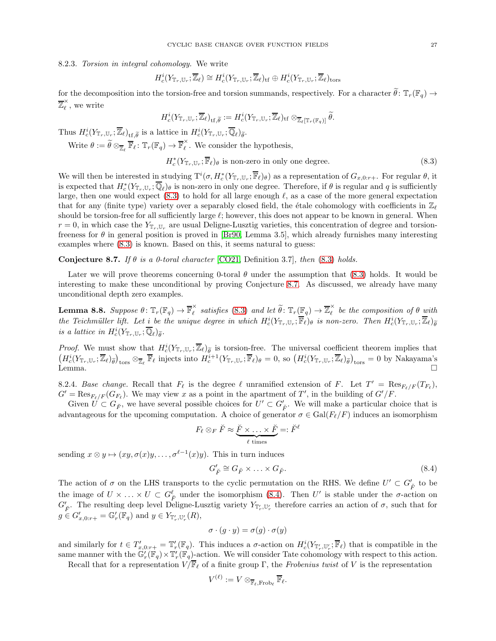8.2.3. Torsion in integral cohomology. We write

$$
H_c^i(Y_{\mathbb{T}_r,\mathbb{U}_r};\overline{\mathbb{Z}}_{\ell})\cong H_c^i(Y_{\mathbb{T}_r,\mathbb{U}_r};\overline{\mathbb{Z}}_{\ell})_{\rm tf}\oplus H_c^i(Y_{\mathbb{T}_r,\mathbb{U}_r};\overline{\mathbb{Z}}_{\ell})_{\rm tors}
$$

for the decomposition into the torsion-free and torsion summands, respectively. For a character  $\tilde{\theta}$ :  $\mathbb{T}_r(\mathbb{F}_q) \to$  $\overline{\mathbb{Z}}_\ell^\times$  $\hat{\ell}$ , we write

 $H^i_c(Y_{\mathbb T_r,\mathbb U_r};\overline {\mathbb Z}_\ell)_{\rm tf,\widetilde \theta}:=H^i_c(Y_{\mathbb T_r,\mathbb U_r};\overline {\mathbb Z}_\ell)_{\rm tf}\otimes_{\overline {\mathbb Z}_\ell[\mathbb T_r(\mathbb F_q)]}\widetilde \theta.$ 

Thus  $H_c^i(Y_{\mathbb{T}_r,\mathbb{U}_r};\overline{\mathbb{Z}}_{\ell})_{\mathrm{tf},\widetilde{\theta}}$  is a lattice in  $H_c^i(Y_{\mathbb{T}_r,\mathbb{U}_r};\overline{\mathbb{Q}}_{\ell})_{\widetilde{\theta}}$ .

Write  $\theta := \widetilde{\theta} \otimes_{\overline{\mathbb{Z}}_{\ell}} \overline{\mathbb{F}}_{\ell} \colon \mathbb{T}_{r}(\mathbb{F}_{q}) \to \overline{\mathbb{F}}_{\ell}^{\times}$  $\hat{\ell}$ . We consider the hypothesis,

<span id="page-26-0"></span>
$$
H_c^*(Y_{\mathbb{T}_r,\mathbb{U}_r};\overline{\mathbb{F}}_{\ell})_{\theta} \text{ is non-zero in only one degree. } (8.3)
$$

We will then be interested in studying  $T^i(\sigma, H_c^*(Y_{\mathbb{T}_r,U_r}; \overline{\mathbb{F}}_{\ell})_{\theta})$  as a representation of  $G_{x,0:r+}$ . For regular  $\theta$ , it is expected that  $H_c^*(Y_{\mathbb{T}_r,\mathbb{U}_r};\overline{\mathbb{Q}}_\ell)_\theta$  is non-zero in only one degree. Therefore, if  $\theta$  is regular and q is sufficiently large, then one would expect  $(8.3)$  to hold for all large enough  $\ell$ , as a case of the more general expectation that for any (finite type) variety over a separably closed field, the étale cohomology with coefficients in  $\mathbb{Z}_\ell$ should be torsion-free for all sufficiently large  $\ell$ ; however, this does not appear to be known in general. When  $r = 0$ , in which case the  $Y_{\mathbb{T}_r,\mathbb{U}_r}$  are usual Deligne-Lusztig varieties, this concentration of degree and torsionfreeness for  $\theta$  in general position is proved in [\[Br90,](#page-32-7) Lemma 3.5], which already furnishes many interesting examples where [\(8.3\)](#page-26-0) is known. Based on this, it seems natural to guess:

<span id="page-26-1"></span>Conjecture 8.7. If  $\theta$  is a 0-toral character [\[CO21,](#page-33-10) Definition 3.7], then [\(8.3\)](#page-26-0) holds.

Later we will prove theorems concerning 0-toral  $\theta$  under the assumption that [\(8.3\)](#page-26-0) holds. It would be interesting to make these unconditional by proving Conjecture [8.7.](#page-26-1) As discussed, we already have many unconditional depth zero examples.

<span id="page-26-3"></span>Lemma 8.8.  $Suppose \ \theta \colon \mathbb{T}_r(\mathbb{F}_q) \to \overline{\mathbb{F}}_{\ell}^{\times}$  $\widetilde{\ell}$  satisfies [\(8.3\)](#page-26-0) and let  $\widetilde{\theta}$ :  $\mathbb{T}_r(\mathbb{F}_q) \to \overline{\mathbb{Z}}_{\ell}^{\times}$  $\hat{\ell}$  be the composition of  $\theta$  with the Teichmüller lift. Let  $\underline{i}$  be the unique degree in which  $H_c^i(Y_{\mathbb{T}_r,\mathbb{U}_r};\overline{\mathbb{F}}_\ell)_{\theta}$  is non-zero. Then  $H_c^i(Y_{\mathbb{T}_r,\mathbb{U}_r};\overline{\mathbb{Z}}_\ell)_{\widetilde{\theta}}$ is a lattice in  $H_c^i(Y_{\mathbb{T}_r,\mathbb{U}_r};\overline{\mathbb{Q}}_{\ell})_{\widetilde{\theta}}$ .

*Proof.* We must show that  $H_c^i(Y_{\mathbb{T}_r,\mathbb{U}_r};\overline{\mathbb{Z}}_{\ell})_{\tilde{\theta}}$  is torsion-free. The universal coefficient theorem implies that  $(H_c^i(Y_{\mathbb{T}_r,\mathbb{U}_r};\overline{\mathbb{Z}}_{\ell})_{\tilde{\theta}})_{\text{tors}} \otimes_{\mathbb{Z}_{\ell}} \overline{\mathbb{F}}_{\ell}$  injects int Lemma.  $\square$ 

<span id="page-26-4"></span>8.2.4. Base change. Recall that  $F_{\ell}$  is the degree  $\ell$  unramified extension of F. Let  $T' = \text{Res}_{F_{\ell}/F}(T_{F_{\ell}})$ ,  $G' = \text{Res}_{F_{\ell}/F}(G_{F_{\ell}})$ . We may view x as a point in the apartment of T', in the building of  $G'/F$ .

Given  $U \subset G_{\breve{F}}$ , we have several possible choices for  $U' \subset G'_{\breve{F}}$ . We will make a particular choice that is advantageous for the upcoming computation. A choice of generator  $\sigma \in \text{Gal}(F_{\ell}/F)$  induces an isomorphism

$$
F_{\ell} \otimes_{F} \breve{F} \approx \underbrace{\breve{F} \times \ldots \times \breve{F}}_{\ell \text{ times}} =: \breve{F}^{\ell}
$$

sending  $x \otimes y \mapsto (xy, \sigma(x)y, \ldots, \sigma^{\ell-1}(x)y)$ . This in turn induces

<span id="page-26-2"></span>
$$
G'_{\breve{F}} \cong G_{\breve{F}} \times \ldots \times G_{\breve{F}}.\tag{8.4}
$$

The action of  $\sigma$  on the LHS transports to the cyclic permutation on the RHS. We define  $U' \subset G'_{\breve{F}}$  to be the image of  $U \times \ldots \times U \subset G_F^{\ell}$  under the isomorphism [\(8.4\)](#page-26-2). Then U' is stable under the  $\sigma$ -action on  $G'_{\breve{F}}$ . The resulting deep level Deligne-Lusztig variety  $Y_{\mathbb{T}'_r,\mathbb{U}'_r}$  therefore carries an action of  $\sigma$ , such that for  $g \in G'_{x,0:r+} = \mathbb{G}'_r(\mathbb{F}_q)$  and  $y \in Y_{\mathbb{F}'_r, \mathbb{U}'_r}(R)$ ,

$$
\sigma \cdot (g \cdot y) = \sigma(g) \cdot \sigma(y)
$$

and similarly for  $t \in T'_{x,0:r+} = \mathbb{T}'_r(\mathbb{F}_q)$ . This induces a  $\sigma$ -action on  $H_c^i(Y_{\mathbb{T}'_r}, \mathbb{F}_r)$  that is compatible in the same manner with the  $\mathbb{G}'_r(\mathbb{F}_q)\times \mathbb{T}'_r(\mathbb{F}_q)$ -action. We will consider Tate cohomology with respect to this action.

Recall that for a representation  $V/\overline{\mathbb{F}}_\ell$  of a finite group Γ, the Frobenius twist of V is the representation

$$
V^{(\ell)}:=V\otimes_{\overline{\mathbb{F}}_{\ell}, \operatorname{Frob}_{\ell}} \overline{\mathbb{F}}_{\ell}.
$$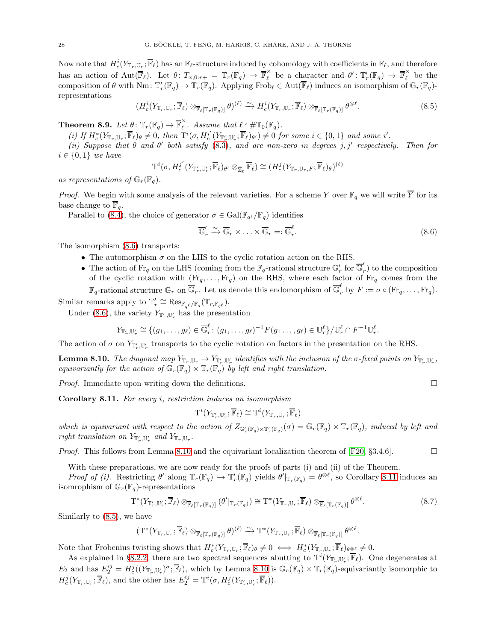Now note that  $H_c^i(Y_{\mathbb{T}_r,U_r}; \overline{\mathbb{F}}_{\ell})$  has an  $\mathbb{F}_{\ell}$ -structure induced by cohomology with coefficients in  $\mathbb{F}_{\ell}$ , and therefore has an action of  $Aut(\overline{\mathbb{F}}_{\ell})$ . Let  $\theta\colon T_{x,0:r+} = \mathbb{T}_r(\mathbb{F}_q) \to \overline{\mathbb{F}}_{\ell}^{\times}$  be a character and  $\theta'\colon \mathbb{T}'_r(\mathbb{F}_q) \to \overline{\mathbb{F}}_{\ell}^{\times}$  be the composition of  $\theta$  with Nm:  $\mathbb{T}'_r(\mathbb{F}_q) \to \mathbb{T}_r(\mathbb{F}_q)$ . Applying Frob<sub> $\ell \in \text{Aut}(\overline{\mathbb{F}}_{\ell})$  induces an isomorphism of  $\mathbb{G}_r(\mathbb{F}_q)$ -</sub> representations

<span id="page-27-3"></span>
$$
(H_c^i(Y_{\mathbb{T}_r,\mathbb{U}_r};\overline{\mathbb{F}}_\ell) \otimes_{\overline{\mathbb{F}}_\ell[\mathbb{T}_r(\mathbb{F}_q)]} \theta)^{(\ell)} \xrightarrow{\sim} H_c^i(Y_{\mathbb{T}_r,\mathbb{U}_r};\overline{\mathbb{F}}_\ell) \otimes_{\overline{\mathbb{F}}_\ell[\mathbb{T}_r(\mathbb{F}_q)]} \theta^{\otimes \ell}.
$$
\n(8.5)

<span id="page-27-4"></span>Theorem 8.9. Let  $\theta \colon \mathbb{T}_r(\mathbb{F}_q) \to \overline{\mathbb{F}}_{\ell}^{\times}$  $\hat{\ell}$ . Assume that  $\ell \nmid \#\mathbb{T}_0(\mathbb{F}_q)$ .

(i) If  $H_c^*(Y_{\mathbb{T}_r,\mathbb{U}_r}; \overline{\mathbb{F}}_{\ell})_\theta \neq 0$ , then  $\mathrm{T}^i(\sigma, H_c^{i'}(Y_{\mathbb{T}'_r,\mathbb{U}'_r}; \overline{\mathbb{F}}_{\ell})_{\theta'}) \neq 0$  for some  $i \in \{0,1\}$  and some i'.

(ii) Suppose that  $\theta$  and  $\theta'$  both satisfy [\(8.3\)](#page-26-0), and are non-zero in degrees j, j' respectively. Then for  $i \in \{0,1\}$  we have

$$
\mathrm{T}^i(\sigma,H^{j^\prime}_c(Y_{\mathbb{T}'_r,\mathbb{U}'_r};\overline{\mathbb{F}}_\ell)_{\theta^\prime}\otimes_{\overline{\mathbb{Z}}_\ell}\overline{\mathbb{F}}_\ell)\cong (H^j_c(Y_{\mathbb{T}_r,\mathbb{U}_r,F};\overline{\mathbb{F}}_\ell)_\theta)^{(\ell)}
$$

as representations of  $\mathbb{G}_r(\mathbb{F}_q)$ .

*Proof.* We begin with some analysis of the relevant varieties. For a scheme Y over  $\mathbb{F}_q$  we will write  $\overline{Y}$  for its base change to  $\mathbb{F}_q$ .

Parallel to [\(8.4\)](#page-26-2), the choice of generator  $\sigma \in \text{Gal}(\mathbb{F}_{q^{\ell}}/\mathbb{F}_q)$  identifies

<span id="page-27-0"></span>
$$
\overline{\mathbb{G}}_r' \xrightarrow{\sim} \overline{\mathbb{G}}_r \times \ldots \times \overline{\mathbb{G}}_r =: \overline{\mathbb{G}}_r^{\ell}. \tag{8.6}
$$

The isomorphism [\(8.6\)](#page-27-0) transports:

- The automorphism  $\sigma$  on the LHS to the cyclic rotation action on the RHS.
- The action of  $\text{Fr}_q$  on the LHS (coming from the  $\mathbb{F}_q$ -rational structure  $\mathbb{G}'_r$  for  $\overline{\mathbb{G}}'_r$  $r(r)$  to the composition of the cyclic rotation with  $(Fr_q, \ldots, Fr_q)$  on the RHS, where each factor of  $Fr_q$  comes from the

 $\mathbb{F}_q$ -rational structure  $\mathbb{G}_r$  on  $\overline{\mathbb{G}}_r$ . Let us denote this endomorphism of  $\overline{\mathbb{G}}_r^{\ell}$  by  $F := \sigma \circ (\text{Fr}_q, \ldots, \text{Fr}_q)$ . Similar remarks apply to  $\mathbb{T}'_r \cong \operatorname{Res}_{\mathbb{F}_{q^{\ell}}/\mathbb{F}_q}(\mathbb{T}_{r,\mathbb{F}_{q^{\ell}}}).$ 

Under [\(8.6\)](#page-27-0), the variety  $Y_{\mathbb{T}'_r,\mathbb{U}'_r}$  has the presentation

$$
Y_{\mathbb{T}'_r,\mathbb{U}'_r} \cong \{(g_1,\ldots,g_\ell) \in \overline{\mathbb{G}}_r^\ell \colon (g_1,\ldots,g_\ell)^{-1}F(g_1\ldots,g_\ell) \in \mathbb{U}_r^\ell\}/\mathbb{U}_r^\ell \cap F^{-1}\mathbb{U}_r^\ell.
$$

The action of  $\sigma$  on  $Y_{\mathbb{T}'_r,\mathbb{U}'_r}$  transports to the cyclic rotation on factors in the presentation on the RHS.

<span id="page-27-1"></span>**Lemma 8.10.** The diagonal map  $Y_{\mathbb{T}_r,\mathbb{U}_r} \to Y_{\mathbb{T}'_r,\mathbb{U}'_r}$  identifies with the inclusion of the  $\sigma$ -fixed points on  $Y_{\mathbb{T}'_r,\mathbb{U}'_r}$ , equivariantly for the action of  $\mathbb{G}_r(\mathbb{F}_q) \times \mathbb{T}_r(\mathbb{F}_q)$  by left and right translation.

*Proof.* Immediate upon writing down the definitions.  $\square$ 

<span id="page-27-2"></span>Corollary 8.11. For every i, restriction induces an isomorphism

$$
\mathrm{T}^i(Y_{\mathbb{T}'_r,\mathbb{U}'_r};\overline{\mathbb{F}}_{\ell})\cong \mathrm{T}^i(Y_{\mathbb{T}_r,\mathbb{U}_r};\overline{\mathbb{F}}_{\ell})
$$

which is equivariant with respect to the action of  $Z_{\mathbb{G}'_r(\mathbb{F}_q)\times\mathbb{T}'_r(\mathbb{F}_q)}(\sigma)=\mathbb{G}_r(\mathbb{F}_q)\times\mathbb{T}_r(\mathbb{F}_q)$ , induced by left and right translation on  $Y_{\mathbb{T}'_r,\mathbb{U}'_r}$  and  $Y_{\mathbb{T}_r,\mathbb{U}_r}$ .

*Proof.* This follows from Lemma [8.10](#page-27-1) and the equivariant localization theorem of [\[F20,](#page-33-0) §3.4.6].

With these preparations, we are now ready for the proofs of parts (i) and (ii) of the Theorem. Proof of (i). Restricting  $\theta'$  along  $\mathbb{T}_r(\mathbb{F}_q) \hookrightarrow \mathbb{T}'_r(\mathbb{F}_q)$  yields  $\theta'|_{\mathbb{T}_r(\mathbb{F}_q)} = \theta^{\otimes \ell}$ , so Corollary [8.11](#page-27-2) induces an

isomrophism of  $\mathbb{G}_r(\mathbb{F}_q)$ -representations

$$
\mathcal{T}^*(Y_{\mathbb{T}'_r,\mathbb{U}'_r};\overline{\mathbb{F}}_{\ell})\otimes_{\overline{\mathbb{F}}_{\ell}[\mathbb{T}_r(\mathbb{F}_q)]}(\theta'|_{\mathbb{T}_r(\mathbb{F}_q)})\cong \mathcal{T}^*(Y_{\mathbb{T}_r,\mathbb{U}_r};\overline{\mathbb{F}}_{\ell})\otimes_{\overline{\mathbb{F}}_{\ell}[\mathbb{T}_r(\mathbb{F}_q)]}\theta^{\otimes \ell}.
$$
\n(8.7)

Similarly to [\(8.5\)](#page-27-3), we have

$$
(\mathrm{T}^*(Y_{\mathbb{T}_r,\mathbb{U}_r};\overline{\mathbb{F}}_\ell)\otimes_{\overline{\mathbb{F}}_\ell[\mathbb{T}_r(\mathbb{F}_q)]}\theta)^{(\ell)}\xrightarrow{\sim} \mathrm{T}^*(Y_{\mathbb{T}_r,\mathbb{U}_r};\overline{\mathbb{F}}_\ell)\otimes_{\overline{\mathbb{F}}_\ell[\mathbb{T}_r(\mathbb{F}_q)]}\theta^{\otimes \ell}.
$$

Note that Frobenius twisting shows that  $H_c^*(Y_{\mathbb{T}_r,\mathbb{U}_r}; \overline{\mathbb{F}}_\ell)_\theta \neq 0 \iff H_c^*(Y_{\mathbb{T}_r,\mathbb{U}_r}; \overline{\mathbb{F}}_\ell)_{\theta^\otimes_\ell} \neq 0.$ 

As explained in §[8.2.2,](#page-25-2) there are two spectral sequences abutting to  $T^i(Y_{T'_r,U'_r};\overline{\mathbb{F}}_{\ell})$ . One degenerates at  $E_2$  and has  $E_2^{ij} = H_c^j((Y_{\mathbb{T}'_r}, \mathbb{U}'_r)^{\sigma}; \overline{\mathbb{F}}_{\ell})$ , which by Lemma [8.10](#page-27-1) is  $\mathbb{G}_r(\mathbb{F}_q) \times \mathbb{T}_r(\mathbb{F}_q)$ -equivariantly isomorphic to  $H_c^j(Y_{\mathbb{T}_r,\mathbb{U}_r}; \overline{\mathbb{F}}_{\ell}),$  and the other has  $E_2^{ij} = \mathrm{T}^i(\sigma, H_c^j(Y_{\mathbb{T}'_r,\mathbb{U}'_r}; \overline{\mathbb{F}}_{\ell})).$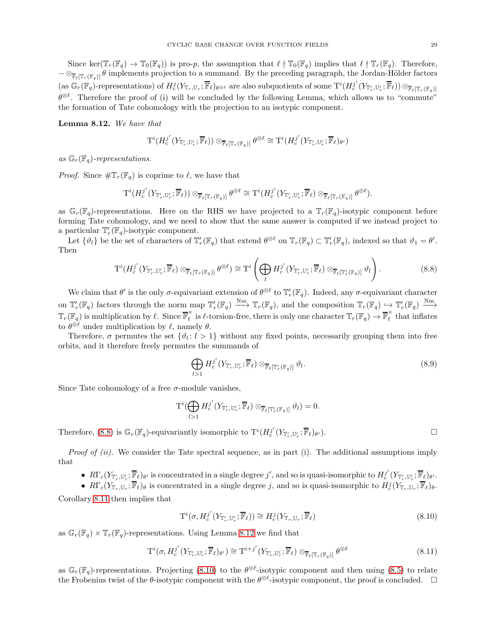Since ker( $\mathbb{T}_r(\mathbb{F}_q) \to \mathbb{T}_0(\mathbb{F}_q)$ ) is pro-p, the assumption that  $\ell \nmid \mathbb{T}_0(\mathbb{F}_q)$  implies that  $\ell \nmid \mathbb{T}_r(\mathbb{F}_q)$ . Therefore,  $-\otimes_{\overline{\mathbb{F}}_{\ell}[\mathbb{T}_{r}(\mathbb{F}_{q})]} \theta$  implements projection to a summand. By the preceding paragraph, the Jordan-Hölder factors  $(\text{as } \mathbb{G}_r(\mathbb{F}_q)\text{-representations}) \text{ of } H_c^j(Y_{\mathbb{T}_r},\mathbb{U}_r;\overline{\mathbb{F}}_{\ell})_{\theta\otimes\ell} \text{ are also subquotients of some } T^i(H_c^{j'}(Y_{\mathbb{T}'_r},\mathbb{U}'_r;\overline{\mathbb{F}}_{\ell}))\otimes_{\overline{\mathbb{F}}_{\ell}[\mathbb{T}_r(\mathbb{F}_q)]}$  $\theta^{\otimes \ell}$ . Therefore the proof of (i) will be concluded by the following Lemma, which allows us to "commute" the formation of Tate cohomology with the projection to an isotypic component.

<span id="page-28-1"></span>Lemma 8.12. We have that

$$
\mathrm{T}^i(H_c^{j'}(Y_{\mathbb{T}'_r,\mathbb{U}'_r};\overline{\mathbb{F}}_{\ell}))\otimes_{\overline{\mathbb{F}}_{\ell}[\mathbb{T}_r(\mathbb{F}_q)]}\theta^{\otimes \ell} \cong \mathrm{T}^i(H_c^{j'}(Y_{\mathbb{T}'_r,\mathbb{U}'_r};\overline{\mathbb{F}}_{\ell})_{\theta'})
$$

as  $\mathbb{G}_r(\mathbb{F}_q)$ -representations.

*Proof.* Since  $\#\mathbb{T}_r(\mathbb{F}_q)$  is coprime to  $\ell$ , we have that

$$
\mathrm{T}^i(H_c^{j'}(Y_{\mathbb{T}'_r,\mathbb{U}'_r};\overline{\mathbb{F}}_\ell))\otimes_{\overline{\mathbb{F}}_\ell[\mathbb{T}_r(\mathbb{F}_q)]}\theta^{\otimes \ell}\cong \mathrm{T}^i(H_c^{j'}(Y_{\mathbb{T}'_r,\mathbb{U}'_r};\overline{\mathbb{F}}_\ell)\otimes_{\overline{\mathbb{F}}_\ell[\mathbb{T}_r(\mathbb{F}_q)]}\theta^{\otimes \ell}).
$$

as  $\mathbb{G}_r(\mathbb{F}_q)$ -representations. Here on the RHS we have projected to a  $\mathbb{T}_r(\mathbb{F}_q)$ -isotypic component before forming Tate cohomology, and we need to show that the same answer is computed if we instead project to a particular  $\mathbb{T}'_r(\mathbb{F}_q)$ -isotypic component.

Let  $\{\vartheta_l\}$  be the set of characters of  $\mathbb{T}'_r(\mathbb{F}_q)$  that extend  $\theta^{\otimes \ell}$  on  $\mathbb{T}_r(\mathbb{F}_q) \subset \mathbb{T}'_r(\mathbb{F}_q)$ , indexed so that  $\vartheta_1 = \theta'$ . Then

<span id="page-28-0"></span>
$$
\mathrm{T}^i(H_c^{j'}(Y_{\mathbb{T}'_r,\mathbb{U}'_r};\overline{\mathbb{F}}_\ell)\otimes_{\overline{\mathbb{F}}_\ell[\mathbb{T}_r(\mathbb{F}_q)]}\theta^{\otimes\ell})\cong\mathrm{T}^i\left(\bigoplus_lH_c^{j'}(Y_{\mathbb{T}'_r,\mathbb{U}'_r};\overline{\mathbb{F}}_\ell)\otimes_{\overline{\mathbb{F}}_\ell[\mathbb{T}'_r(\mathbb{F}_q)]}\theta_l\right).
$$
\n(8.8)

We claim that  $\theta'$  is the only  $\sigma$ -equivariant extension of  $\theta^{\otimes \ell}$  to  $\mathbb{T}'_r(\mathbb{F}_q)$ . Indeed, any  $\sigma$ -equivariant character on  $\mathbb{T}'_r(\mathbb{F}_q)$  factors through the norm map  $\mathbb{T}'_r(\mathbb{F}_q) \longrightarrow \mathbb{T}_r(\mathbb{F}_q)$ , and the composition  $\mathbb{T}_r(\mathbb{F}_q) \hookrightarrow \mathbb{T}'_r(\mathbb{F}_q) \longrightarrow$  $\mathbb{T}_r(\mathbb{F}_q)$  is multiplication by  $\ell$ . Since  $\overline{\mathbb{F}}_{\ell}^{\times}$  $\ell_{\ell}$  is  $\ell$ -torsion-free, there is only one character  $\mathbb{T}_r(\mathbb{F}_q) \to \overline{\mathbb{F}}_{\ell}^{\times}$  $\hat{\ell}$  that inflates to  $\theta^{\otimes \ell}$  under multiplication by  $\ell$ , namely  $\theta$ .

Therefore,  $\sigma$  permutes the set  $\{\vartheta_l: l > 1\}$  without any fixed points, necessarily grouping them into free orbits, and it therefore freely permutes the summands of

$$
\bigoplus_{l>1} H_c^{j'}(Y_{\mathbb{T}'_r,\mathbb{U}'_r};\overline{\mathbb{F}}_{\ell}) \otimes_{\overline{\mathbb{F}}_{\ell}[\mathbb{T}'_r(\mathbb{F}_q)]} \vartheta_l.
$$
\n(8.9)

Since Tate cohomology of a free  $\sigma$ -module vanishes,

$$
\mathrm{T}^i(\bigoplus_{l>1}H^{j'}_{c}(Y_{\mathbb{T}'_r,\mathbb{U}'_r};\overline{\mathbb{F}}_{\ell})\otimes_{\overline{\mathbb{F}}_{\ell}[\mathbb{T}'_r(\mathbb{F}_q)]}\vartheta_l)=0.
$$

Therefore, [\(8.8\)](#page-28-0) is  $\mathbb{G}_r(\mathbb{F}_q)$ -equivariantly isomorphic to  $\mathrm{T}^i(H_c^{j'}(Y_{\mathbb{F}'_r},\mathbb{F}_r,\mathbb{F}_\ell)_{\theta}$  $\lambda$ ).

*Proof of (ii).* We consider the Tate spectral sequence, as in part (i). The additional assumptions imply that

•  $R\Gamma_c(Y_{\mathbb{T}'_r,\mathbb{U}'_r};\overline{\mathbb{F}}_\ell)_{\theta'}$  is concentrated in a single degree j', and so is quasi-isomorphic to  $H_c^{j'}(Y_{\mathbb{T}'_r,\mathbb{U}'_r};\overline{\mathbb{F}}_\ell)_{\theta'}$ .

•  $R\Gamma_c(Y_{\mathbb{T}_r,\mathbb{U}_r};\overline{\mathbb{F}}_\ell)_\theta$  is concentrated in a single degree j, and so is quasi-isomorphic to  $H_c^j(Y_{\mathbb{T}_r,\mathbb{U}_r};\overline{\mathbb{F}}_\ell)_\theta$ . Corollary [8.11](#page-27-2) then implies that

<span id="page-28-2"></span>
$$
\mathbf{T}^i(\sigma, H_c^{j'}(Y_{\mathbb{T}'_r, \mathbb{U}'_r}; \overline{\mathbb{F}}_{\ell})) \cong H_c^j(Y_{\mathbb{T}_r, \mathbb{U}_r}; \overline{\mathbb{F}}_{\ell})
$$
\n(8.10)

as  $\mathbb{G}_r(\mathbb{F}_q) \times \mathbb{T}_r(\mathbb{F}_q)$ -representations. Using Lemma [8.12](#page-28-1) we find that

$$
\mathbf{T}^i(\sigma, H_c^{j'}(Y_{\mathbb{T}'_r, \mathbb{U}'_r}; \overline{\mathbb{F}}_{\ell})_{\theta'}) \cong \mathbf{T}^{i+j'}(Y_{\mathbb{T}'_r, \mathbb{U}'_r}; \overline{\mathbb{F}}_{\ell}) \otimes_{\overline{\mathbb{F}}_{\ell}[\mathbb{T}_r(\mathbb{F}_q)]} \theta^{\otimes \ell} \tag{8.11}
$$

as  $\mathbb{G}_r(\mathbb{F}_q)$ -representations. Projecting [\(8.10\)](#page-28-2) to the  $\theta^{\otimes \ell}$ -isotypic component and then using [\(8.5\)](#page-27-3) to relate the Frobenius twist of the  $\theta$ -isotypic component with the  $\theta^{\otimes \ell}$ -isotypic component, the proof is concluded.  $\Box$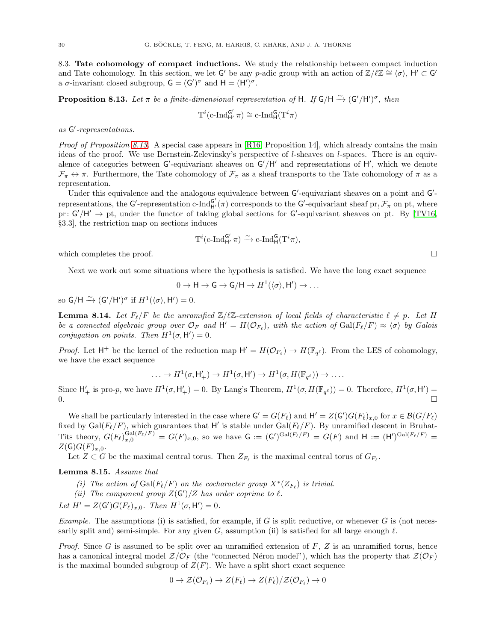<span id="page-29-0"></span>8.3. Tate cohomology of compact inductions. We study the relationship between compact induction and Tate cohomology. In this section, we let G' be any p-adic group with an action of  $\mathbb{Z}/\ell\mathbb{Z} \cong \langle \sigma \rangle$ ,  $H' \subset G'$ a  $\sigma$ -invariant closed subgroup,  $G = (G')^{\sigma}$  and  $H = (H')^{\sigma}$ .

<span id="page-29-1"></span>**Proposition 8.13.** Let  $\pi$  be a finite-dimensional representation of H. If  $G/H \xrightarrow{\sim} (G'/H')^{\sigma}$ , then

$$
T^i(c\text{-Ind}_{H'}^{G'}\pi)\cong c\text{-Ind}_H^G(T^i\pi)
$$

# as G ′ -representations.

*Proof of Proposition [8.13.](#page-29-1)* A special case appears in [\[R16,](#page-34-13) Proposition 14], which already contains the main ideas of the proof. We use Bernstein-Zelevinsky's perspective of l-sheaves on l-spaces. There is an equivalence of categories between  $G'$ -equivariant sheaves on  $G'/H'$  and representations of  $H'$ , which we denote  $\mathcal{F}_{\pi} \leftrightarrow \pi$ . Furthermore, the Tate cohomology of  $\mathcal{F}_{\pi}$  as a sheaf transports to the Tate cohomology of  $\pi$  as a representation.

Under this equivalence and the analogous equivalence between G'-equivariant sheaves on a point and G'representations, the G'-representation c- $\text{Ind}_{H'}^{G'}(\pi)$  corresponds to the G'-equivariant sheaf pr<sub>!</sub>  $\mathcal{F}_{\pi}$  on pt, where pr:  $G'/H' \rightarrow pt$ , under the functor of taking global sections for  $G'$ -equivariant sheaves on pt. By [\[TV16,](#page-34-1) §3.3], the restriction map on sections induces

$$
T^i(c\text{-Ind}_{H'}^{G'}\pi) \xrightarrow{\sim} c\text{-Ind}_H^G(T^i\pi),
$$

which completes the proof.  $\Box$ 

Next we work out some situations where the hypothesis is satisfied. We have the long exact sequence

$$
0 \to H \to G \to G/H \to H^1(\langle \sigma \rangle, H') \to \dots
$$

so  $G/H \xrightarrow{\sim} (G'/H')^{\sigma}$  if  $H^1(\langle \sigma \rangle, H') = 0$ .

<span id="page-29-2"></span>**Lemma 8.14.** Let  $F_{\ell}/F$  be the unramified  $\mathbb{Z}/\ell\mathbb{Z}$ -extension of local fields of characteristic  $\ell \neq p$ . Let H be a connected algebraic group over  $\mathcal{O}_F$  and  $H' = H(\mathcal{O}_{F_\ell})$ , with the action of  $Gal(F_\ell/F) \approx \langle \sigma \rangle$  by Galois conjugation on points. Then  $H^1(\sigma, H') = 0$ .

*Proof.* Let  $H^+$  be the kernel of the reduction map  $H' = H(\mathcal{O}_{F_{\ell}}) \to H(\mathbb{F}_{q^{\ell}})$ . From the LES of cohomology, we have the exact sequence

$$
\ldots \to H^1(\sigma, \mathsf{H}'_+) \to H^1(\sigma, \mathsf{H}') \to H^1(\sigma, H(\mathbb{F}_{q^{\ell}})) \to \ldots.
$$

Since  $H'_{+}$  is pro-p, we have  $H^{1}(\sigma, H'_{+}) = 0$ . By Lang's Theorem,  $H^{1}(\sigma, H(\mathbb{F}_{q^{\ell}})) = 0$ . Therefore,  $H^{1}(\sigma, H') =$  $0.$ 

We shall be particularly interested in the case where  $G' = G(F_{\ell})$  and  $H' = Z(G')G(F_{\ell})_{x,0}$  for  $x \in \mathcal{B}(G/F_{\ell})$ fixed by  $Gal(F_{\ell}/F)$ , which guarantees that H' is stable under  $Gal(F_{\ell}/F)$ . By unramified descent in Bruhat-Tits theory,  $G(F_\ell)_{x,0}^{\mathrm{Gal}(F_\ell/F)} = G(F)_{x,0}$ , so we have  $G := (G')^{\mathrm{Gal}(F_\ell/F)} = G(F)$  and  $H := (H')^{\mathrm{Gal}(F_\ell/F)} =$  $Z(\mathsf{G})G(F)_{x,0}.$ 

Let  $Z \subset G$  be the maximal central torus. Then  $Z_{F_{\ell}}$  is the maximal central torus of  $G_{F_{\ell}}$ .

<span id="page-29-3"></span>Lemma 8.15. Assume that

- (i) The action of  $Gal(F_{\ell}/F)$  on the cocharacter group  $X^*(Z_{F_{\ell}})$  is trivial.
- (ii) The component group  $Z(G')/Z$  has order coprime to  $\ell$ .

Let  $H' = Z(\mathsf{G}')G(F_{\ell})_{x,0}$ . Then  $H^1(\sigma, \mathsf{H}') = 0$ .

Example. The assumptions (i) is satisfied, for example, if  $G$  is split reductive, or whenever  $G$  is (not necessarily split and) semi-simple. For any given G, assumption (ii) is satisfied for all large enough  $\ell$ .

*Proof.* Since G is assumed to be split over an unramified extension of  $F$ , Z is an unramified torus, hence has a canonical integral model  $Z/\mathcal{O}_F$  (the "connected Néron model"), which has the property that  $Z(\mathcal{O}_F)$ is the maximal bounded subgroup of  $Z(F)$ . We have a split short exact sequence

$$
0 \to \mathcal{Z}(\mathcal{O}_{F_{\ell}}) \to Z(F_{\ell}) \to Z(F_{\ell})/\mathcal{Z}(\mathcal{O}_{F_{\ell}}) \to 0
$$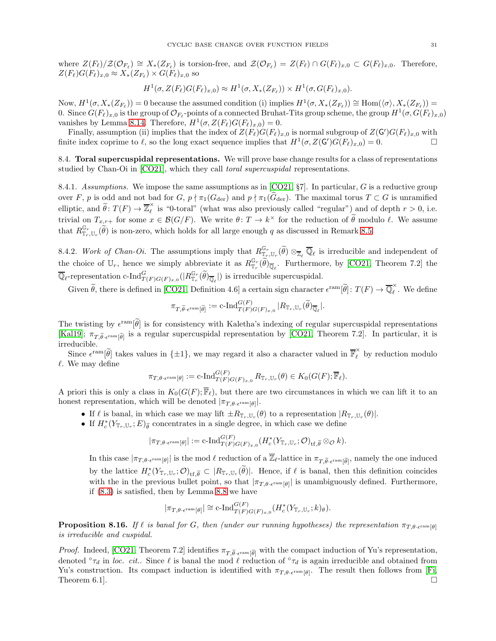where  $Z(F_{\ell})/Z(\mathcal{O}_{F_{\ell}}) \cong X_*(Z_{F_{\ell}})$  is torsion-free, and  $\mathcal{Z}(\mathcal{O}_{F_{\ell}}) = Z(F_{\ell}) \cap G(F_{\ell})_{x,0} \subset G(F_{\ell})_{x,0}$ . Therefore,  $Z(F_{\ell})G(F_{\ell})_{x,0} \approx X_*(Z_{F_{\ell}}) \times G(F_{\ell})_{x,0}$  so

$$
H^1(\sigma, Z(F_{\ell})G(F_{\ell})_{x,0}) \approx H^1(\sigma, X_*(Z_{F_{\ell}})) \times H^1(\sigma, G(F_{\ell})_{x,0}).
$$

Now,  $H^1(\sigma, X_*(Z_{F_\ell})) = 0$  because the assumed condition (i) implies  $H^1(\sigma, X_*(Z_{F_\ell})) \cong \text{Hom}(\langle \sigma \rangle, X_*(Z_{F_\ell})) =$ 0. Since  $G(F_{\ell})_{x,0}$  is the group of  $\mathcal{O}_{F_{\ell}}$ -points of a connected Bruhat-Tits group scheme, the group  $H^1(\sigma, G(F_{\ell})_{x,0})$ vanishes by Lemma [8.14.](#page-29-2) Therefore,  $H^1(\sigma, Z(F_\ell)G(F_\ell)_{x,0}) = 0$ .

Finally, assumption (ii) implies that the index of  $Z(F_{\ell})G(F_{\ell})_{x,0}$  is normal subgroup of  $Z(G')G(F_{\ell})_{x,0}$  with finite index coprime to  $\ell$ , so the long exact sequence implies that  $H^1(\sigma, Z(\mathsf{G}')G(F_{\ell})_{x,0}) = 0.$ 

<span id="page-30-0"></span>8.4. Toral supercuspidal representations. We will prove base change results for a class of representations studied by Chan-Oi in [\[CO21\]](#page-33-10), which they call toral supercuspidal representations.

<span id="page-30-2"></span>8.4.1. Assumptions. We impose the same assumptions as in  $[CO21, \S7]$ . In particular, G is a reductive group over F, p is odd and not bad for G,  $p \nmid \pi_1(G_{\text{der}})$  and  $p \nmid \pi_1(G_{\text{der}})$ . The maximal torus  $T \subset G$  is unramified elliptic, and  $\widetilde{\theta}$ :  $T(F) \to \overline{\mathbb{Z}}_{\ell}^{\times}$  $\hat{\ell}$  is "0-toral" (what was also previously called "regular") and of depth  $r > 0$ , i.e. trivial on  $T_{x,r+}$  for some  $x \in \mathcal{B}(G/F)$ . We write  $\theta \colon T \to k^{\times}$  for the reduction of  $\theta$  modulo  $\ell$ . We assume that  $R_{\mathbb{T}_r,\mathbb{U}_r}^{\mathbb{G}_r}(\tilde{\theta})$  is non-zero, which holds for all large enough q as discussed in Remark [8.5.](#page-25-3)

8.4.2. Work of Chan-Oi. The assumptions imply that  $R_{\mathbb{T}_r,\mathbb{U}_r}^{\mathbb{G}_r}(\widetilde{\theta}) \otimes_{\mathbb{Z}_{\ell}} \overline{\mathbb{Q}}_{\ell}$  is irreducible and independent of the choice of  $\mathbb{U}_r$ , hence we simply abbreviate it as  $R_{\mathbb{T}_r}^{\mathbb{G}_r}(\tilde{\theta})_{\overline{\mathbb{Q}}_\ell}$ . Furthermore, by [\[CO21,](#page-33-10) Theorem 7.2] the  $\overline{\mathbb{Q}}_{\ell}$ -representation c-Ind ${}_{T(F)G(F)_{x,0}}^G(|R^{\mathbb{G}_r}_{\mathbb{T}_r}(\widetilde{\theta})_{\overline{\mathbb{Q}}_{\ell}}|)$  is irreducible supercuspidal.

Given  $\tilde{\theta}$ , there is defined in [\[CO21,](#page-33-10) Definition 4.6] a certain sign character  $\epsilon^{\text{ram}}[\tilde{\theta}]$ :  $T(F) \to \overline{\mathbb{Q}}_{\ell}^{\times}$  $\hat{\ell}$ . We define

$$
\pi_{T,\widetilde{\theta}\cdot\epsilon^{\mathrm{ram}}[\widetilde{\theta}]}:=\mathrm{c}\text{-}\mathrm{Ind}_{T(F)G(F)_{x,0}}^{G(F)}\,|R_{\mathbb T_r,\mathbb U_r}(\widetilde{\theta})_{\overline{\mathbb Q}_\ell}|.
$$

The twisting by  $\epsilon^{\text{ram}}[\theta]$  is for consistency with Kaletha's indexing of regular supercuspidal representations [\[Kal19\]](#page-33-8);  $\pi_{T,\widetilde{\theta} \cdot \epsilon^{\text{ram}}[\widetilde{\theta}]}$  is a regular supercuspidal representation by [\[CO21,](#page-33-10) Theorem 7.2]. In particular, it is irreducible.

Since  $\epsilon^{\text{ram}}[\tilde{\theta}]$  takes values in  $\{\pm 1\}$ , we may regard it also a character valued in  $\overline{\mathbb{F}}_{\ell}^{\times}$  by reduction modulo  $\ell$ . We may define

$$
\pi_{T,\theta\cdot\epsilon^{\mathrm{ram}}[\theta]} := \mathrm{c}\text{-}\mathrm{Ind}_{T(F)G(F)_{x,0}}^{G(F)} R_{\mathbb{T}_r,\mathbb{U}_r}(\theta) \in K_0(G(F); \overline{\mathbb{F}}_{\ell}).
$$

A priori this is only a class in  $K_0(G(F); \overline{\mathbb{F}}_\ell)$ , but there are two circumstances in which we can lift it to an honest representation, which will be denoted  $|\pi_{T,\theta \cdot \epsilon^{\text{ram}}[\theta]}|$ .

- If  $\ell$  is banal, in which case we may lift  $\pm R_{\mathbb{T}_r,\mathbb{U}_r}(\theta)$  to a representation  $|R_{\mathbb{T}_r,\mathbb{U}_r}(\theta)|$ .
- $\bullet$  If  $H_c^*(Y_{\mathbb T_r,\mathbb U_r};E)_{\widetilde\theta}$  concentrates in a single degree, in which case we define

$$
|\pi_{T,\theta\cdot\epsilon^{\mathrm{ram}}[\theta]}|:=\mathrm{c}\text{-}\mathrm{Ind}_{T(F)G(F)_{x,0}}^{G(F)}(H_c^*(Y_{\mathbb{T}_r,\mathbb{U}_r};\mathcal{O})_{\mathrm{tf},\widetilde{\theta}}\otimes_{\mathcal{O}}k).
$$

In this case  $|\pi_{T,\theta\cdot\epsilon^{\mathrm{ram}}[\theta]}|$  is the mod  $\ell$  reduction of a  $\mathbb{Z}_{\ell}$ -lattice in  $\pi_{T,\widetilde{\theta}\cdot\epsilon^{\mathrm{ram}}[\widetilde{\theta}]}$ , namely the one induced by the lattice  $H_c^*(Y_{\mathbb{T}_r,U_r};\mathcal{O})_{\mathsf{tf},\widetilde{\theta}} \subset |R_{\mathbb{T}_r,U_r}(\theta)|$ . Hence, if  $\ell$  is banal, then this definition coincides with the in the previous bullet point, so that  $|\pi_{T,\theta\text{-}\epsilon^{\text{ram}}[\theta]}|$  is unambiguously defined. Furthermore, if [\(8.3\)](#page-26-0) is satisfied, then by Lemma [8.8](#page-26-3) we have

$$
|\pi_{T,\theta\cdot\epsilon^{\mathrm{ram}}[\theta]}| \cong \mathrm{c}\text{-}\mathrm{Ind}_{T(F)G(F)_{x,0}}^{G(F)}(H_c^*(Y_{\mathbb{T}_r,\mathbb{U}_r};k)_{\theta}).
$$

<span id="page-30-1"></span>**Proposition 8.16.** If  $\ell$  is banal for G, then (under our running hypotheses) the representation  $\pi_{T,\theta\text{-}\mathrm{e}^{\mathrm{ram}}[\theta]}$ is irreducible and cuspidal.

*Proof.* Indeed, [\[CO21,](#page-33-10) Theorem 7.2] identifies  $\pi_{T,\tilde{\theta}\text{-}\epsilon^{\text{ram}}[\tilde{\theta}]}$  with the compact induction of Yu's representation, denoted  $\partial \tau_d$  in loc. cit.. Since  $\ell$  is banal the mod  $\ell$  reduction of  $\partial \tau_d$  is again irreducible and obtained from Yu's construction. Its compact induction is identified with  $\pi_{T,\theta\cdot\epsilon^{\text{ram}}[\theta]}$ . The result then follows from [\[Fi,](#page-33-31) Theorem 6.1].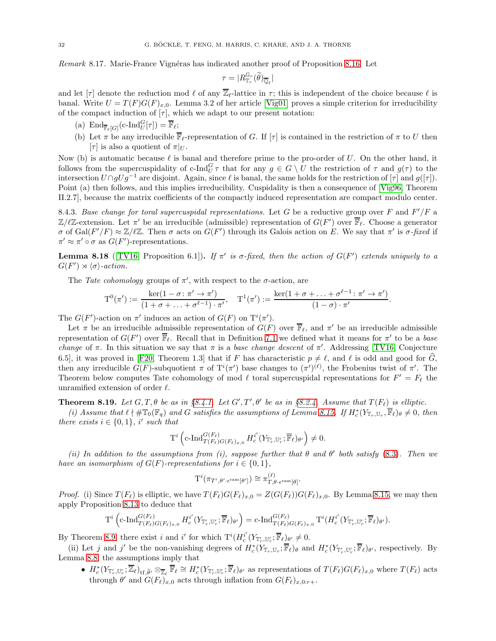Remark 8.17. Marie-France Vignéras has indicated another proof of Proposition [8.16.](#page-30-1) Let

$$
\tau = |R_{{\mathbb T}_r}^{{\mathbb G}_r}(\widetilde{\theta})_{\overline{\mathbb Q}_\ell}|
$$

and let  $[\tau]$  denote the reduction mod  $\ell$  of any  $\overline{\mathbb{Z}}_{\ell}$ -lattice in  $\tau$ ; this is independent of the choice because  $\ell$  is banal. Write  $U = T(F)G(F)_{x,0}$ . Lemma 3.2 of her article [\[Vig01\]](#page-34-14) proves a simple criterion for irreducibility of the compact induction of  $[\tau]$ , which we adapt to our present notation:

- (a)  $\text{End}_{\overline{\mathbb{F}}_{\ell}[G]}(\text{c-}\text{Ind}_{U}^{G}[\tau]) = \overline{\mathbb{F}}_{\ell};$
- (b) Let  $\pi$  be any irreducible  $\mathbb{F}_{\ell}$ -representation of G. If  $[\tau]$  is contained in the restriction of  $\pi$  to U then  $[\tau]$  is also a quotient of  $\pi|_U$ .

Now (b) is automatic because  $\ell$  is banal and therefore prime to the pro-order of  $U$ . On the other hand, it follows from the supercuspidality of c-Ind $_G^G \tau$  that for any  $g \in G \setminus U$  the restriction of  $\tau$  and  $g(\tau)$  to the intersection  $U \cap gUg^{-1}$  are disjoint. Again, since  $\ell$  is banal, the same holds for the restriction of  $[\tau]$  and  $g([\tau])$ . Point (a) then follows, and this implies irreducibility. Cuspidality is then a consequence of [\[Vig96,](#page-34-15) Theorem II.2.7], because the matrix coefficients of the compactly induced representation are compact modulo center.

8.4.3. Base change for toral supercuspidal representations. Let G be a reductive group over F and  $F'/F$  a  $\mathbb{Z}/\ell\mathbb{Z}$ -extension. Let  $\pi'$  be an irreducible (admissible) representation of  $G(F')$  over  $\overline{\mathbb{F}}_{\ell}$ . Choose a generator σ of Gal(F'/F)  $\approx \mathbb{Z}/\ell\mathbb{Z}$ . Then σ acts on  $G(F')$  through its Galois action on E. We say that π' is σ-fixed if  $\pi' \approx \pi' \circ \sigma$  as  $G(F')$ -representations.

**Lemma 8.18** ([\[TV16,](#page-34-1) Proposition 6.1]). If  $\pi'$  is  $\sigma$ -fixed, then the action of  $G(F')$  extends uniquely to a  $G(F') \rtimes \langle \sigma \rangle$ -action.

The Tate cohomology groups of  $\pi'$ , with respect to the  $\sigma$ -action, are

$$
T^0(\pi') := \frac{\ker(1-\sigma: \pi' \to \pi')}{(1+\sigma+\ldots+\sigma^{\ell-1})\cdot \pi'}, \quad T^1(\pi') := \frac{\ker(1+\sigma+\ldots+\sigma^{\ell-1}: \pi' \to \pi')}{(1-\sigma)\cdot \pi'}
$$

.

The  $G(F')$ -action on  $\pi'$  induces an action of  $G(F)$  on  $T^i(\pi')$ .

Let  $\pi$  be an irreducible admissible representation of  $G(F)$  over  $\overline{\mathbb{F}}_{\ell}$ , and  $\pi'$  be an irreducible admissible representation of  $G(F')$  over  $\overline{\mathbb{F}}_{\ell}$ . Recall that in Definition [7.1](#page-20-5) we defined what it means for  $\pi'$  to be a base change of  $\pi$ . In this situation we say that  $\pi$  is a base change descent of  $\pi'$ . Addressing [\[TV16,](#page-34-1) Conjecture 6.5], it was proved in [\[F20,](#page-33-0) Theorem 1.3] that if F has characteristic  $p \neq \ell$ , and  $\ell$  is odd and good for  $\widehat{G}$ , then any irreducible  $G(F)$ -subquotient  $\pi$  of  $T^i(\pi')$  base changes to  $(\pi')^{(\ell)}$ , the Frobenius twist of  $\pi'$ . The Theorem below computes Tate cohomology of mod  $\ell$  toral supercuspidal representations for  $F' = F_{\ell}$  the unramified extension of order  $\ell$ .

<span id="page-31-0"></span>**Theorem 8.19.** Let  $G, T, \theta$  be as in §[8.4.1.](#page-30-2) Let  $G', T', \theta'$  be as in §[8.2.4.](#page-26-4) Assume that  $T(F_{\ell})$  is elliptic.

(i) Assume that  $\ell \nmid \# \mathbb{T}_0(\mathbb{F}_q)$  and G satisfies the assumptions of Lemma [8.15.](#page-29-3) If  $H_c^*(Y_{\mathbb{T}_r,U_r}, \overline{\mathbb{F}}_\ell)_{\theta} \neq 0$ , then there exists  $i \in \{0,1\}$ , i' such that

$$
\mathrm{T}^i \left( \mathrm{c}\text{-}\mathrm{Ind}_{T(F_\ell)G(F_\ell)_{x,0}}^{G(F_\ell)} H_c^{i'}(Y_{\mathbb{T}'_r,\mathbb{U}'_r};\overline{\mathbb{F}}_\ell)_{\theta'} \right) \neq 0.
$$

(ii) In addition to the assumptions from (i), suppose further that  $\theta$  and  $\theta'$  both satisfy [\(8.3\)](#page-26-0). Then we have an isomorphism of  $G(F)$ -representations for  $i \in \{0,1\}$ ,

$$
\mathrm{T}^i(\pi_{T',\theta'\cdot\epsilon^{\mathrm{ram}}[\theta']})\cong \pi_{T,\theta\cdot\epsilon^{\mathrm{ram}}[\theta]}^{(\ell)}.
$$

*Proof.* (i) Since  $T(F_{\ell})$  is elliptic, we have  $T(F_{\ell})G(F_{\ell})_{x,0} = Z(G(F_{\ell}))G(F_{\ell})_{x,0}$ . By Lemma [8.15,](#page-29-3) we may then apply Proposition [8.13](#page-29-1) to deduce that

$$
\mathrm{T}^i\left(\mathrm{c}\text{-}\mathrm{Ind}_{T(F_{\ell})G(F_{\ell})_{x,0}}^{G(F_{\ell})}H_c^{i'}(Y_{\mathbb{T}'_r,\mathbb{U}'_r};\overline{\mathbb{F}}_{\ell})_{\theta'}\right)=\mathrm{c}\text{-}\mathrm{Ind}_{T(F_{\ell})G(F_{\ell})_{x,0}}^{G(F_{\ell})}\mathrm{T}^i(H_c^{i'}(Y_{\mathbb{T}'_r,\mathbb{U}'_r};\overline{\mathbb{F}}_{\ell})_{\theta'}).
$$

By Theorem [8.9,](#page-27-4) there exist i and i' for which  $T^{i}(H_c^{i'}(Y_{\mathbb{T}'_r}, \mathbb{U}'_r; \overline{\mathbb{F}}_{\ell})_{\theta'} \neq 0$ .

(ii) Let j and j' be the non-vanishing degrees of  $H_c^*(Y_{\mathbb{T}_r}, \mathbb{U}_r; \overline{\mathbb{F}}_{\ell})_\theta$  and  $H_c^*(Y_{\mathbb{T}'_r}, \mathbb{U}'_r; \overline{\mathbb{F}}_{\ell})_{\theta'}$ , respectively. By Lemma [8.8,](#page-26-3) the assumptions imply that

•  $H_c^*(Y_{\mathbb{T}'_r},\mathbb{U}'_r;\overline{\mathbb{Z}}_\ell)_{\mathsf{tf},\widetilde{\theta}'}\otimes_{\overline{\mathbb{Z}}_\ell}\overline{\mathbb{F}}_\ell\cong H_c^*(Y_{\mathbb{T}'_r},\mathbb{U}'_r;\overline{\mathbb{F}}_\ell)_{\theta'}$  as representations of  $T(F_\ell)G(F_\ell)_{x,0}$  where  $T(F_\ell)$  acts through  $\theta'$  and  $G(F_{\ell})_{x,0}$  acts through inflation from  $G(F_{\ell})_{x,0:r+}$ .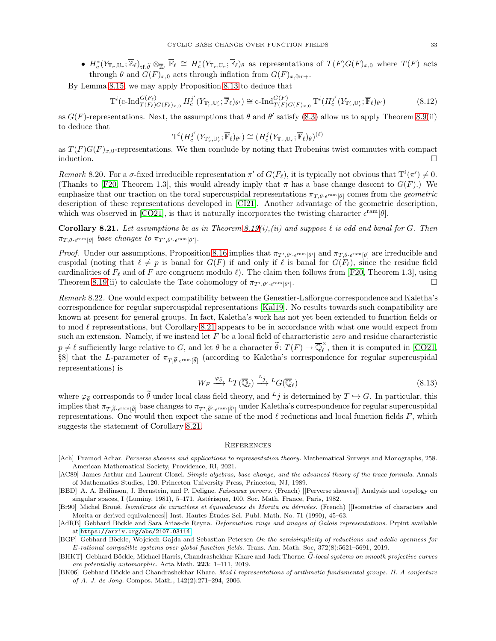•  $H_c^*(Y_{\mathbb{T}_r},\mathbb{U}_r;\overline{\mathbb{Z}}_\ell)_{\text{tf},\widetilde{\theta}} \otimes_{\overline{\mathbb{Z}}_\ell} \overline{\mathbb{F}}_\ell \cong H_c^*(Y_{\mathbb{T}_r},\mathbb{U}_r;\overline{\mathbb{F}}_\ell)_{\theta}$  as representations of  $T(F)G(F)_{x,0}$  where  $T(F)$  acts through  $\theta$  and  $G(F)_{x,0}$  acts through inflation from  $G(F)_{x,0:r+}$ .

By Lemma [8.15,](#page-29-3) we may apply Proposition [8.13](#page-29-1) to deduce that

$$
\mathrm{T}^i(\mathrm{c}\text{-}\mathrm{Ind}_{T(F_{\ell})G(F_{\ell})_{x,0}}^{G(F_{\ell})} H_c^{j'}(Y_{\mathbb{T}'_r,\mathbb{U}'_r};\overline{\mathbb{F}}_{\ell})_{\theta'}) \cong \mathrm{c}\text{-}\mathrm{Ind}_{T(F)G(F)_{x,0}}^{G(F)} \mathrm{T}^i(H_c^{j'}(Y_{\mathbb{T}'_r,\mathbb{U}'_r};\overline{\mathbb{F}}_{\ell})_{\theta'})\tag{8.12}
$$

as  $G(F)$ -representations. Next, the assumptions that  $\theta$  and  $\theta'$  satisfy [\(8.3\)](#page-26-0) allow us to apply Theorem [8.9\(](#page-27-4)ii) to deduce that

$$
\mathrm{T}^i(H^{j'}_c(Y_{\mathbb{T}'_r,\mathbb{U}'_r};\overline{\mathbb{F}}_{\ell})_{\theta'})\cong(H^j_c(Y_{\mathbb{T}_r,\mathbb{U}_r};\overline{\mathbb{F}}_{\ell})_{\theta})^{(\ell)}
$$

as  $T(F)G(F)_{x,0}$ -representations. We then conclude by noting that Frobenius twist commutes with compact induction.

Remark 8.20. For a  $\sigma$ -fixed irreducible representation  $\pi'$  of  $G(F_{\ell})$ , it is typically not obvious that  $T^{i}(\pi') \neq 0$ . (Thanks to [\[F20,](#page-33-0) Theorem 1.3], this would already imply that  $\pi$  has a base change descent to  $G(F)$ .) We emphasize that our traction on the toral supercuspidal representations  $\pi_{T,\theta\text{-}\varepsilon^{ram}[\theta]}$  comes from the *geometric* description of these representations developed in [\[CI21\]](#page-33-9). Another advantage of the geometric description, which was observed in [\[CO21\]](#page-33-10), is that it naturally incorporates the twisting character  $\epsilon^{\text{ram}}[\theta]$ .

<span id="page-32-8"></span>**Corollary 8.21.** Let assumptions be as in Theorem [8.19\(](#page-31-0)i),(ii) and suppose  $\ell$  is odd and banal for G. Then  $\pi_{T,\theta\cdot\epsilon^{\mathrm{ram}}[\theta]}$  base changes to  $\pi_{T',\theta'\cdot\epsilon^{\mathrm{ram}}[\theta']}.$ 

*Proof.* Under our assumptions, Proposition [8.16](#page-30-1) implies that  $\pi_{T',\theta'\cdot\epsilon^{ram}[\theta']}$  and  $\pi_{T,\theta\cdot\epsilon^{ram}[\theta]}$  are irreducible and cuspidal (noting that  $\ell \neq p$  is banal for  $G(F)$  if and only if  $\ell$  is banal for  $G(F_{\ell})$ , since the residue field cardinalities of  $F_{\ell}$  and of F are congruent modulo  $\ell$ ). The claim then follows from [\[F20,](#page-33-0) Theorem 1.3], using Theorem [8.19\(](#page-31-0)ii) to calculate the Tate cohomology of  $\pi_{T',\theta'\cdot\epsilon^{\text{ram}}[\theta']}$ .

Remark 8.22. One would expect compatibility between the Genestier-Lafforgue correspondence and Kaletha's correspondence for regular supercuspidal representations [\[Kal19\]](#page-33-8). No results towards such compatibility are known at present for general groups. In fact, Kaletha's work has not yet been extended to function fields or to mod  $\ell$  representations, but Corollary [8.21](#page-32-8) appears to be in accordance with what one would expect from such an extension. Namely, if we instead let  $F$  be a local field of characteristic zero and residue characteristic  $p \neq \ell$  sufficiently large relative to  $G$ , and let  $\theta$  be a character  $\widetilde{\theta}$ :  $T(F) \to \overline{\mathbb{Q}}_{\ell}^{\times}$  $\hat{\ell}$ , then it is computed in [\[CO21,](#page-33-10)  $\S8$ ] that the L-parameter of  $\pi_{T,\widetilde{\theta}\text{-}\epsilon^{\text{ram}}[\widetilde{\theta}]}$  (according to Kaletha's correspondence for regular supercuspidal representations) is

$$
W_F \xrightarrow{\varphi_{\tilde{\theta}}} {}^L T(\overline{\mathbb{Q}}_{\ell}) \xrightarrow{L_j} {}^L G(\overline{\mathbb{Q}}_{\ell})
$$
\n
$$
(8.13)
$$

where  $\varphi_{\widetilde{\theta}}$  corresponds to  $\widetilde{\theta}$  under local class field theory, and  $^Lj$  is determined by  $T \hookrightarrow G$ . In particular, this implies that  $\pi_{T,\widetilde{\theta} \cdot \epsilon^{\mathrm{ram}}[\widetilde{\theta}]}$  base changes to  $\pi_{T',\widetilde{\theta}' \cdot \epsilon^{\mathrm{ram}}[\widetilde{\theta}']}$  under Kaletha's correspondence for regular supercuspidal representations. One would then expect the same of the mod  $\ell$  reductions and local function fields F, which suggests the statement of Corollary [8.21.](#page-32-8)

#### <span id="page-32-0"></span>**REFERENCES**

- <span id="page-32-6"></span>[Ach] Pramod Achar. Perverse sheaves and applications to representation theory. Mathematical Surveys and Monographs, 258. American Mathematical Society, Providence, RI, 2021.
- <span id="page-32-1"></span>[AC89] James Arthur and Laurent Clozel. Simple algebras, base change, and the advanced theory of the trace formula. Annals of Mathematics Studies, 120. Princeton University Press, Princeton, NJ, 1989.
- <span id="page-32-5"></span>[BBD] A. A. Beilinson, J. Bernstein, and P. Deligne. Faisceaux pervers. (French) [[Perverse sheaves]] Analysis and topology on singular spaces, I (Luminy, 1981), 5-171, Astérisque, 100, Soc. Math. France, Paris, 1982.
- <span id="page-32-7"></span>[Br90] Michel Broué. Isométries de caractères et équivalences de Morita ou dérivées. (French) [[Isometries of characters and Morita or derived equivalences]] Inst. Hautes Études Sci. Publ. Math. No. 71 (1990), 45–63.
- <span id="page-32-4"></span>[AdRB] Gebhard Böckle and Sara Arias-de Reyna. *Deformation rings and images of Galois representations*. Prpint available at <https://arxiv.org/abs/2107.03114>.
- <span id="page-32-3"></span>[BGP] Gebhard Böckle, Wojciech Gajda and Sebastian Petersen On the semisimplicity of reductions and adelic openness for E-rational compatible systems over global function fields. Trans. Am. Math. Soc, 372(8):5621–5691, 2019.
- <span id="page-32-2"></span>[BHKT] Gebhard Böckle, Michael Harris, Chandrashekhar Khare and Jack Thorne.  $\hat{G}$ -local systems on smooth projective curves are potentially automorphic. Acta Math. 223: 1–111, 2019.
- [BK06] Gebhard Böckle and Chandrashekhar Khare. Mod l representations of arithmetic fundamental groups. II. A conjecture of A. J. de Jong. Compos. Math., 142(2):271–294, 2006.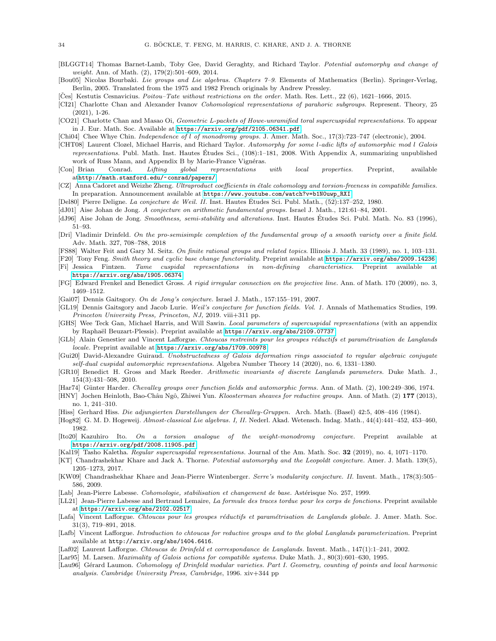- <span id="page-33-18"></span>[BLGGT14] Thomas Barnet-Lamb, Toby Gee, David Geraghty, and Richard Taylor. Potential automorphy and change of weight. Ann. of Math. (2), 179(2):501-609, 2014.
- <span id="page-33-30"></span>[Bou05] Nicolas Bourbaki. Lie groups and Lie algebras. Chapters 7–9. Elements of Mathematics (Berlin). Springer-Verlag, Berlin, 2005. Translated from the 1975 and 1982 French originals by Andrew Pressley.

<span id="page-33-16"></span> $[\text{Čes}]$  Kestutis Cesnavicius. *Poitou–Tate without restrictions on the order*. Math. Res. Lett., 22 (6), 1621–1666, 2015.

- <span id="page-33-9"></span>[CI21] Charlotte Chan and Alexander Ivanov Cohomological representations of parahoric subgroups. Represent. Theory, 25 (2021), 1-26.
- <span id="page-33-10"></span>[CO21] Charlotte Chan and Masao Oi, Geometric L-packets of Howe-unramified toral supercuspidal representations. To appear in J. Eur. Math. Soc. Available at <https://arxiv.org/pdf/2105.06341.pdf>.
- [Chi04] Chee Whye Chin. *Independence of l of monodromy groups.* J. Amer. Math. Soc., 17(3):723–747 (electronic), 2004.
- <span id="page-33-11"></span>[CHT08] Laurent Clozel, Michael Harris, and Richard Taylor. Automorphy for some l-adic lifts of automorphic mod l Galois representations. Publ. Math. Inst. Hautes Études Sci.,  $(108):1-181$ , 2008. With Appendix A, summarizing unpublished work of Russ Mann, and Appendix B by Marie-France Vignéras.
- [Con] Brian Conrad. Lifting global representations with local properties. Preprint, available at<http://math.stanford.edu/~conrad/papers/>.
- <span id="page-33-26"></span>[CZ] Anna Cadoret and Weizhe Zheng. Ultraproduct coefficients in étale cohomology and torsion-freeness in compatible families. In preparation. Announcement available at [https://www.youtube.com/watch?v=b1N0uwp\\_RXI](https://www.youtube.com/watch?v=b1N0uwp_RXI).
- <span id="page-33-23"></span>[Del80] Pierre Deligne. La conjecture de Weil. II. Inst. Hautes Etudes Sci. Publ. Math., (52):137–252, 1980. ´
- [dJ01] Aise Johan de Jong. A conjecture on arithmetic fundamental groups. Israel J. Math., 121:61–84, 2001.
- <span id="page-33-25"></span>[dJ96] Aise Johan de Jong. Smoothness, semi-stability and alterations. Inst. Hautes Études Sci. Publ. Math. No. 83 (1996), 51–93.
- <span id="page-33-5"></span>[Dri] Vladimir Drinfeld. On the pro-semisimple completion of the fundamental group of a smooth variety over a finite field. Adv. Math. 327, 708–788, 2018
- <span id="page-33-15"></span>[FS88] Walter Feit and Gary M. Seitz. On finite rational groups and related topics. Illinois J. Math. 33 (1989), no. 1, 103–131.
- <span id="page-33-0"></span>[F20] Tony Feng. Smith theory and cyclic base change functoriality. Preprint available at <https://arxiv.org/abs/2009.14236>.
- <span id="page-33-31"></span>[Fi] Jessica Fintzen. Tame cuspidal representations in non-defining characteristics. Preprint available at <https://arxiv.org/abs/1905.06374>.
- [FG] Edward Frenkel and Benedict Gross. A rigid irregular connection on the projective line. Ann. of Math. 170 (2009), no. 3, 1469–1512.
- [Gai07] Dennis Gaitsgory. On de Jong's conjecture. Israel J. Math., 157:155–191, 2007.
- <span id="page-33-17"></span>[GL19] Dennis Gaitsgory and Jacob Lurie. Weil's conjecture for function fields. Vol. 1. Annals of Mathematics Studies, 199. Princeton University Press, Princeton, NJ, 2019. viii+311 pp.
- <span id="page-33-28"></span>[GHS] Wee Teck Gan, Michael Harris, and Will Sawin. Local parameters of supercuspidal representations (with an appendix by Raphaël Beuzart-Plessis). Preprint available at <https://arxiv.org/abs/2109.07737>.
- <span id="page-33-6"></span>[GLb] Alain Genestier and Vincent Lafforgue. Chtoucas restreints pour les groupes réductifs et paramétrisation de Langlands locale. Preprint available at <https://arxiv.org/abs/1709.00978>.
- <span id="page-33-21"></span>[Gui20] David-Alexandre Guiraud. Unobstructedness of Galois deformation rings associated to regular algebraic conjugate self-dual cuspidal automorphic representations. Algebra Number Theory 14 (2020), no. 6, 1331–1380.
- <span id="page-33-27"></span>[GR10] Benedict H. Gross and Mark Reeder. Arithmetic invariants of discrete Langlands parameters. Duke Math. J., 154(3):431–508, 2010.
- <span id="page-33-24"></span>[Har74] Günter Harder. Chevalley groups over function fields and automorphic forms. Ann. of Math. (2), 100:249–306, 1974.
- <span id="page-33-7"></span>[HNY] Jochen Heinloth, Bao-Châu Ngô, Zhiwei Yun. Kloosterman sheaves for reductive groups. Ann. of Math. (2) 177 (2013), no. 1, 241–310.
- <span id="page-33-13"></span>[Hiss] Gerhard Hiss. Die adjungierten Darstellungen der Chevalley-Gruppen. Arch. Math. (Basel) 42:5, 408–416 (1984).
- <span id="page-33-14"></span>[Hog82] G. M. D. Hogeweij. Almost-classical Lie algebras. I, II. Nederl. Akad. Wetensch. Indag. Math., 44(4):441–452, 453–460, 1982.
- <span id="page-33-22"></span>[Ito20] Kazuhiro Ito. On a torsion analogue of the weight-monodromy conjecture. Preprint available at <https://arxiv.org/pdf/2008.11905.pdf>.
- <span id="page-33-8"></span>[Kal19] Tasho Kaletha. Regular supercuspidal representations. Journal of the Am. Math. Soc. 32 (2019), no. 4, 1071–1170.
- <span id="page-33-12"></span>[KT] Chandrashekhar Khare and Jack A. Thorne. Potential automorphy and the Leopoldt conjecture. Amer. J. Math. 139(5), 1205–1273, 2017.
- <span id="page-33-19"></span>[KW09] Chandrashekhar Khare and Jean-Pierre Wintenberger. Serre's modularity conjecture. II. Invent. Math., 178(3):505– 586, 2009.
- <span id="page-33-1"></span>[Lab] Jean-Pierre Labesse. Cohomologie, stabilisation et changement de base. Astérisque No. 257, 1999.
- <span id="page-33-2"></span>[LL21] Jean-Pierre Labesse and Bertrand Lemaire, La formule des traces tordue pour les corps de fonctions. Preprint available at <https://arxiv.org/abs/2102.02517>.
- <span id="page-33-3"></span>[Lafa] Vincent Lafforgue. Chtoucas pour les groupes réductifs et paramétrisation de Langlands globale. J. Amer. Math. Soc. 31(3), 719–891, 2018.
- [Lafb] Vincent Lafforgue. Introduction to chtoucas for reductive groups and to the global Langlands parameterization. Preprint available at http://arxiv.org/abs/1404.6416.
- <span id="page-33-20"></span>[Laf02] Laurent Lafforgue. Chtoucas de Drinfeld et correspondance de Langlands. Invent. Math., 147(1):1–241, 2002.
- <span id="page-33-4"></span>[Lar95] M. Larsen. Maximality of Galois actions for compatible systems. Duke Math. J., 80(3):601–630, 1995.
- <span id="page-33-29"></span>[Lau96] Gérard Laumon. Cohomology of Drinfeld modular varieties. Part I. Geometry, counting of points and local harmonic analysis. Cambridge University Press, Cambridge, 1996. xiv+344 pp